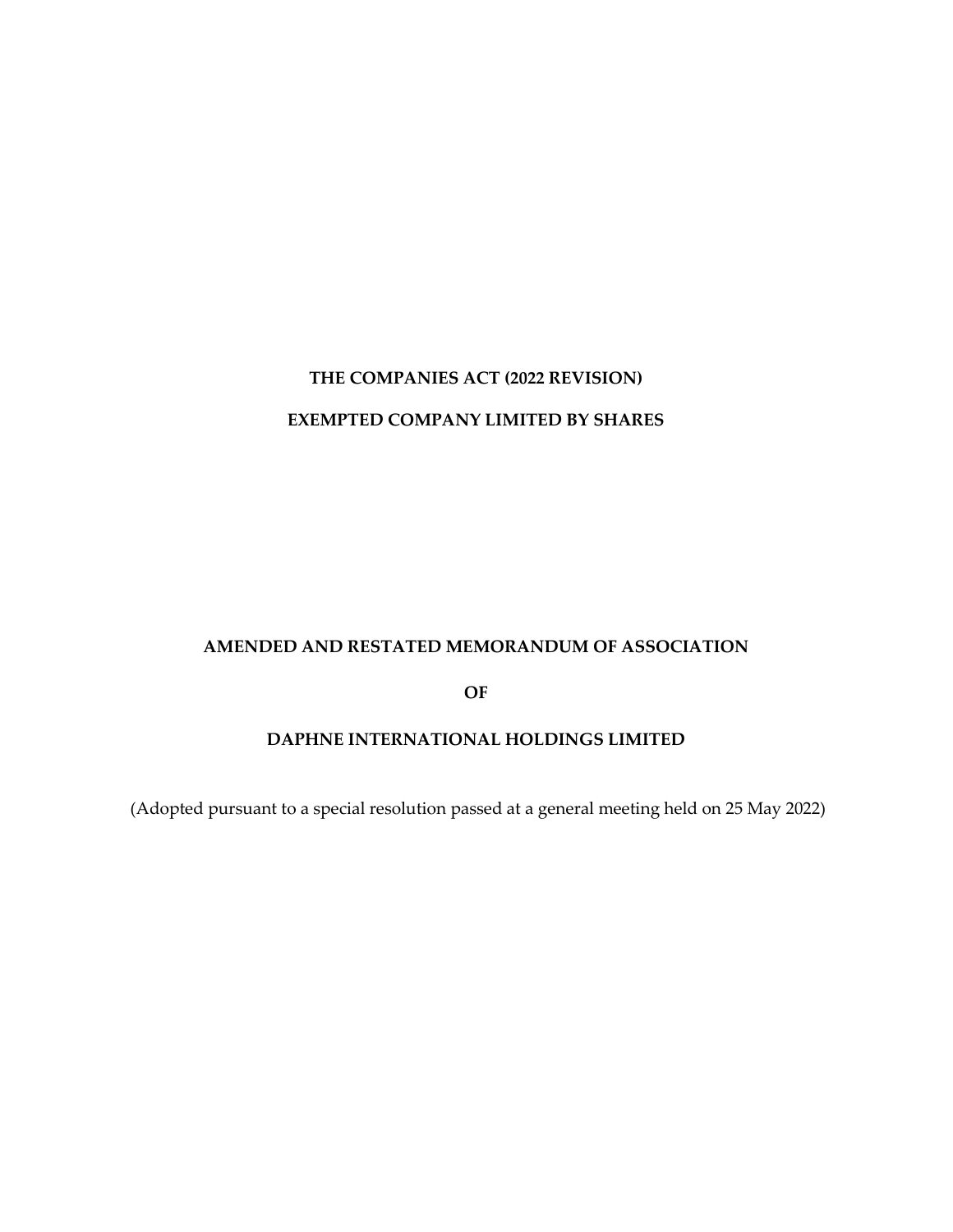# **THE COMPANIES ACT (2022 REVISION) EXEMPTED COMPANY LIMITED BY SHARES**

#### **AMENDED AND RESTATED MEMORANDUM OF ASSOCIATION**

**OF**

#### **DAPHNE INTERNATIONAL HOLDINGS LIMITED**

(Adopted pursuant to a special resolution passed at a general meeting held on 25 May 2022)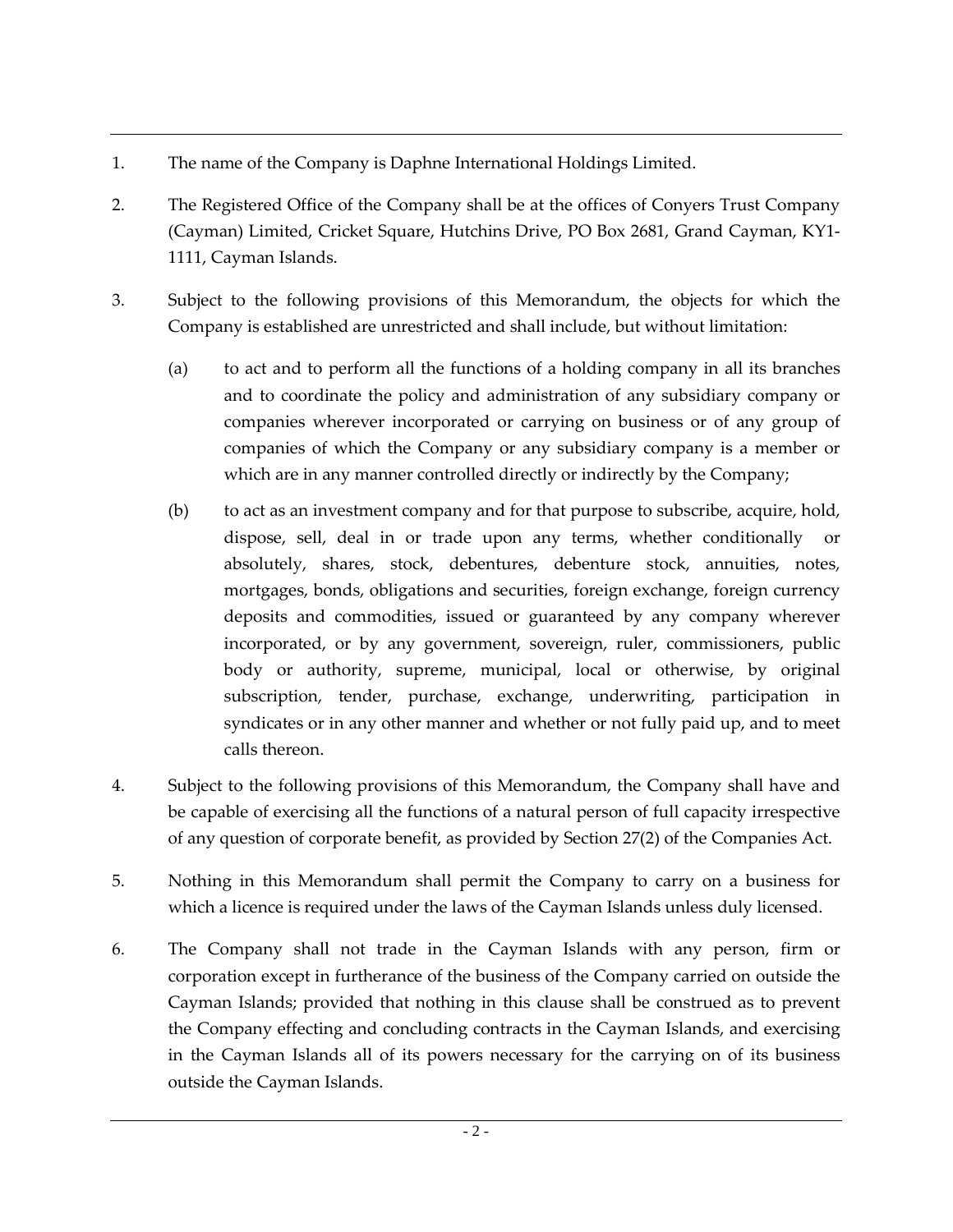- 1. The name of the Company is Daphne International Holdings Limited.
- 2. The Registered Office of the Company shall be at the offices of Conyers Trust Company (Cayman) Limited, Cricket Square, Hutchins Drive, PO Box 2681, Grand Cayman, KY1- 1111, Cayman Islands.
- 3. Subject to the following provisions of this Memorandum, the objects for which the Company is established are unrestricted and shall include, but without limitation:
	- (a) to act and to perform all the functions of a holding company in all its branches and to coordinate the policy and administration of any subsidiary company or companies wherever incorporated or carrying on business or of any group of companies of which the Company or any subsidiary company is a member or which are in any manner controlled directly or indirectly by the Company;
	- (b) to act as an investment company and for that purpose to subscribe, acquire, hold, dispose, sell, deal in or trade upon any terms, whether conditionally or absolutely, shares, stock, debentures, debenture stock, annuities, notes, mortgages, bonds, obligations and securities, foreign exchange, foreign currency deposits and commodities, issued or guaranteed by any company wherever incorporated, or by any government, sovereign, ruler, commissioners, public body or authority, supreme, municipal, local or otherwise, by original subscription, tender, purchase, exchange, underwriting, participation in syndicates or in any other manner and whether or not fully paid up, and to meet calls thereon.
- 4. Subject to the following provisions of this Memorandum, the Company shall have and be capable of exercising all the functions of a natural person of full capacity irrespective of any question of corporate benefit, as provided by Section 27(2) of the Companies Act.
- 5. Nothing in this Memorandum shall permit the Company to carry on a business for which a licence is required under the laws of the Cayman Islands unless duly licensed.
- 6. The Company shall not trade in the Cayman Islands with any person, firm or corporation except in furtherance of the business of the Company carried on outside the Cayman Islands; provided that nothing in this clause shall be construed as to prevent the Company effecting and concluding contracts in the Cayman Islands, and exercising in the Cayman Islands all of its powers necessary for the carrying on of its business outside the Cayman Islands.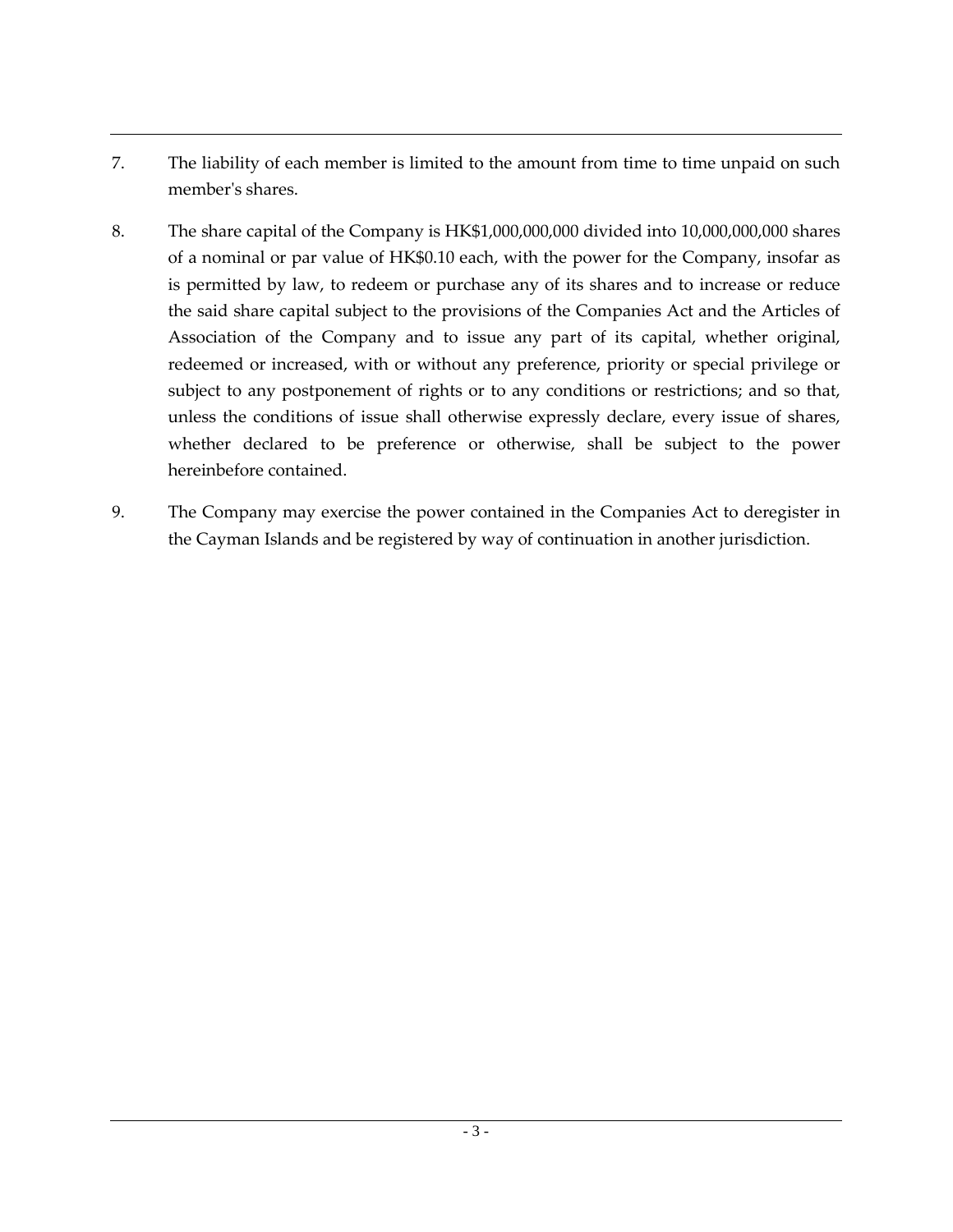- 7. The liability of each member is limited to the amount from time to time unpaid on such member's shares.
- 8. The share capital of the Company is HK\$1,000,000,000 divided into 10,000,000,000 shares of a nominal or par value of HK\$0.10 each, with the power for the Company, insofar as is permitted by law, to redeem or purchase any of its shares and to increase or reduce the said share capital subject to the provisions of the Companies Act and the Articles of Association of the Company and to issue any part of its capital, whether original, redeemed or increased, with or without any preference, priority or special privilege or subject to any postponement of rights or to any conditions or restrictions; and so that, unless the conditions of issue shall otherwise expressly declare, every issue of shares, whether declared to be preference or otherwise, shall be subject to the power hereinbefore contained.
- 9. The Company may exercise the power contained in the Companies Act to deregister in the Cayman Islands and be registered by way of continuation in another jurisdiction.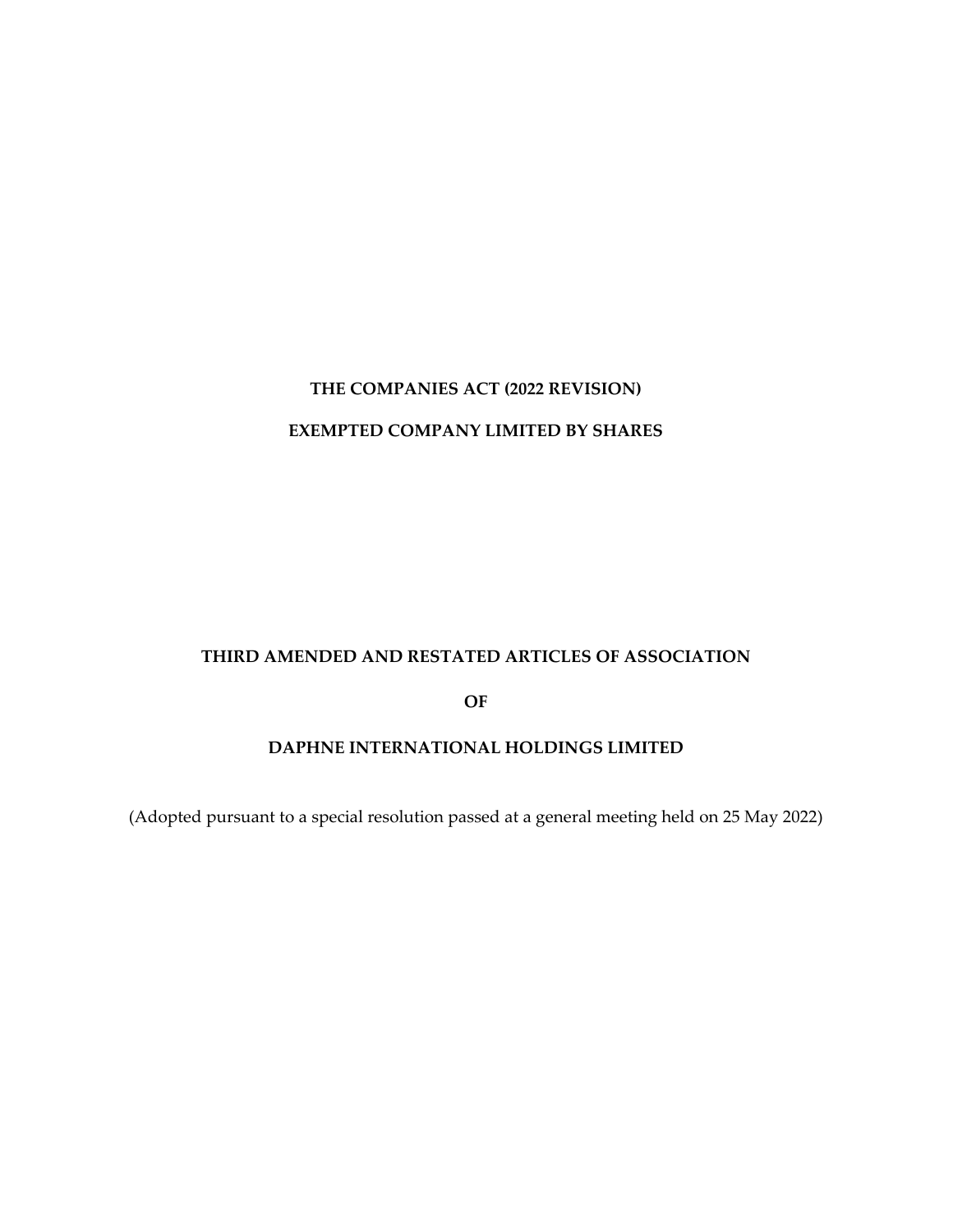# **THE COMPANIES ACT (2022 REVISION) EXEMPTED COMPANY LIMITED BY SHARES**

#### **THIRD AMENDED AND RESTATED ARTICLES OF ASSOCIATION**

**OF**

## **DAPHNE INTERNATIONAL HOLDINGS LIMITED**

(Adopted pursuant to a special resolution passed at a general meeting held on 25 May 2022)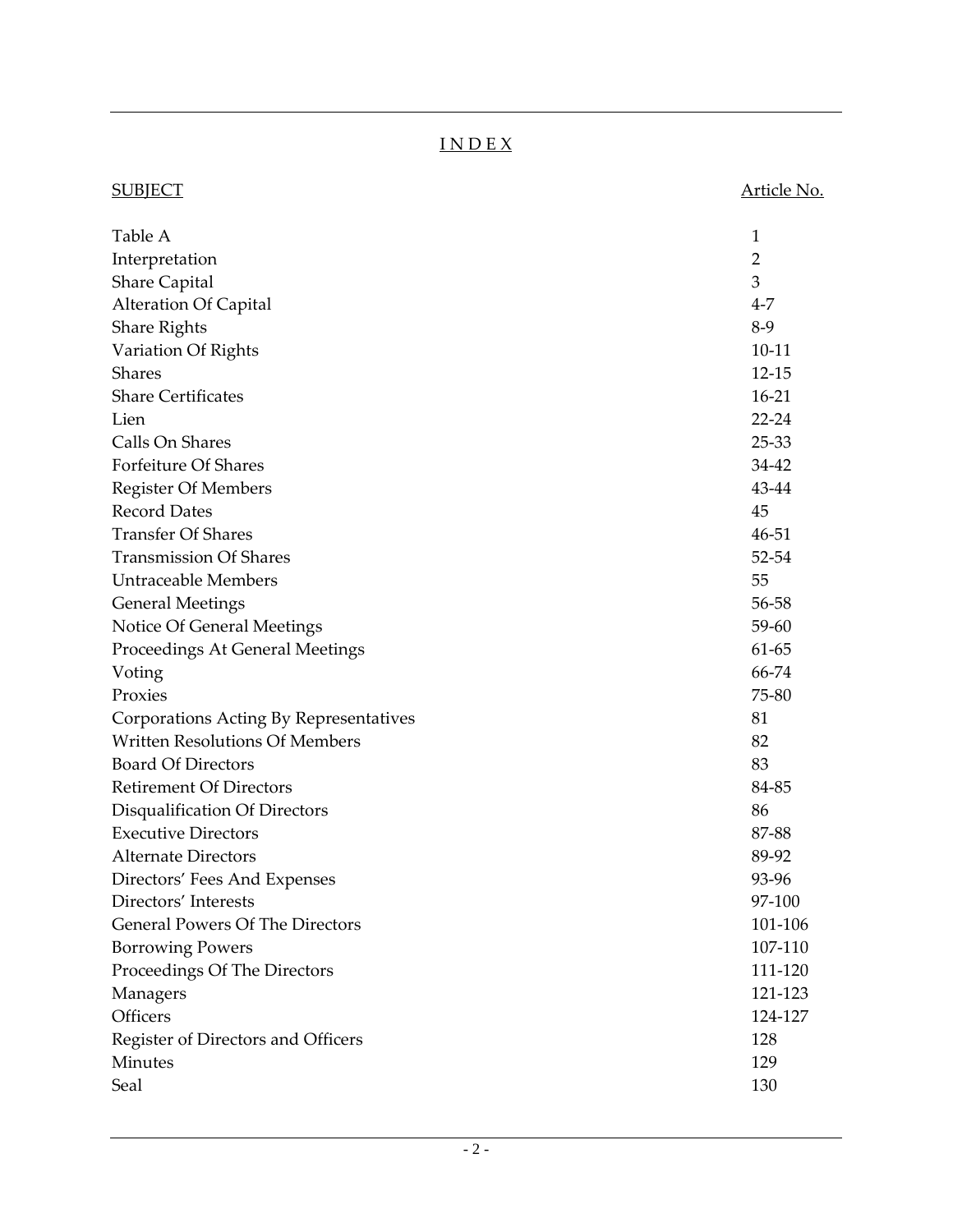## I N D E X

| <u>SUBJECT</u>                         | <u>Article No.</u> |
|----------------------------------------|--------------------|
| Table A                                | 1                  |
| Interpretation                         | 2                  |
| <b>Share Capital</b>                   | 3                  |
| <b>Alteration Of Capital</b>           | $4 - 7$            |
| <b>Share Rights</b>                    | $8-9$              |
| Variation Of Rights                    | $10 - 11$          |
| <b>Shares</b>                          | $12 - 15$          |
| <b>Share Certificates</b>              | $16 - 21$          |
| Lien                                   | $22 - 24$          |
| Calls On Shares                        | 25-33              |
| <b>Forfeiture Of Shares</b>            | 34-42              |
| <b>Register Of Members</b>             | 43-44              |
| <b>Record Dates</b>                    | 45                 |
| <b>Transfer Of Shares</b>              | 46-51              |
| <b>Transmission Of Shares</b>          | 52-54              |
| <b>Untraceable Members</b>             | 55                 |
| <b>General Meetings</b>                | 56-58              |
| Notice Of General Meetings             | 59-60              |
| Proceedings At General Meetings        | 61-65              |
| Voting                                 | 66-74              |
| Proxies                                | 75-80              |
| Corporations Acting By Representatives | 81                 |
| <b>Written Resolutions Of Members</b>  | 82                 |
| <b>Board Of Directors</b>              | 83                 |
| <b>Retirement Of Directors</b>         | 84-85              |
| Disqualification Of Directors          | 86                 |
| <b>Executive Directors</b>             | 87-88              |
| <b>Alternate Directors</b>             | 89-92              |
| Directors' Fees And Expenses           | 93-96              |
| Directors' Interests                   | 97-100             |
| <b>General Powers Of The Directors</b> | 101-106            |
| <b>Borrowing Powers</b>                | 107-110            |
| Proceedings Of The Directors           | 111-120            |
| Managers                               | 121-123            |
| Officers                               | 124-127            |
| Register of Directors and Officers     | 128                |
| Minutes                                | 129                |
| Seal                                   | 130                |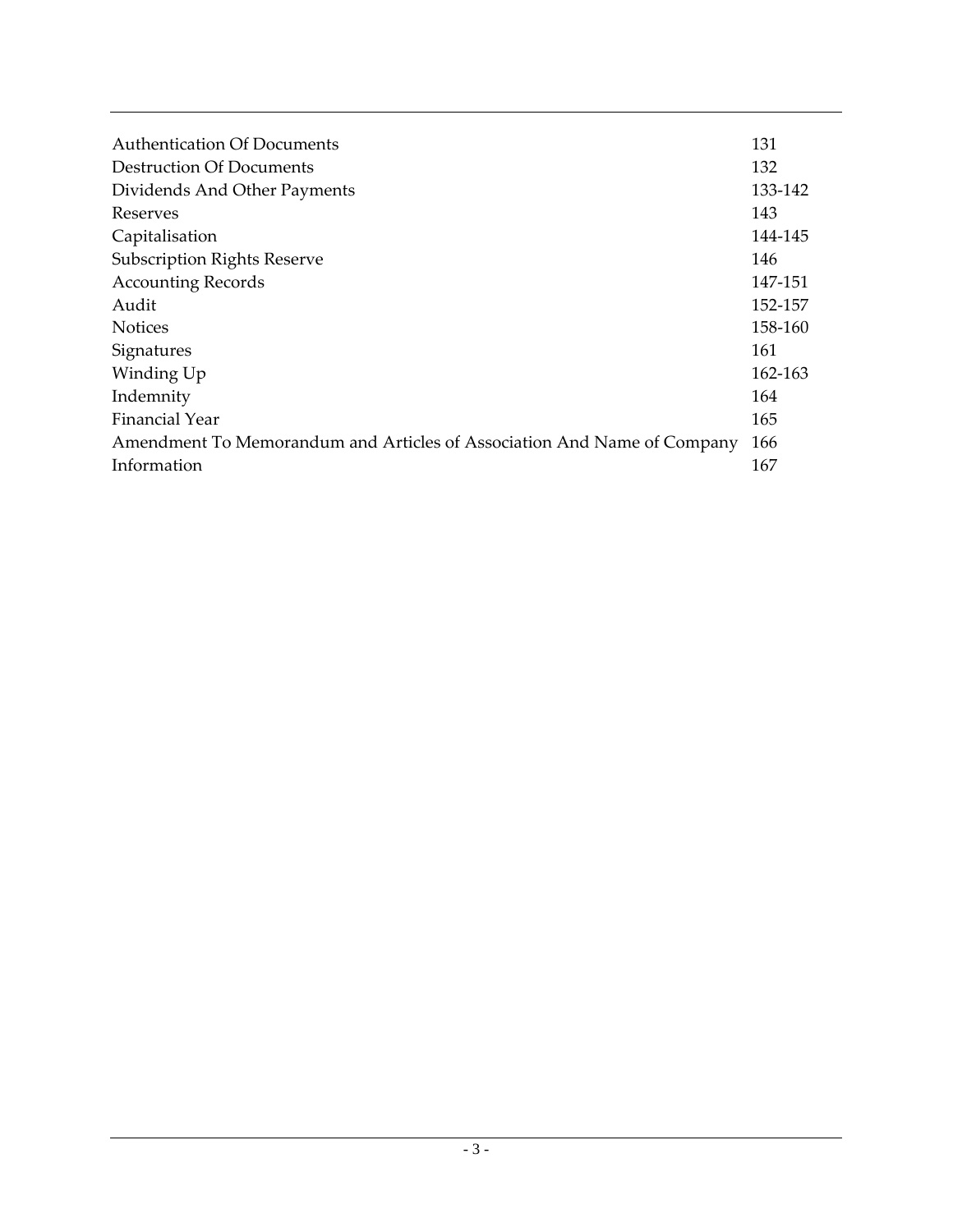| Authentication Of Documents                                             | 131     |
|-------------------------------------------------------------------------|---------|
| <b>Destruction Of Documents</b>                                         | 132     |
| Dividends And Other Payments                                            | 133-142 |
| Reserves                                                                | 143     |
| Capitalisation                                                          | 144-145 |
| <b>Subscription Rights Reserve</b>                                      | 146     |
| <b>Accounting Records</b>                                               | 147-151 |
| Audit                                                                   | 152-157 |
| <b>Notices</b>                                                          | 158-160 |
| Signatures                                                              | 161     |
| Winding Up                                                              | 162-163 |
| Indemnity                                                               | 164     |
| Financial Year                                                          | 165     |
| Amendment To Memorandum and Articles of Association And Name of Company | 166     |
| Information                                                             | 167     |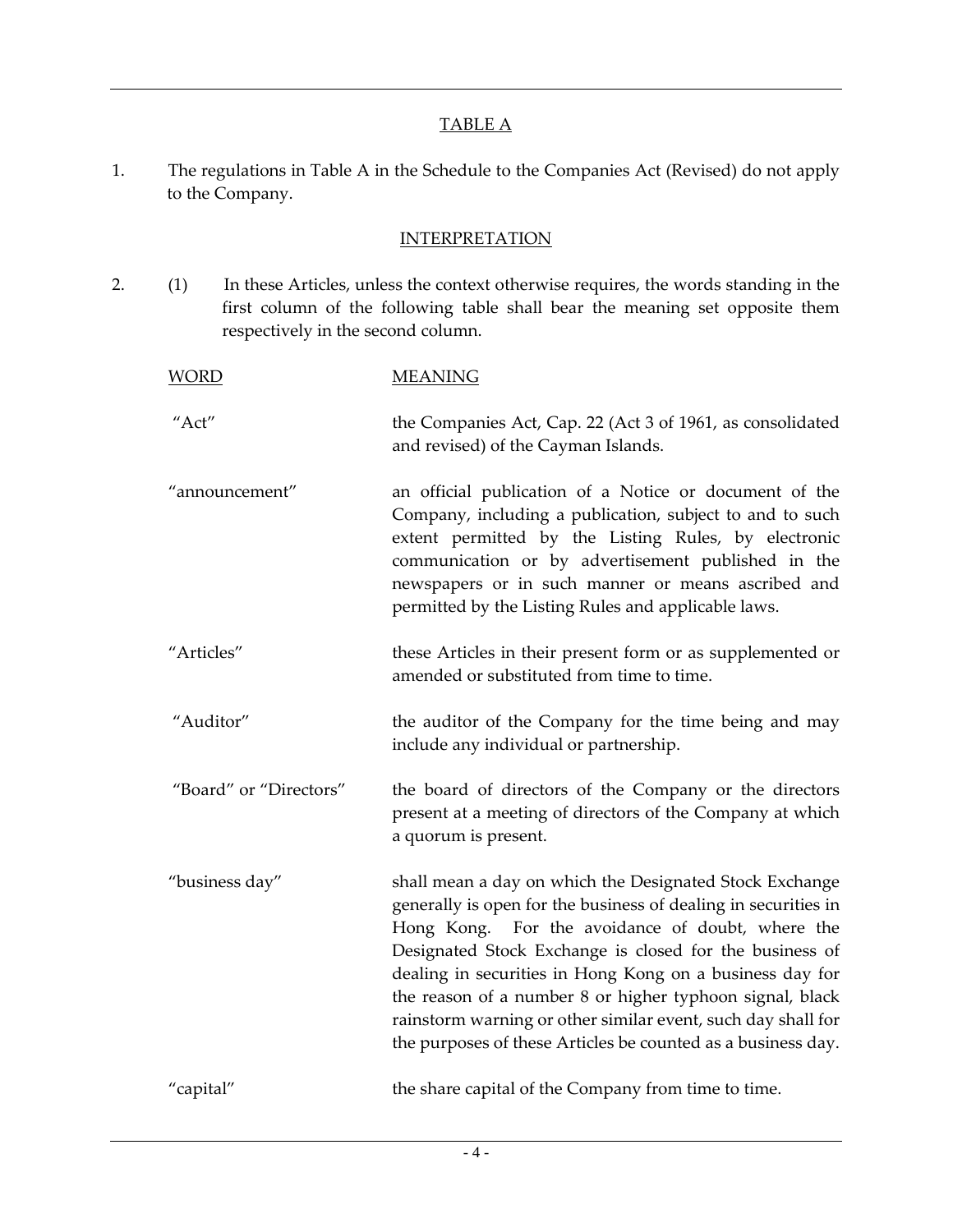#### TABLE A

1. The regulations in Table A in the Schedule to the Companies Act (Revised) do not apply to the Company.

#### **INTERPRETATION**

2. (1) In these Articles, unless the context otherwise requires, the words standing in the first column of the following table shall bear the meaning set opposite them respectively in the second column.

| <b>WORD</b>            | <b>MEANING</b>                                                                                                                                                                                                                                                                                                                                                                                                                                                                                   |
|------------------------|--------------------------------------------------------------------------------------------------------------------------------------------------------------------------------------------------------------------------------------------------------------------------------------------------------------------------------------------------------------------------------------------------------------------------------------------------------------------------------------------------|
| "Act"                  | the Companies Act, Cap. 22 (Act 3 of 1961, as consolidated<br>and revised) of the Cayman Islands.                                                                                                                                                                                                                                                                                                                                                                                                |
| "announcement"         | an official publication of a Notice or document of the<br>Company, including a publication, subject to and to such<br>extent permitted by the Listing Rules, by electronic<br>communication or by advertisement published in the<br>newspapers or in such manner or means ascribed and<br>permitted by the Listing Rules and applicable laws.                                                                                                                                                    |
| "Articles"             | these Articles in their present form or as supplemented or<br>amended or substituted from time to time.                                                                                                                                                                                                                                                                                                                                                                                          |
| "Auditor"              | the auditor of the Company for the time being and may<br>include any individual or partnership.                                                                                                                                                                                                                                                                                                                                                                                                  |
| "Board" or "Directors" | the board of directors of the Company or the directors<br>present at a meeting of directors of the Company at which<br>a quorum is present.                                                                                                                                                                                                                                                                                                                                                      |
| "business day"         | shall mean a day on which the Designated Stock Exchange<br>generally is open for the business of dealing in securities in<br>Hong Kong. For the avoidance of doubt, where the<br>Designated Stock Exchange is closed for the business of<br>dealing in securities in Hong Kong on a business day for<br>the reason of a number 8 or higher typhoon signal, black<br>rainstorm warning or other similar event, such day shall for<br>the purposes of these Articles be counted as a business day. |
| "capital"              | the share capital of the Company from time to time.                                                                                                                                                                                                                                                                                                                                                                                                                                              |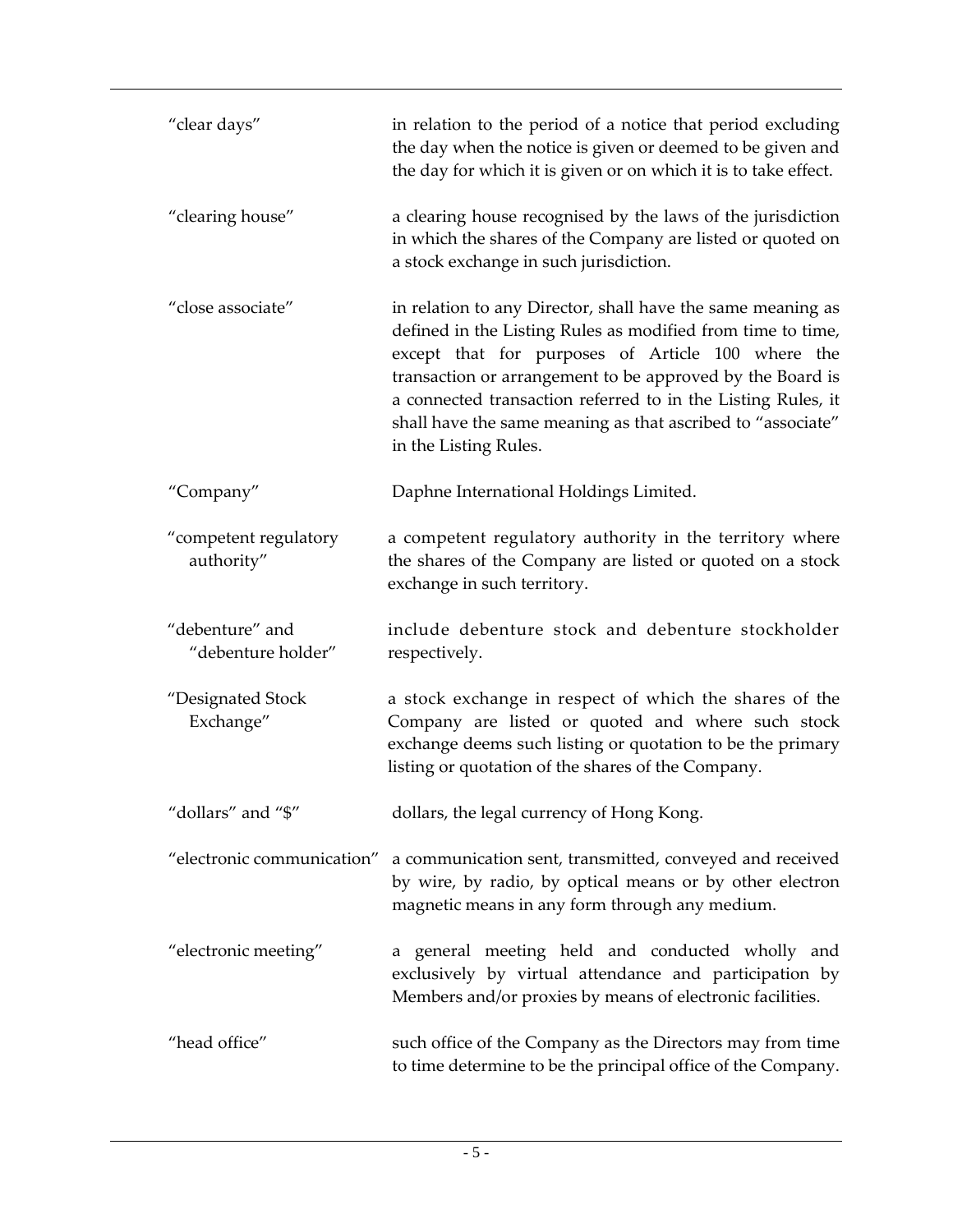| "clear days"                          | in relation to the period of a notice that period excluding<br>the day when the notice is given or deemed to be given and<br>the day for which it is given or on which it is to take effect.                                                                                                                                                                                                         |
|---------------------------------------|------------------------------------------------------------------------------------------------------------------------------------------------------------------------------------------------------------------------------------------------------------------------------------------------------------------------------------------------------------------------------------------------------|
| "clearing house"                      | a clearing house recognised by the laws of the jurisdiction<br>in which the shares of the Company are listed or quoted on<br>a stock exchange in such jurisdiction.                                                                                                                                                                                                                                  |
| "close associate"                     | in relation to any Director, shall have the same meaning as<br>defined in the Listing Rules as modified from time to time,<br>except that for purposes of Article 100 where the<br>transaction or arrangement to be approved by the Board is<br>a connected transaction referred to in the Listing Rules, it<br>shall have the same meaning as that ascribed to "associate"<br>in the Listing Rules. |
| "Company"                             | Daphne International Holdings Limited.                                                                                                                                                                                                                                                                                                                                                               |
| "competent regulatory<br>authority"   | a competent regulatory authority in the territory where<br>the shares of the Company are listed or quoted on a stock<br>exchange in such territory.                                                                                                                                                                                                                                                  |
| "debenture" and<br>"debenture holder" | include debenture stock and debenture stockholder<br>respectively.                                                                                                                                                                                                                                                                                                                                   |
| "Designated Stock<br>Exchange"        | a stock exchange in respect of which the shares of the<br>Company are listed or quoted and where such stock<br>exchange deems such listing or quotation to be the primary<br>listing or quotation of the shares of the Company.                                                                                                                                                                      |
| "dollars" and "\$"                    | dollars, the legal currency of Hong Kong.                                                                                                                                                                                                                                                                                                                                                            |
| "electronic communication"            | a communication sent, transmitted, conveyed and received<br>by wire, by radio, by optical means or by other electron<br>magnetic means in any form through any medium.                                                                                                                                                                                                                               |
| "electronic meeting"                  | a general meeting held and conducted wholly and<br>exclusively by virtual attendance and participation by<br>Members and/or proxies by means of electronic facilities.                                                                                                                                                                                                                               |
| "head office"                         | such office of the Company as the Directors may from time<br>to time determine to be the principal office of the Company.                                                                                                                                                                                                                                                                            |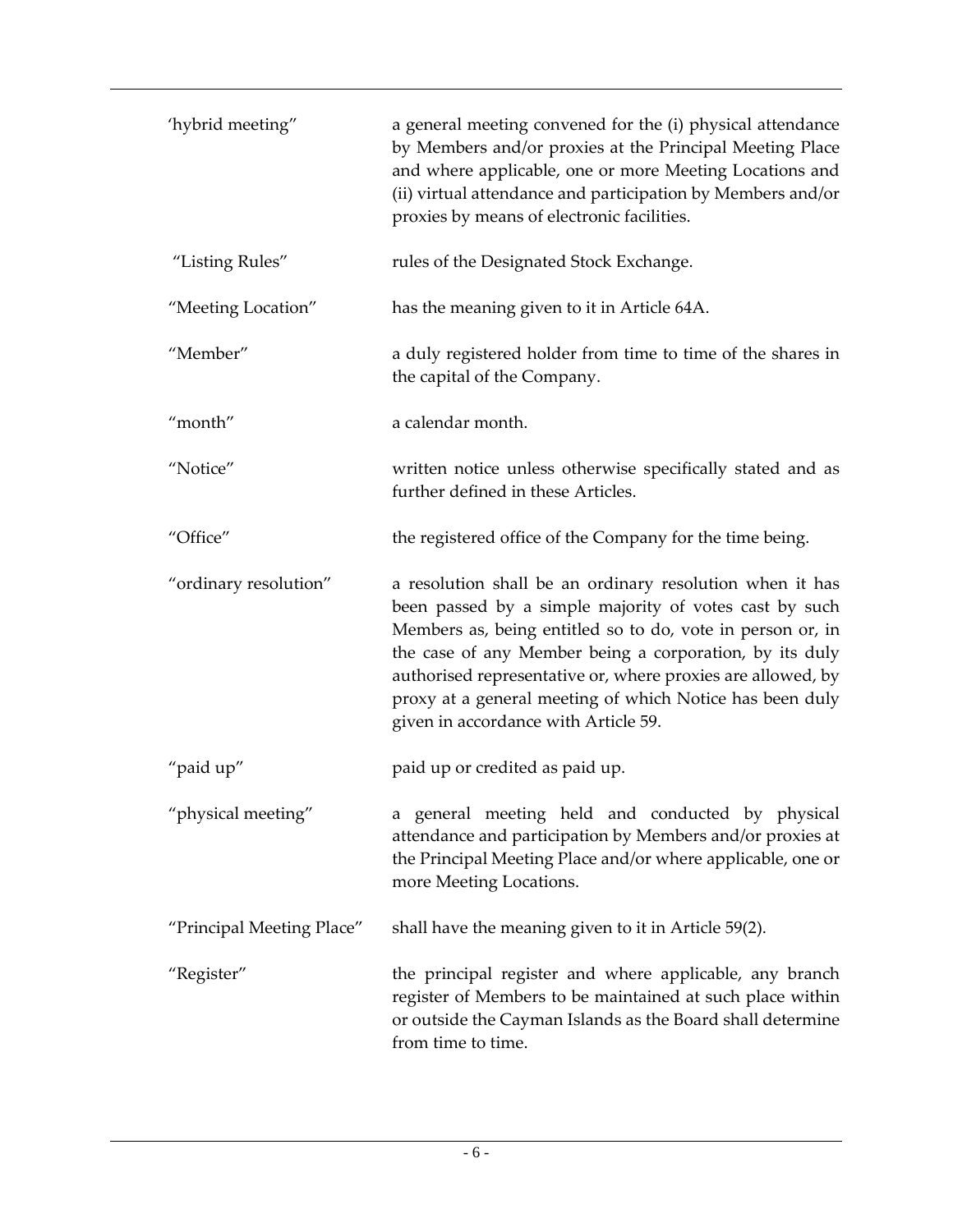| 'hybrid meeting"          | a general meeting convened for the (i) physical attendance<br>by Members and/or proxies at the Principal Meeting Place<br>and where applicable, one or more Meeting Locations and<br>(ii) virtual attendance and participation by Members and/or<br>proxies by means of electronic facilities.                                                                                                                 |
|---------------------------|----------------------------------------------------------------------------------------------------------------------------------------------------------------------------------------------------------------------------------------------------------------------------------------------------------------------------------------------------------------------------------------------------------------|
| "Listing Rules"           | rules of the Designated Stock Exchange.                                                                                                                                                                                                                                                                                                                                                                        |
| "Meeting Location"        | has the meaning given to it in Article 64A.                                                                                                                                                                                                                                                                                                                                                                    |
| "Member"                  | a duly registered holder from time to time of the shares in<br>the capital of the Company.                                                                                                                                                                                                                                                                                                                     |
| "month"                   | a calendar month.                                                                                                                                                                                                                                                                                                                                                                                              |
| "Notice"                  | written notice unless otherwise specifically stated and as<br>further defined in these Articles.                                                                                                                                                                                                                                                                                                               |
| "Office"                  | the registered office of the Company for the time being.                                                                                                                                                                                                                                                                                                                                                       |
| "ordinary resolution"     | a resolution shall be an ordinary resolution when it has<br>been passed by a simple majority of votes cast by such<br>Members as, being entitled so to do, vote in person or, in<br>the case of any Member being a corporation, by its duly<br>authorised representative or, where proxies are allowed, by<br>proxy at a general meeting of which Notice has been duly<br>given in accordance with Article 59. |
| "paid up"                 | paid up or credited as paid up.                                                                                                                                                                                                                                                                                                                                                                                |
| "physical meeting"        | a general meeting held and conducted by physical<br>attendance and participation by Members and/or proxies at<br>the Principal Meeting Place and/or where applicable, one or<br>more Meeting Locations.                                                                                                                                                                                                        |
| "Principal Meeting Place" | shall have the meaning given to it in Article 59(2).                                                                                                                                                                                                                                                                                                                                                           |
| "Register"                | the principal register and where applicable, any branch<br>register of Members to be maintained at such place within<br>or outside the Cayman Islands as the Board shall determine<br>from time to time.                                                                                                                                                                                                       |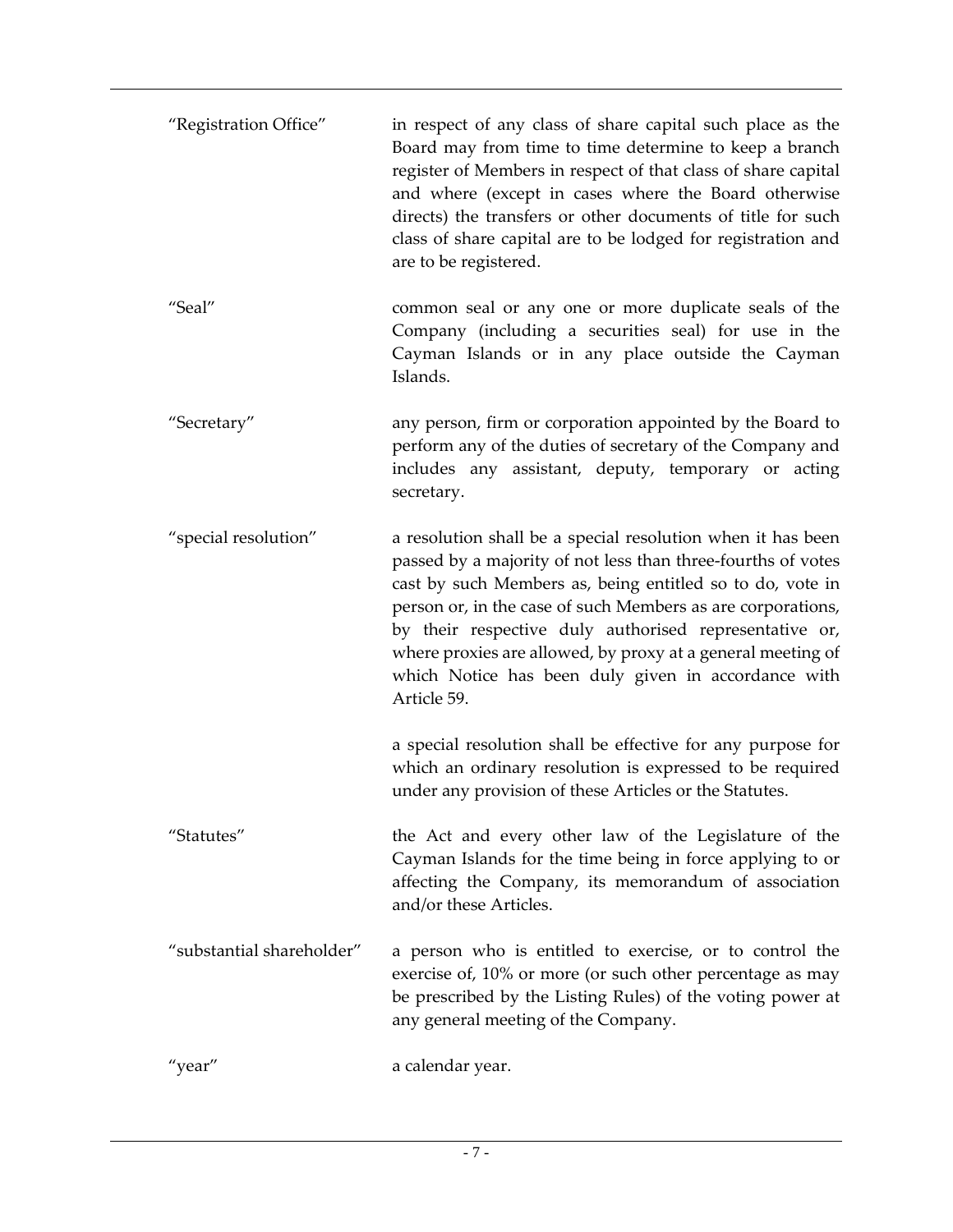| "Registration Office"     | in respect of any class of share capital such place as the<br>Board may from time to time determine to keep a branch<br>register of Members in respect of that class of share capital<br>and where (except in cases where the Board otherwise<br>directs) the transfers or other documents of title for such<br>class of share capital are to be lodged for registration and<br>are to be registered.                                                  |
|---------------------------|--------------------------------------------------------------------------------------------------------------------------------------------------------------------------------------------------------------------------------------------------------------------------------------------------------------------------------------------------------------------------------------------------------------------------------------------------------|
| "Seal"                    | common seal or any one or more duplicate seals of the<br>Company (including a securities seal) for use in the<br>Cayman Islands or in any place outside the Cayman<br>Islands.                                                                                                                                                                                                                                                                         |
| "Secretary"               | any person, firm or corporation appointed by the Board to<br>perform any of the duties of secretary of the Company and<br>includes any assistant, deputy, temporary or acting<br>secretary.                                                                                                                                                                                                                                                            |
| "special resolution"      | a resolution shall be a special resolution when it has been<br>passed by a majority of not less than three-fourths of votes<br>cast by such Members as, being entitled so to do, vote in<br>person or, in the case of such Members as are corporations,<br>by their respective duly authorised representative or,<br>where proxies are allowed, by proxy at a general meeting of<br>which Notice has been duly given in accordance with<br>Article 59. |
|                           | a special resolution shall be effective for any purpose for<br>which an ordinary resolution is expressed to be required<br>under any provision of these Articles or the Statutes.                                                                                                                                                                                                                                                                      |
| "Statutes"                | the Act and every other law of the Legislature of the<br>Cayman Islands for the time being in force applying to or<br>affecting the Company, its memorandum of association<br>and/or these Articles.                                                                                                                                                                                                                                                   |
| "substantial shareholder" | a person who is entitled to exercise, or to control the<br>exercise of, 10% or more (or such other percentage as may<br>be prescribed by the Listing Rules) of the voting power at<br>any general meeting of the Company.                                                                                                                                                                                                                              |
| "year"                    | a calendar year.                                                                                                                                                                                                                                                                                                                                                                                                                                       |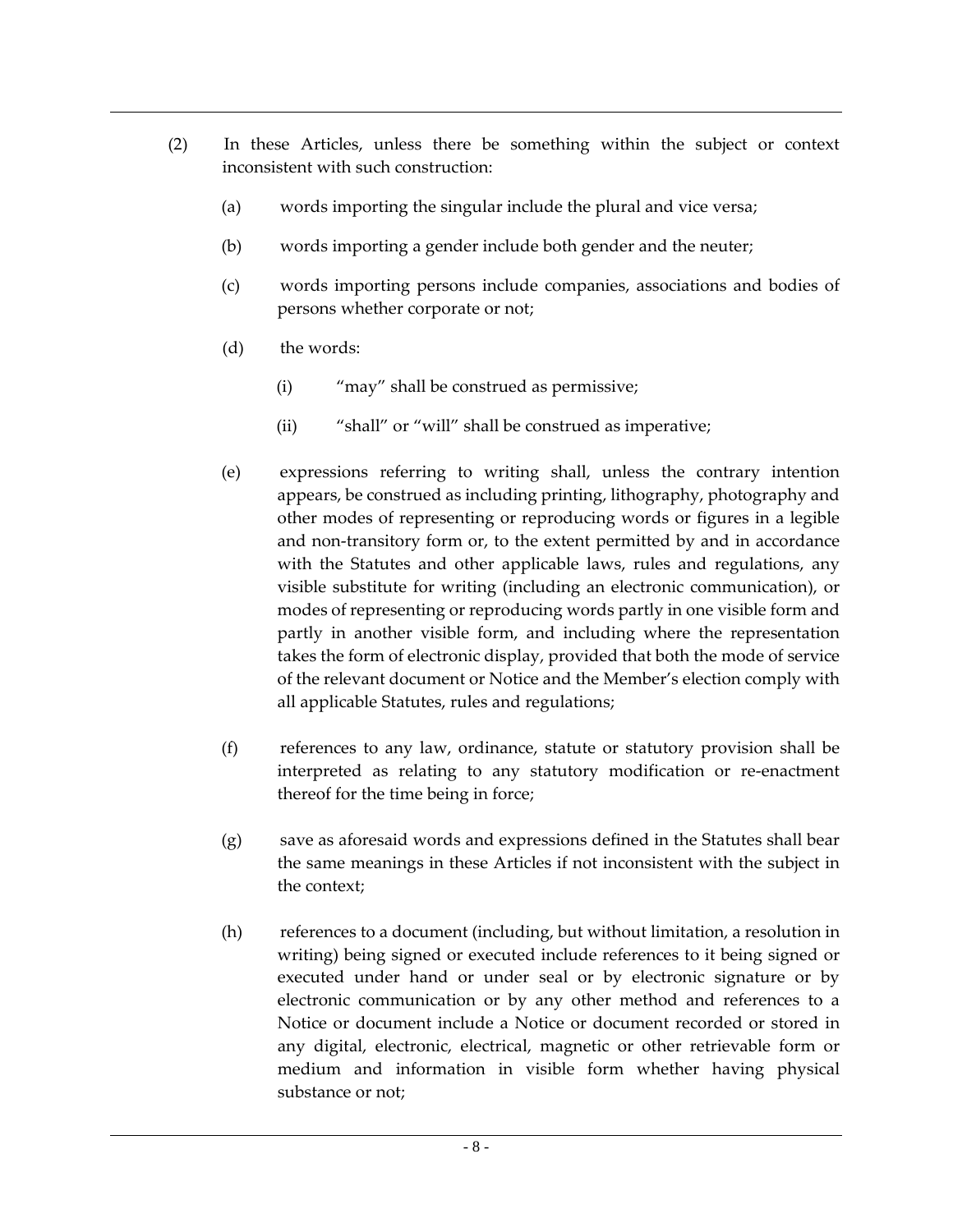- (2) In these Articles, unless there be something within the subject or context inconsistent with such construction:
	- (a) words importing the singular include the plural and vice versa;
	- (b) words importing a gender include both gender and the neuter;
	- (c) words importing persons include companies, associations and bodies of persons whether corporate or not;
	- (d) the words:
		- (i) "may" shall be construed as permissive;
		- (ii) "shall" or "will" shall be construed as imperative;
	- (e) expressions referring to writing shall, unless the contrary intention appears, be construed as including printing, lithography, photography and other modes of representing or reproducing words or figures in a legible and non-transitory form or, to the extent permitted by and in accordance with the Statutes and other applicable laws, rules and regulations, any visible substitute for writing (including an electronic communication), or modes of representing or reproducing words partly in one visible form and partly in another visible form, and including where the representation takes the form of electronic display, provided that both the mode of service of the relevant document or Notice and the Member's election comply with all applicable Statutes, rules and regulations;
	- (f) references to any law, ordinance, statute or statutory provision shall be interpreted as relating to any statutory modification or re-enactment thereof for the time being in force;
	- (g) save as aforesaid words and expressions defined in the Statutes shall bear the same meanings in these Articles if not inconsistent with the subject in the context;
	- (h) references to a document (including, but without limitation, a resolution in writing) being signed or executed include references to it being signed or executed under hand or under seal or by electronic signature or by electronic communication or by any other method and references to a Notice or document include a Notice or document recorded or stored in any digital, electronic, electrical, magnetic or other retrievable form or medium and information in visible form whether having physical substance or not;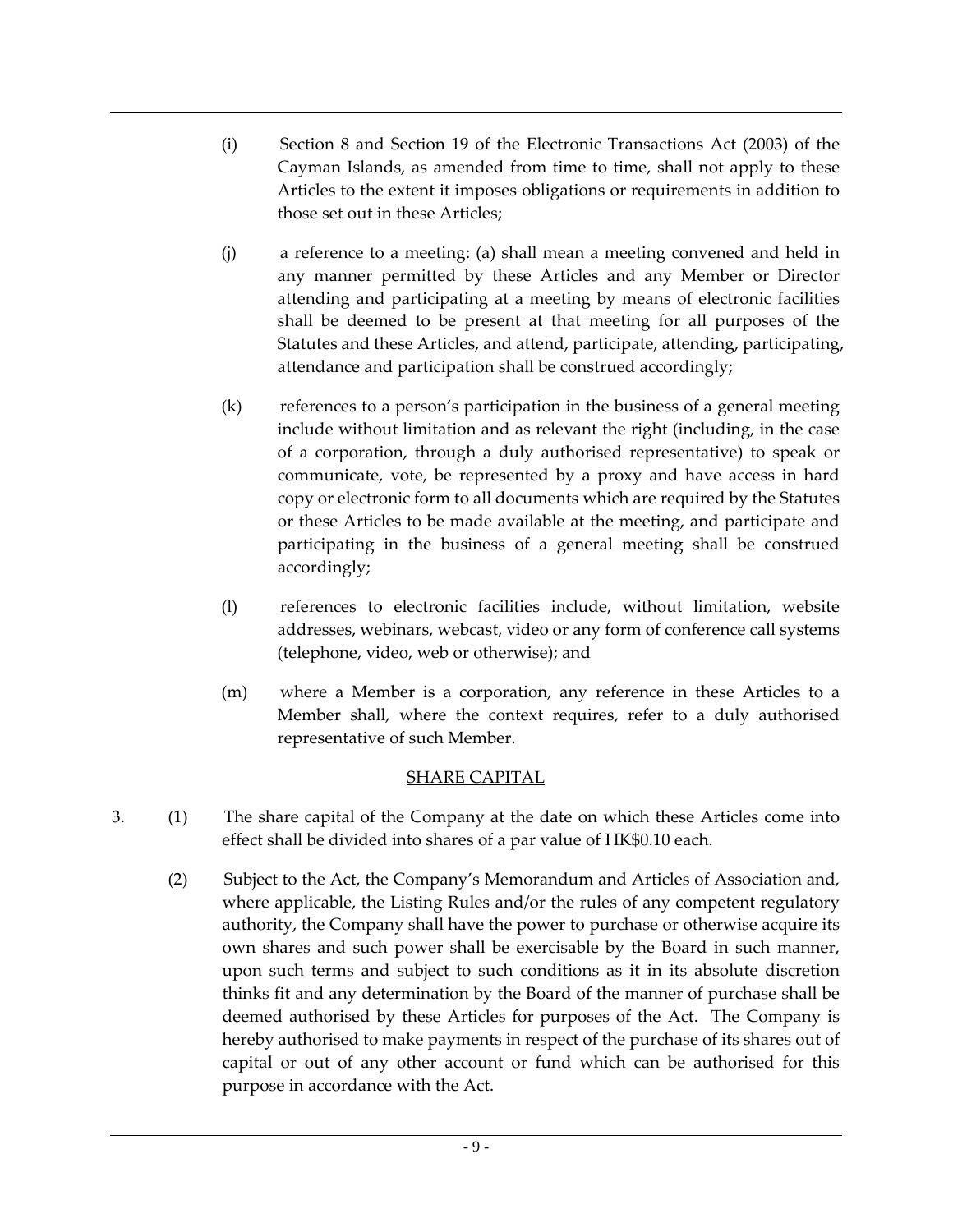- (i) Section 8 and Section 19 of the Electronic Transactions Act (2003) of the Cayman Islands, as amended from time to time, shall not apply to these Articles to the extent it imposes obligations or requirements in addition to those set out in these Articles;
- (j) a reference to a meeting: (a) shall mean a meeting convened and held in any manner permitted by these Articles and any Member or Director attending and participating at a meeting by means of electronic facilities shall be deemed to be present at that meeting for all purposes of the Statutes and these Articles, and attend, participate, attending, participating, attendance and participation shall be construed accordingly;
- (k) references to a person's participation in the business of a general meeting include without limitation and as relevant the right (including, in the case of a corporation, through a duly authorised representative) to speak or communicate, vote, be represented by a proxy and have access in hard copy or electronic form to all documents which are required by the Statutes or these Articles to be made available at the meeting, and participate and participating in the business of a general meeting shall be construed accordingly;
- (l) references to electronic facilities include, without limitation, website addresses, webinars, webcast, video or any form of conference call systems (telephone, video, web or otherwise); and
- (m) where a Member is a corporation, any reference in these Articles to a Member shall, where the context requires, refer to a duly authorised representative of such Member.

#### SHARE CAPITAL

- 3. (1) The share capital of the Company at the date on which these Articles come into effect shall be divided into shares of a par value of HK\$0.10 each.
	- (2) Subject to the Act, the Company's Memorandum and Articles of Association and, where applicable, the Listing Rules and/or the rules of any competent regulatory authority, the Company shall have the power to purchase or otherwise acquire its own shares and such power shall be exercisable by the Board in such manner, upon such terms and subject to such conditions as it in its absolute discretion thinks fit and any determination by the Board of the manner of purchase shall be deemed authorised by these Articles for purposes of the Act. The Company is hereby authorised to make payments in respect of the purchase of its shares out of capital or out of any other account or fund which can be authorised for this purpose in accordance with the Act.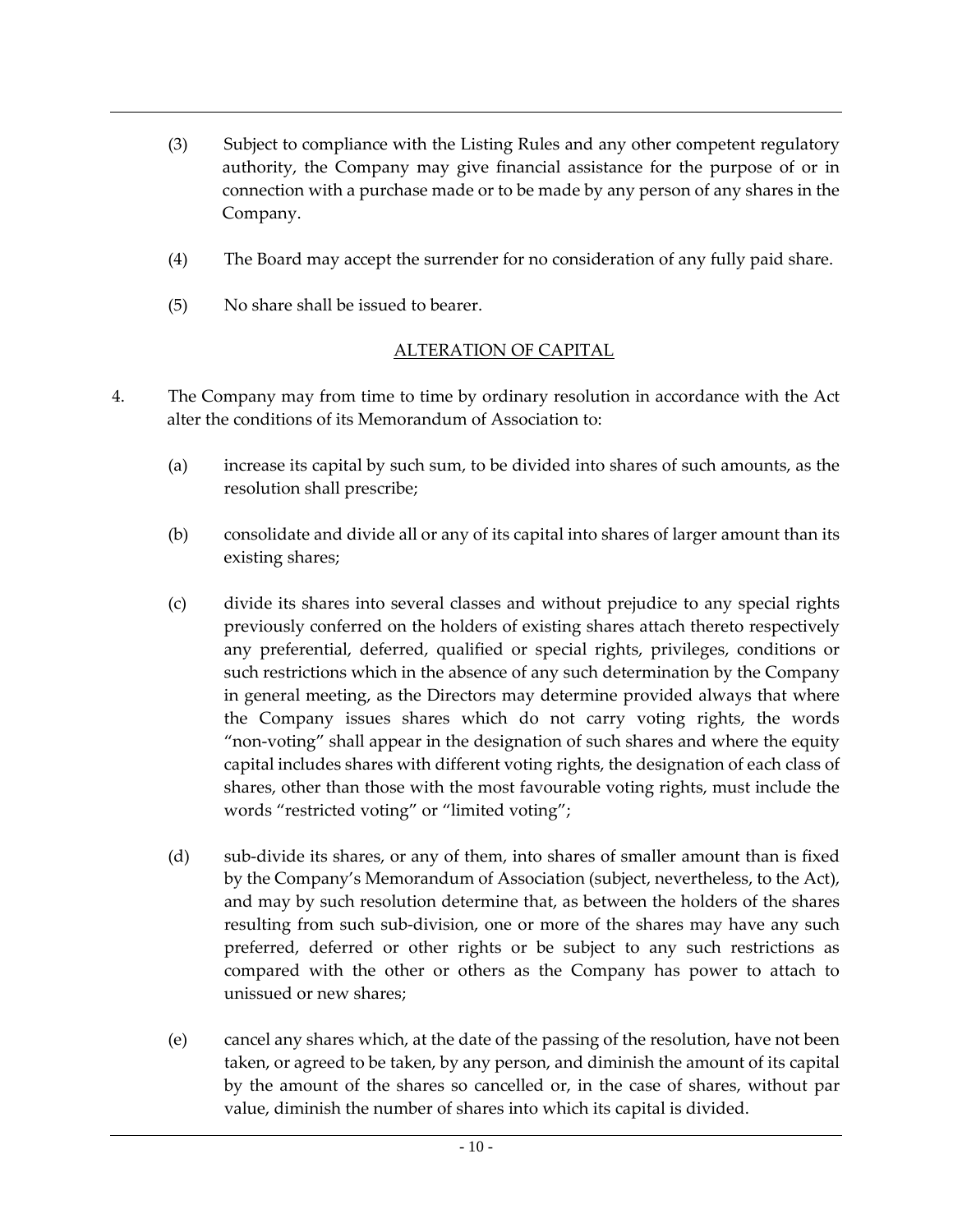- (3) Subject to compliance with the Listing Rules and any other competent regulatory authority, the Company may give financial assistance for the purpose of or in connection with a purchase made or to be made by any person of any shares in the Company.
- (4) The Board may accept the surrender for no consideration of any fully paid share.
- (5) No share shall be issued to bearer.

## ALTERATION OF CAPITAL

- 4. The Company may from time to time by ordinary resolution in accordance with the Act alter the conditions of its Memorandum of Association to:
	- (a) increase its capital by such sum, to be divided into shares of such amounts, as the resolution shall prescribe;
	- (b) consolidate and divide all or any of its capital into shares of larger amount than its existing shares;
	- (c) divide its shares into several classes and without prejudice to any special rights previously conferred on the holders of existing shares attach thereto respectively any preferential, deferred, qualified or special rights, privileges, conditions or such restrictions which in the absence of any such determination by the Company in general meeting, as the Directors may determine provided always that where the Company issues shares which do not carry voting rights, the words "non-voting" shall appear in the designation of such shares and where the equity capital includes shares with different voting rights, the designation of each class of shares, other than those with the most favourable voting rights, must include the words "restricted voting" or "limited voting";
	- (d) sub-divide its shares, or any of them, into shares of smaller amount than is fixed by the Company's Memorandum of Association (subject, nevertheless, to the Act), and may by such resolution determine that, as between the holders of the shares resulting from such sub-division, one or more of the shares may have any such preferred, deferred or other rights or be subject to any such restrictions as compared with the other or others as the Company has power to attach to unissued or new shares;
	- (e) cancel any shares which, at the date of the passing of the resolution, have not been taken, or agreed to be taken, by any person, and diminish the amount of its capital by the amount of the shares so cancelled or, in the case of shares, without par value, diminish the number of shares into which its capital is divided.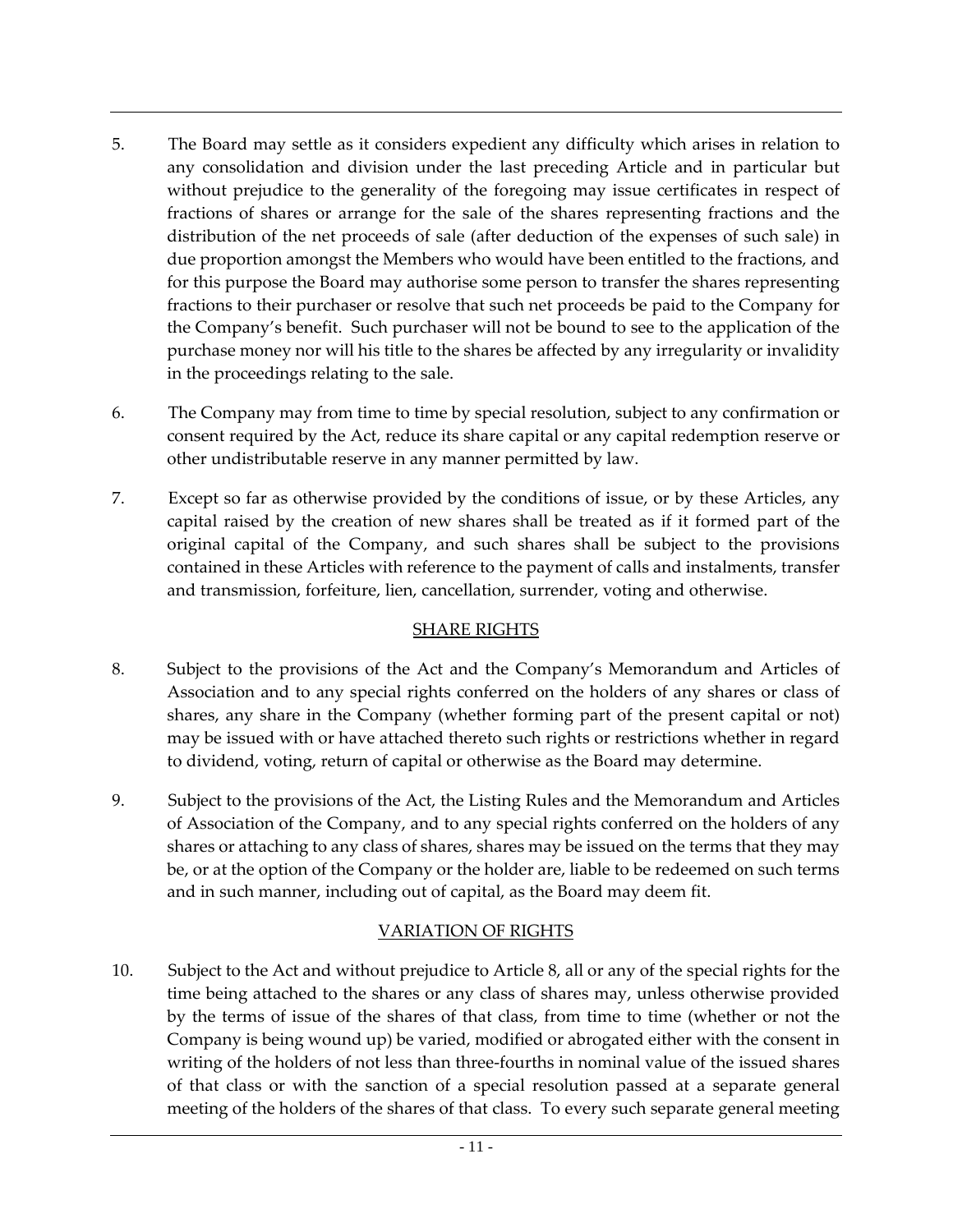- 5. The Board may settle as it considers expedient any difficulty which arises in relation to any consolidation and division under the last preceding Article and in particular but without prejudice to the generality of the foregoing may issue certificates in respect of fractions of shares or arrange for the sale of the shares representing fractions and the distribution of the net proceeds of sale (after deduction of the expenses of such sale) in due proportion amongst the Members who would have been entitled to the fractions, and for this purpose the Board may authorise some person to transfer the shares representing fractions to their purchaser or resolve that such net proceeds be paid to the Company for the Company's benefit. Such purchaser will not be bound to see to the application of the purchase money nor will his title to the shares be affected by any irregularity or invalidity in the proceedings relating to the sale.
- 6. The Company may from time to time by special resolution, subject to any confirmation or consent required by the Act, reduce its share capital or any capital redemption reserve or other undistributable reserve in any manner permitted by law.
- 7. Except so far as otherwise provided by the conditions of issue, or by these Articles, any capital raised by the creation of new shares shall be treated as if it formed part of the original capital of the Company, and such shares shall be subject to the provisions contained in these Articles with reference to the payment of calls and instalments, transfer and transmission, forfeiture, lien, cancellation, surrender, voting and otherwise.

# SHARE RIGHTS

- 8. Subject to the provisions of the Act and the Company's Memorandum and Articles of Association and to any special rights conferred on the holders of any shares or class of shares, any share in the Company (whether forming part of the present capital or not) may be issued with or have attached thereto such rights or restrictions whether in regard to dividend, voting, return of capital or otherwise as the Board may determine.
- 9. Subject to the provisions of the Act, the Listing Rules and the Memorandum and Articles of Association of the Company, and to any special rights conferred on the holders of any shares or attaching to any class of shares, shares may be issued on the terms that they may be, or at the option of the Company or the holder are, liable to be redeemed on such terms and in such manner, including out of capital, as the Board may deem fit.

# VARIATION OF RIGHTS

10. Subject to the Act and without prejudice to Article 8, all or any of the special rights for the time being attached to the shares or any class of shares may, unless otherwise provided by the terms of issue of the shares of that class, from time to time (whether or not the Company is being wound up) be varied, modified or abrogated either with the consent in writing of the holders of not less than three-fourths in nominal value of the issued shares of that class or with the sanction of a special resolution passed at a separate general meeting of the holders of the shares of that class. To every such separate general meeting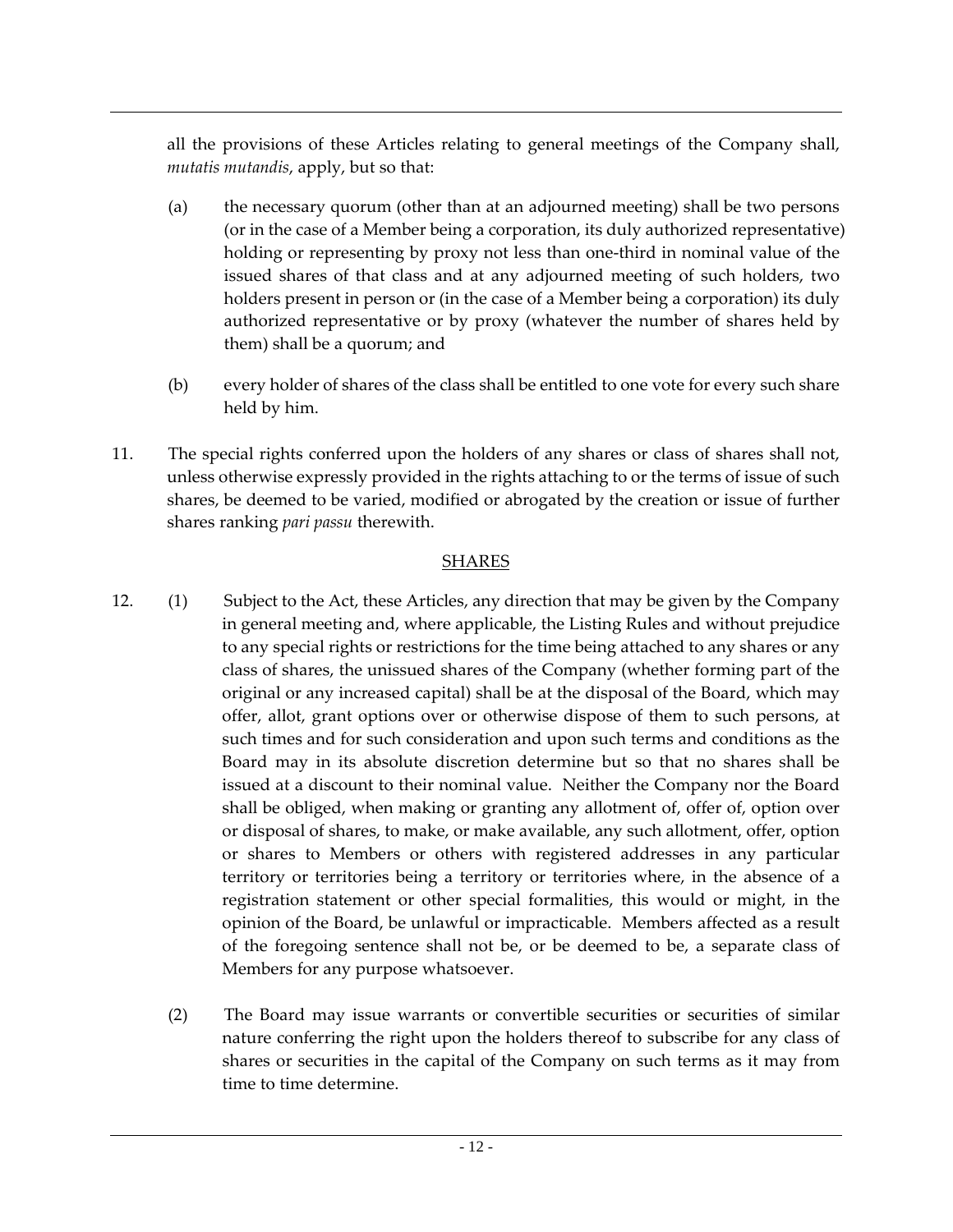all the provisions of these Articles relating to general meetings of the Company shall, *mutatis mutandis*, apply, but so that:

- (a) the necessary quorum (other than at an adjourned meeting) shall be two persons (or in the case of a Member being a corporation, its duly authorized representative) holding or representing by proxy not less than one-third in nominal value of the issued shares of that class and at any adjourned meeting of such holders, two holders present in person or (in the case of a Member being a corporation) its duly authorized representative or by proxy (whatever the number of shares held by them) shall be a quorum; and
- (b) every holder of shares of the class shall be entitled to one vote for every such share held by him.
- 11. The special rights conferred upon the holders of any shares or class of shares shall not, unless otherwise expressly provided in the rights attaching to or the terms of issue of such shares, be deemed to be varied, modified or abrogated by the creation or issue of further shares ranking *pari passu* therewith.

## **SHARES**

- 12. (1) Subject to the Act, these Articles, any direction that may be given by the Company in general meeting and, where applicable, the Listing Rules and without prejudice to any special rights or restrictions for the time being attached to any shares or any class of shares, the unissued shares of the Company (whether forming part of the original or any increased capital) shall be at the disposal of the Board, which may offer, allot, grant options over or otherwise dispose of them to such persons, at such times and for such consideration and upon such terms and conditions as the Board may in its absolute discretion determine but so that no shares shall be issued at a discount to their nominal value. Neither the Company nor the Board shall be obliged, when making or granting any allotment of, offer of, option over or disposal of shares, to make, or make available, any such allotment, offer, option or shares to Members or others with registered addresses in any particular territory or territories being a territory or territories where, in the absence of a registration statement or other special formalities, this would or might, in the opinion of the Board, be unlawful or impracticable. Members affected as a result of the foregoing sentence shall not be, or be deemed to be, a separate class of Members for any purpose whatsoever.
	- (2) The Board may issue warrants or convertible securities or securities of similar nature conferring the right upon the holders thereof to subscribe for any class of shares or securities in the capital of the Company on such terms as it may from time to time determine.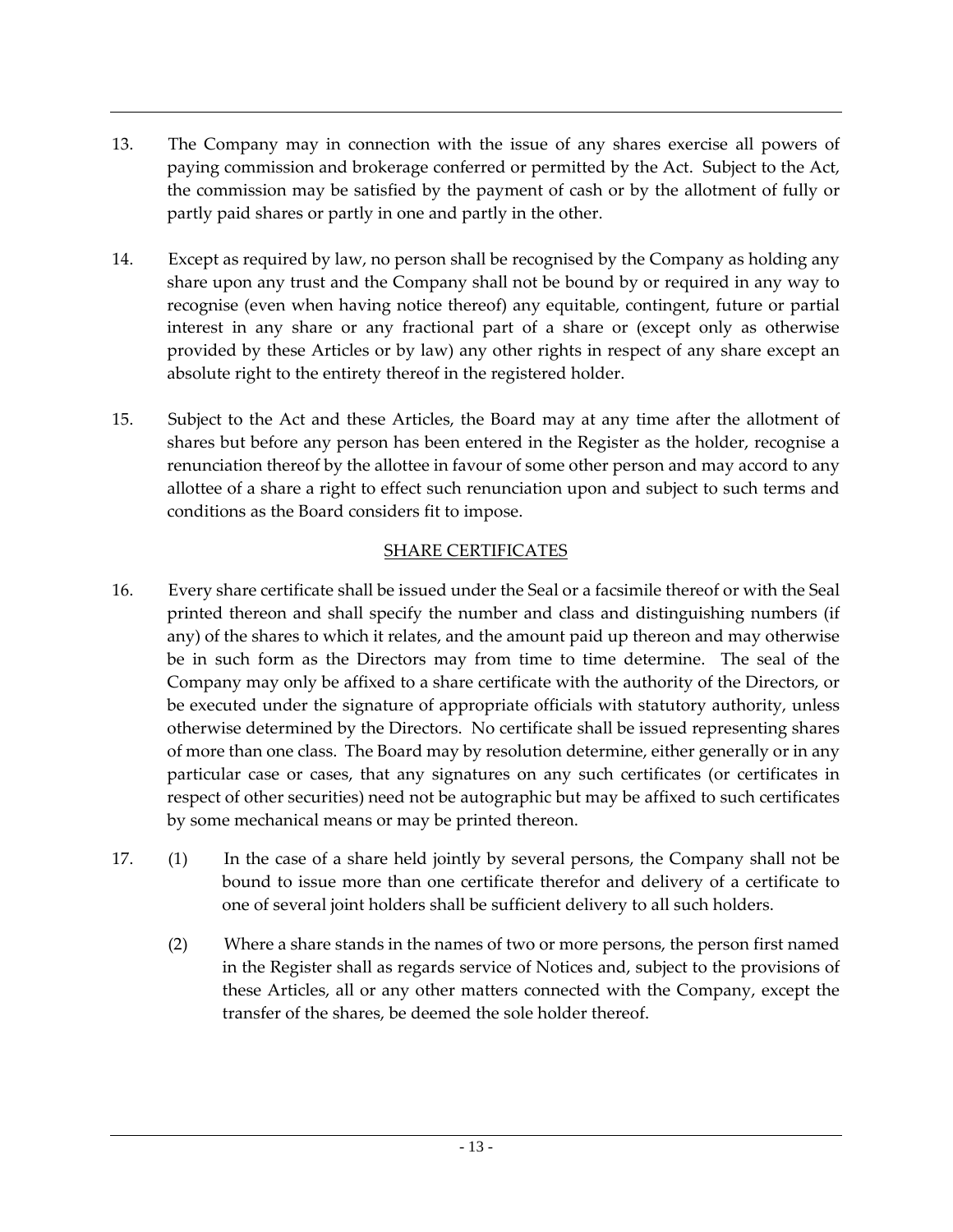- 13. The Company may in connection with the issue of any shares exercise all powers of paying commission and brokerage conferred or permitted by the Act. Subject to the Act, the commission may be satisfied by the payment of cash or by the allotment of fully or partly paid shares or partly in one and partly in the other.
- 14. Except as required by law, no person shall be recognised by the Company as holding any share upon any trust and the Company shall not be bound by or required in any way to recognise (even when having notice thereof) any equitable, contingent, future or partial interest in any share or any fractional part of a share or (except only as otherwise provided by these Articles or by law) any other rights in respect of any share except an absolute right to the entirety thereof in the registered holder.
- 15. Subject to the Act and these Articles, the Board may at any time after the allotment of shares but before any person has been entered in the Register as the holder, recognise a renunciation thereof by the allottee in favour of some other person and may accord to any allottee of a share a right to effect such renunciation upon and subject to such terms and conditions as the Board considers fit to impose.

## SHARE CERTIFICATES

- 16. Every share certificate shall be issued under the Seal or a facsimile thereof or with the Seal printed thereon and shall specify the number and class and distinguishing numbers (if any) of the shares to which it relates, and the amount paid up thereon and may otherwise be in such form as the Directors may from time to time determine. The seal of the Company may only be affixed to a share certificate with the authority of the Directors, or be executed under the signature of appropriate officials with statutory authority, unless otherwise determined by the Directors. No certificate shall be issued representing shares of more than one class. The Board may by resolution determine, either generally or in any particular case or cases, that any signatures on any such certificates (or certificates in respect of other securities) need not be autographic but may be affixed to such certificates by some mechanical means or may be printed thereon.
- 17. (1) In the case of a share held jointly by several persons, the Company shall not be bound to issue more than one certificate therefor and delivery of a certificate to one of several joint holders shall be sufficient delivery to all such holders.
	- (2) Where a share stands in the names of two or more persons, the person first named in the Register shall as regards service of Notices and, subject to the provisions of these Articles, all or any other matters connected with the Company, except the transfer of the shares, be deemed the sole holder thereof.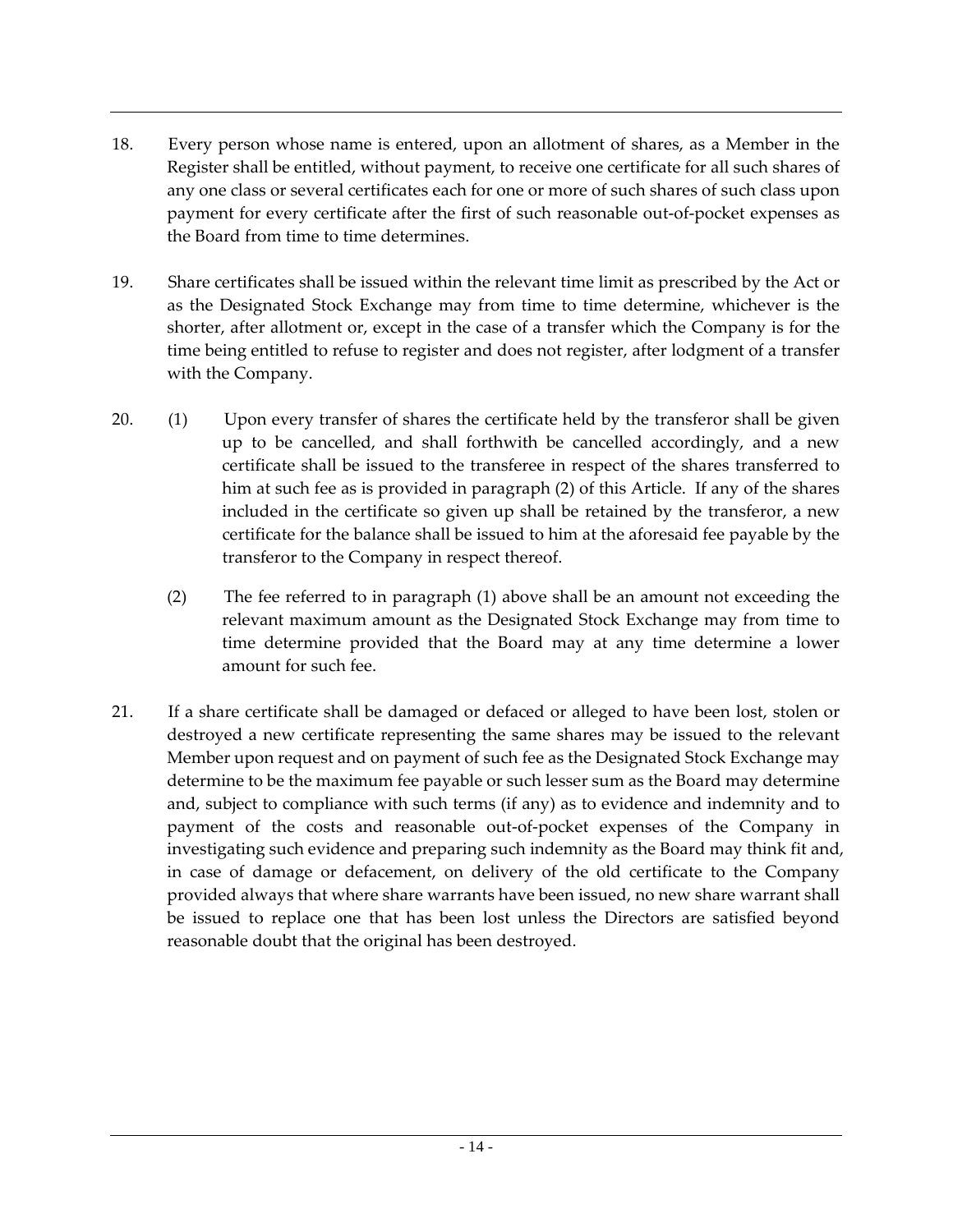- 18. Every person whose name is entered, upon an allotment of shares, as a Member in the Register shall be entitled, without payment, to receive one certificate for all such shares of any one class or several certificates each for one or more of such shares of such class upon payment for every certificate after the first of such reasonable out-of-pocket expenses as the Board from time to time determines.
- 19. Share certificates shall be issued within the relevant time limit as prescribed by the Act or as the Designated Stock Exchange may from time to time determine, whichever is the shorter, after allotment or, except in the case of a transfer which the Company is for the time being entitled to refuse to register and does not register, after lodgment of a transfer with the Company.
- 20. (1) Upon every transfer of shares the certificate held by the transferor shall be given up to be cancelled, and shall forthwith be cancelled accordingly, and a new certificate shall be issued to the transferee in respect of the shares transferred to him at such fee as is provided in paragraph (2) of this Article. If any of the shares included in the certificate so given up shall be retained by the transferor, a new certificate for the balance shall be issued to him at the aforesaid fee payable by the transferor to the Company in respect thereof.
	- (2) The fee referred to in paragraph (1) above shall be an amount not exceeding the relevant maximum amount as the Designated Stock Exchange may from time to time determine provided that the Board may at any time determine a lower amount for such fee.
- 21. If a share certificate shall be damaged or defaced or alleged to have been lost, stolen or destroyed a new certificate representing the same shares may be issued to the relevant Member upon request and on payment of such fee as the Designated Stock Exchange may determine to be the maximum fee payable or such lesser sum as the Board may determine and, subject to compliance with such terms (if any) as to evidence and indemnity and to payment of the costs and reasonable out-of-pocket expenses of the Company in investigating such evidence and preparing such indemnity as the Board may think fit and, in case of damage or defacement, on delivery of the old certificate to the Company provided always that where share warrants have been issued, no new share warrant shall be issued to replace one that has been lost unless the Directors are satisfied beyond reasonable doubt that the original has been destroyed.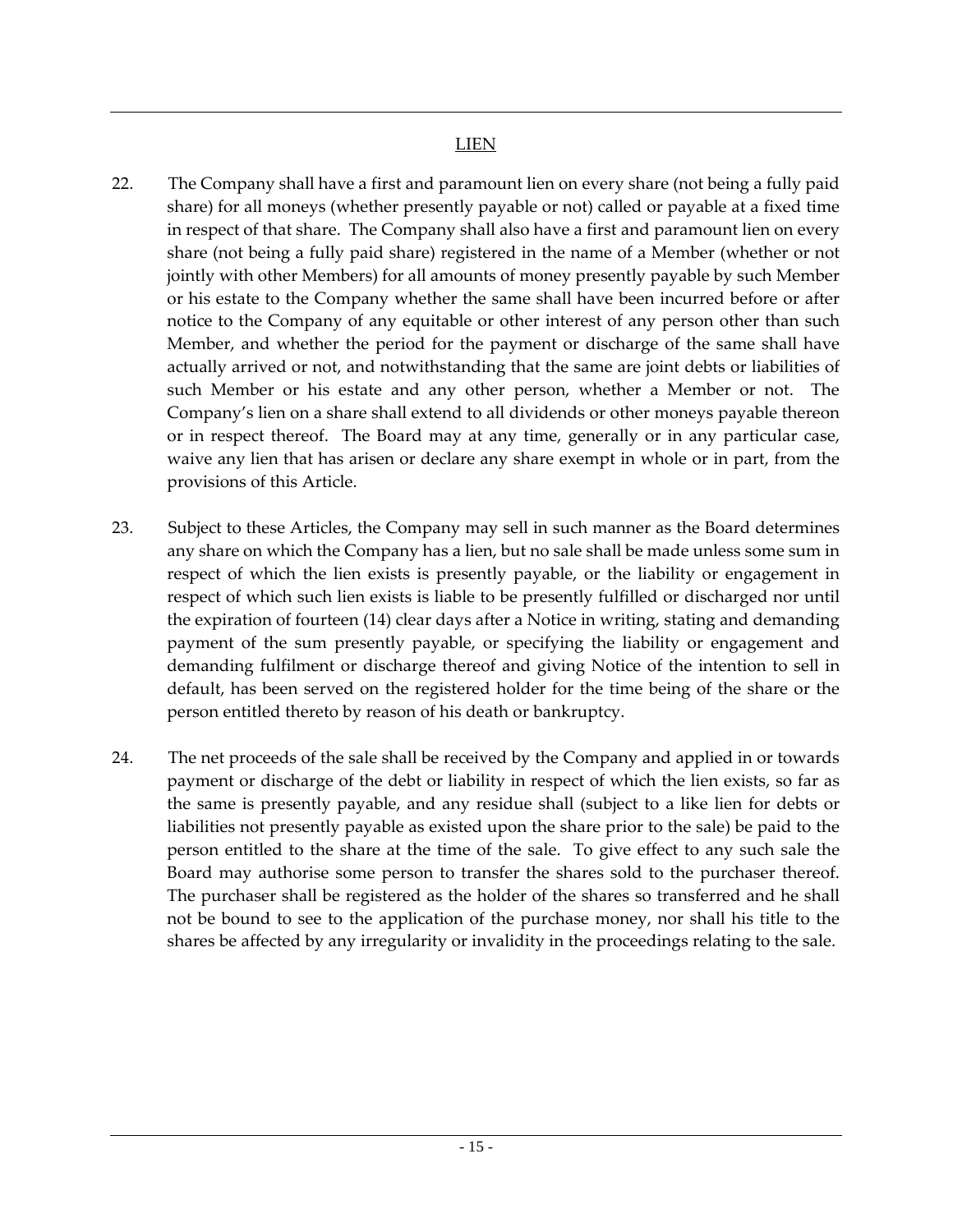- 22. The Company shall have a first and paramount lien on every share (not being a fully paid share) for all moneys (whether presently payable or not) called or payable at a fixed time in respect of that share. The Company shall also have a first and paramount lien on every share (not being a fully paid share) registered in the name of a Member (whether or not jointly with other Members) for all amounts of money presently payable by such Member or his estate to the Company whether the same shall have been incurred before or after notice to the Company of any equitable or other interest of any person other than such Member, and whether the period for the payment or discharge of the same shall have actually arrived or not, and notwithstanding that the same are joint debts or liabilities of such Member or his estate and any other person, whether a Member or not. The Company's lien on a share shall extend to all dividends or other moneys payable thereon or in respect thereof. The Board may at any time, generally or in any particular case, waive any lien that has arisen or declare any share exempt in whole or in part, from the provisions of this Article.
- 23. Subject to these Articles, the Company may sell in such manner as the Board determines any share on which the Company has a lien, but no sale shall be made unless some sum in respect of which the lien exists is presently payable, or the liability or engagement in respect of which such lien exists is liable to be presently fulfilled or discharged nor until the expiration of fourteen (14) clear days after a Notice in writing, stating and demanding payment of the sum presently payable, or specifying the liability or engagement and demanding fulfilment or discharge thereof and giving Notice of the intention to sell in default, has been served on the registered holder for the time being of the share or the person entitled thereto by reason of his death or bankruptcy.
- 24. The net proceeds of the sale shall be received by the Company and applied in or towards payment or discharge of the debt or liability in respect of which the lien exists, so far as the same is presently payable, and any residue shall (subject to a like lien for debts or liabilities not presently payable as existed upon the share prior to the sale) be paid to the person entitled to the share at the time of the sale. To give effect to any such sale the Board may authorise some person to transfer the shares sold to the purchaser thereof. The purchaser shall be registered as the holder of the shares so transferred and he shall not be bound to see to the application of the purchase money, nor shall his title to the shares be affected by any irregularity or invalidity in the proceedings relating to the sale.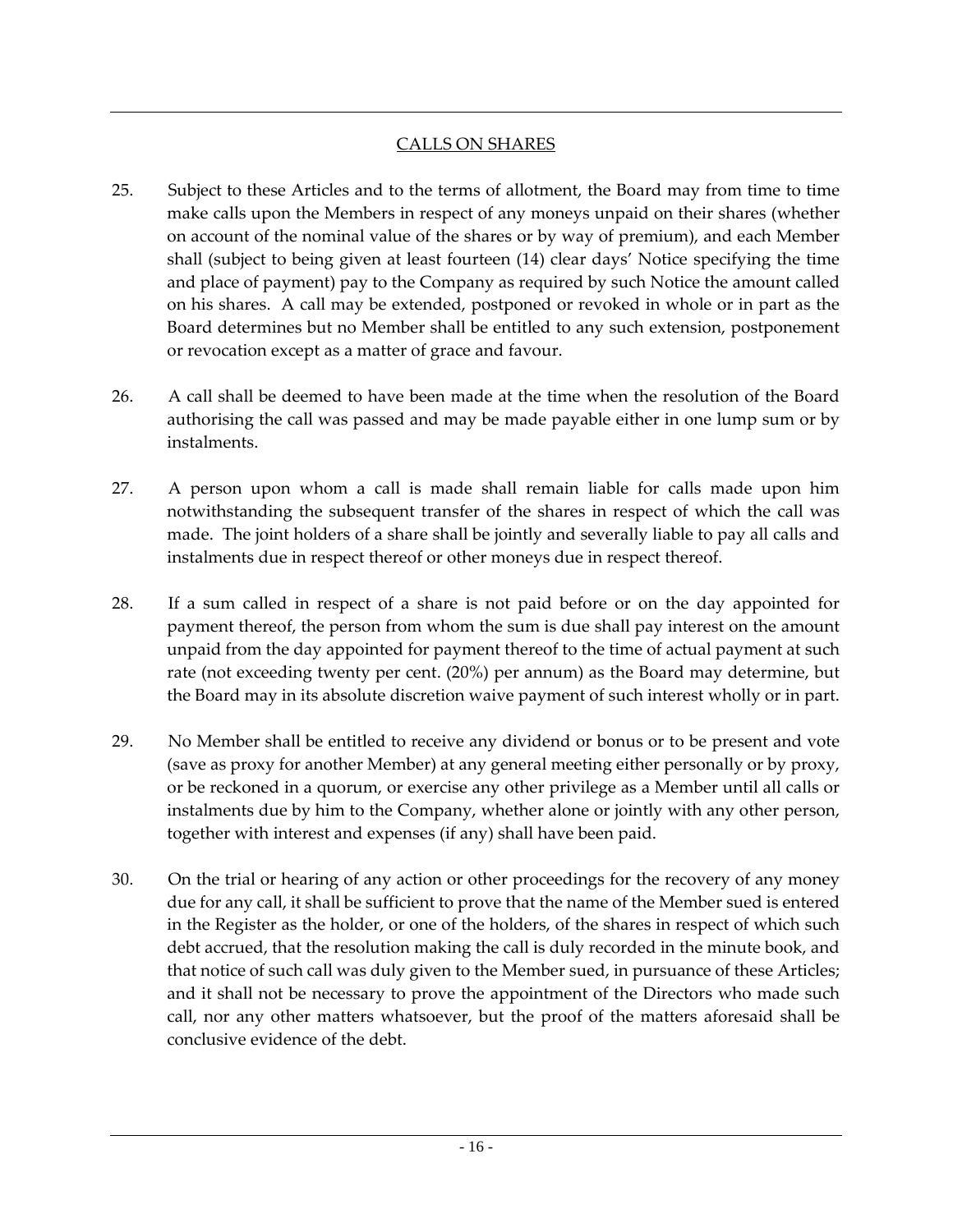## CALLS ON SHARES

- 25. Subject to these Articles and to the terms of allotment, the Board may from time to time make calls upon the Members in respect of any moneys unpaid on their shares (whether on account of the nominal value of the shares or by way of premium), and each Member shall (subject to being given at least fourteen (14) clear days' Notice specifying the time and place of payment) pay to the Company as required by such Notice the amount called on his shares. A call may be extended, postponed or revoked in whole or in part as the Board determines but no Member shall be entitled to any such extension, postponement or revocation except as a matter of grace and favour.
- 26. A call shall be deemed to have been made at the time when the resolution of the Board authorising the call was passed and may be made payable either in one lump sum or by instalments.
- 27. A person upon whom a call is made shall remain liable for calls made upon him notwithstanding the subsequent transfer of the shares in respect of which the call was made. The joint holders of a share shall be jointly and severally liable to pay all calls and instalments due in respect thereof or other moneys due in respect thereof.
- 28. If a sum called in respect of a share is not paid before or on the day appointed for payment thereof, the person from whom the sum is due shall pay interest on the amount unpaid from the day appointed for payment thereof to the time of actual payment at such rate (not exceeding twenty per cent. (20%) per annum) as the Board may determine, but the Board may in its absolute discretion waive payment of such interest wholly or in part.
- 29. No Member shall be entitled to receive any dividend or bonus or to be present and vote (save as proxy for another Member) at any general meeting either personally or by proxy, or be reckoned in a quorum, or exercise any other privilege as a Member until all calls or instalments due by him to the Company, whether alone or jointly with any other person, together with interest and expenses (if any) shall have been paid.
- 30. On the trial or hearing of any action or other proceedings for the recovery of any money due for any call, it shall be sufficient to prove that the name of the Member sued is entered in the Register as the holder, or one of the holders, of the shares in respect of which such debt accrued, that the resolution making the call is duly recorded in the minute book, and that notice of such call was duly given to the Member sued, in pursuance of these Articles; and it shall not be necessary to prove the appointment of the Directors who made such call, nor any other matters whatsoever, but the proof of the matters aforesaid shall be conclusive evidence of the debt.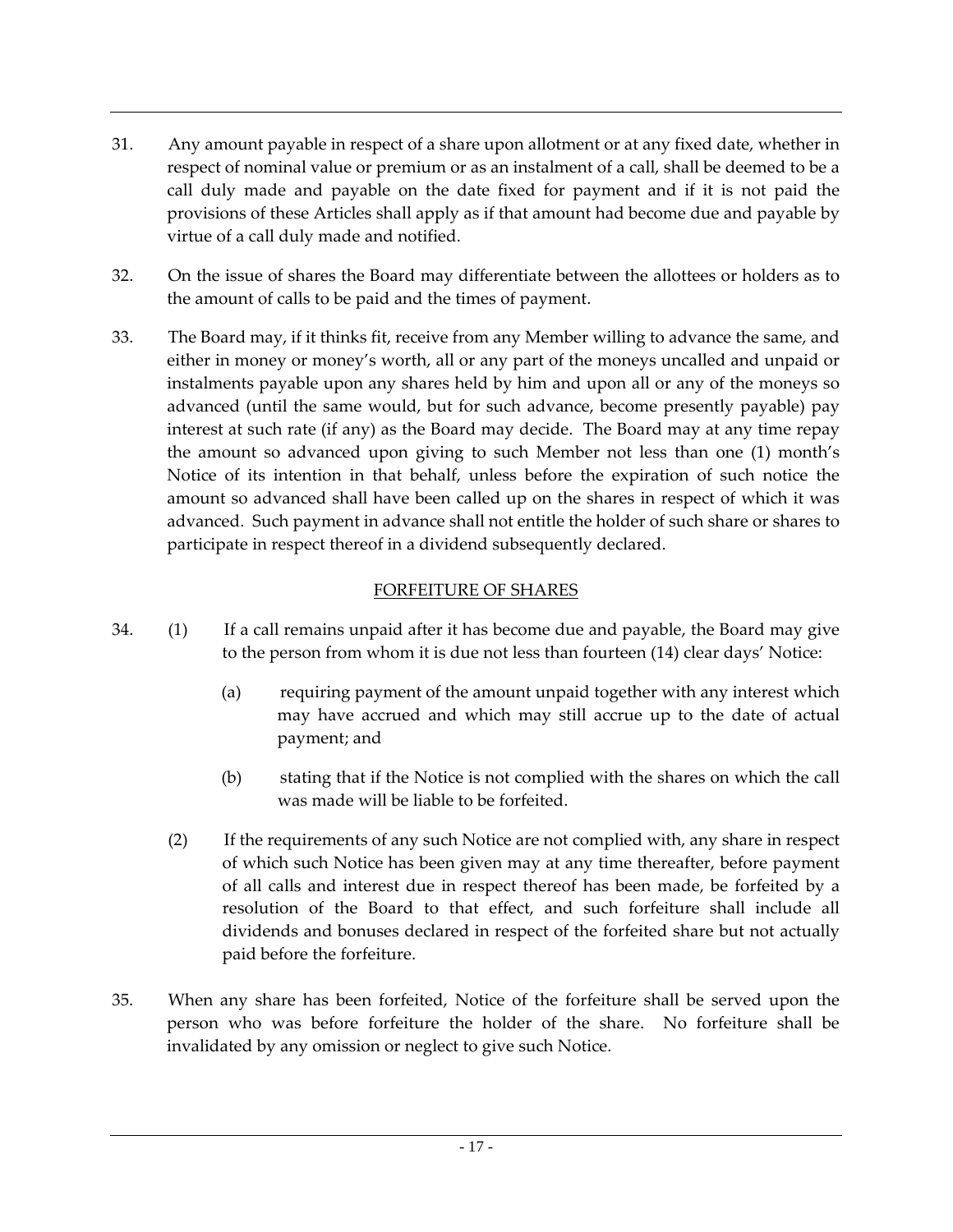- 31. Any amount payable in respect of a share upon allotment or at any fixed date, whether in respect of nominal value or premium or as an instalment of a call, shall be deemed to be a call duly made and payable on the date fixed for payment and if it is not paid the provisions of these Articles shall apply as if that amount had become due and payable by virtue of a call duly made and notified.
- 32. On the issue of shares the Board may differentiate between the allottees or holders as to the amount of calls to be paid and the times of payment.
- 33. The Board may, if it thinks fit, receive from any Member willing to advance the same, and either in money or money's worth, all or any part of the moneys uncalled and unpaid or instalments payable upon any shares held by him and upon all or any of the moneys so advanced (until the same would, but for such advance, become presently payable) pay interest at such rate (if any) as the Board may decide. The Board may at any time repay the amount so advanced upon giving to such Member not less than one (1) month's Notice of its intention in that behalf, unless before the expiration of such notice the amount so advanced shall have been called up on the shares in respect of which it was advanced. Such payment in advance shall not entitle the holder of such share or shares to participate in respect thereof in a dividend subsequently declared.

## FORFEITURE OF SHARES

- 34. (1) If a call remains unpaid after it has become due and payable, the Board may give to the person from whom it is due not less than fourteen (14) clear days' Notice:
	- (a) requiring payment of the amount unpaid together with any interest which may have accrued and which may still accrue up to the date of actual payment; and
	- (b) stating that if the Notice is not complied with the shares on which the call was made will be liable to be forfeited.
	- (2) If the requirements of any such Notice are not complied with, any share in respect of which such Notice has been given may at any time thereafter, before payment of all calls and interest due in respect thereof has been made, be forfeited by a resolution of the Board to that effect, and such forfeiture shall include all dividends and bonuses declared in respect of the forfeited share but not actually paid before the forfeiture.
- 35. When any share has been forfeited, Notice of the forfeiture shall be served upon the person who was before forfeiture the holder of the share. No forfeiture shall be invalidated by any omission or neglect to give such Notice.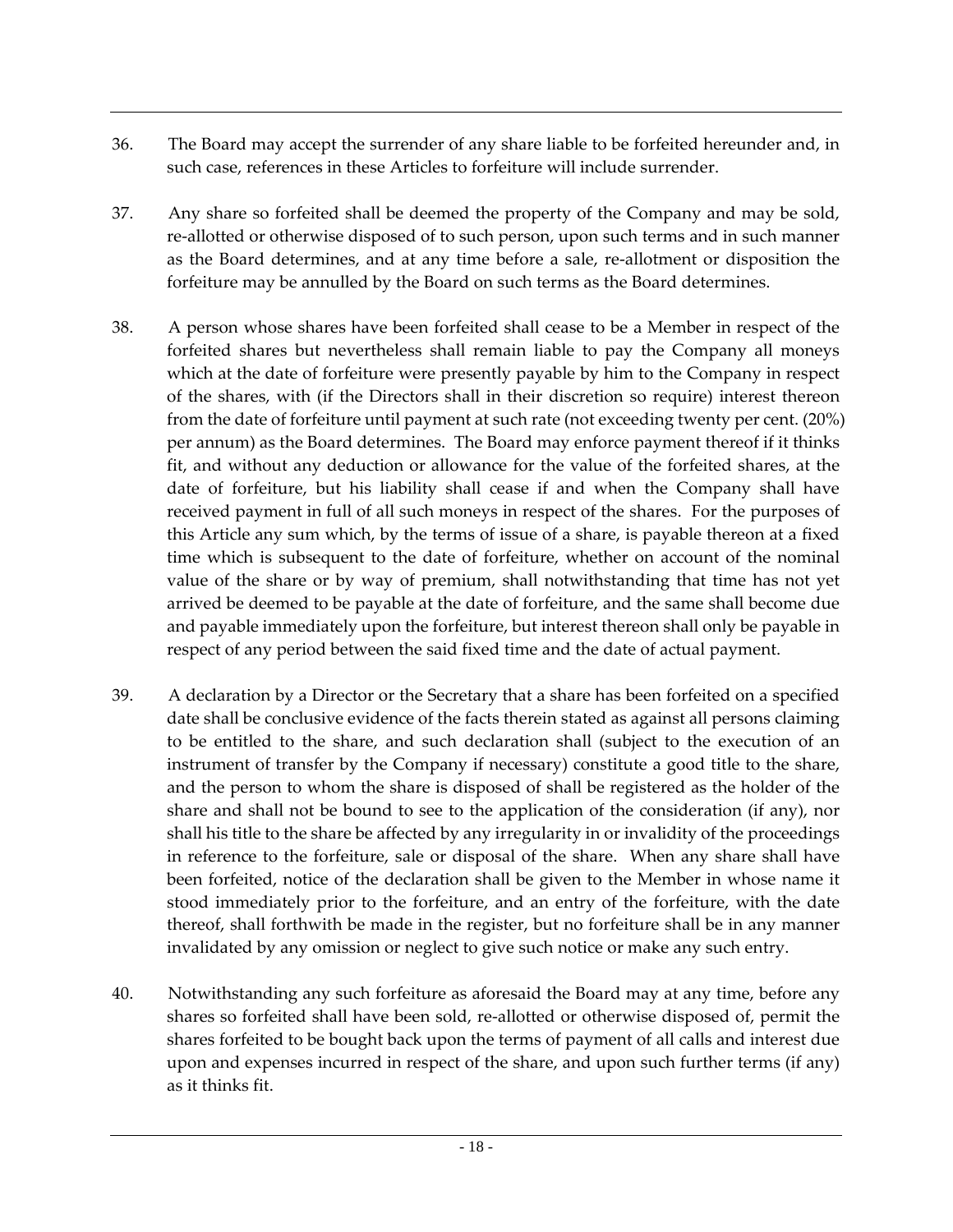- 36. The Board may accept the surrender of any share liable to be forfeited hereunder and, in such case, references in these Articles to forfeiture will include surrender.
- 37. Any share so forfeited shall be deemed the property of the Company and may be sold, re-allotted or otherwise disposed of to such person, upon such terms and in such manner as the Board determines, and at any time before a sale, re-allotment or disposition the forfeiture may be annulled by the Board on such terms as the Board determines.
- 38. A person whose shares have been forfeited shall cease to be a Member in respect of the forfeited shares but nevertheless shall remain liable to pay the Company all moneys which at the date of forfeiture were presently payable by him to the Company in respect of the shares, with (if the Directors shall in their discretion so require) interest thereon from the date of forfeiture until payment at such rate (not exceeding twenty per cent. (20%) per annum) as the Board determines. The Board may enforce payment thereof if it thinks fit, and without any deduction or allowance for the value of the forfeited shares, at the date of forfeiture, but his liability shall cease if and when the Company shall have received payment in full of all such moneys in respect of the shares. For the purposes of this Article any sum which, by the terms of issue of a share, is payable thereon at a fixed time which is subsequent to the date of forfeiture, whether on account of the nominal value of the share or by way of premium, shall notwithstanding that time has not yet arrived be deemed to be payable at the date of forfeiture, and the same shall become due and payable immediately upon the forfeiture, but interest thereon shall only be payable in respect of any period between the said fixed time and the date of actual payment.
- 39. A declaration by a Director or the Secretary that a share has been forfeited on a specified date shall be conclusive evidence of the facts therein stated as against all persons claiming to be entitled to the share, and such declaration shall (subject to the execution of an instrument of transfer by the Company if necessary) constitute a good title to the share, and the person to whom the share is disposed of shall be registered as the holder of the share and shall not be bound to see to the application of the consideration (if any), nor shall his title to the share be affected by any irregularity in or invalidity of the proceedings in reference to the forfeiture, sale or disposal of the share. When any share shall have been forfeited, notice of the declaration shall be given to the Member in whose name it stood immediately prior to the forfeiture, and an entry of the forfeiture, with the date thereof, shall forthwith be made in the register, but no forfeiture shall be in any manner invalidated by any omission or neglect to give such notice or make any such entry.
- 40. Notwithstanding any such forfeiture as aforesaid the Board may at any time, before any shares so forfeited shall have been sold, re-allotted or otherwise disposed of, permit the shares forfeited to be bought back upon the terms of payment of all calls and interest due upon and expenses incurred in respect of the share, and upon such further terms (if any) as it thinks fit.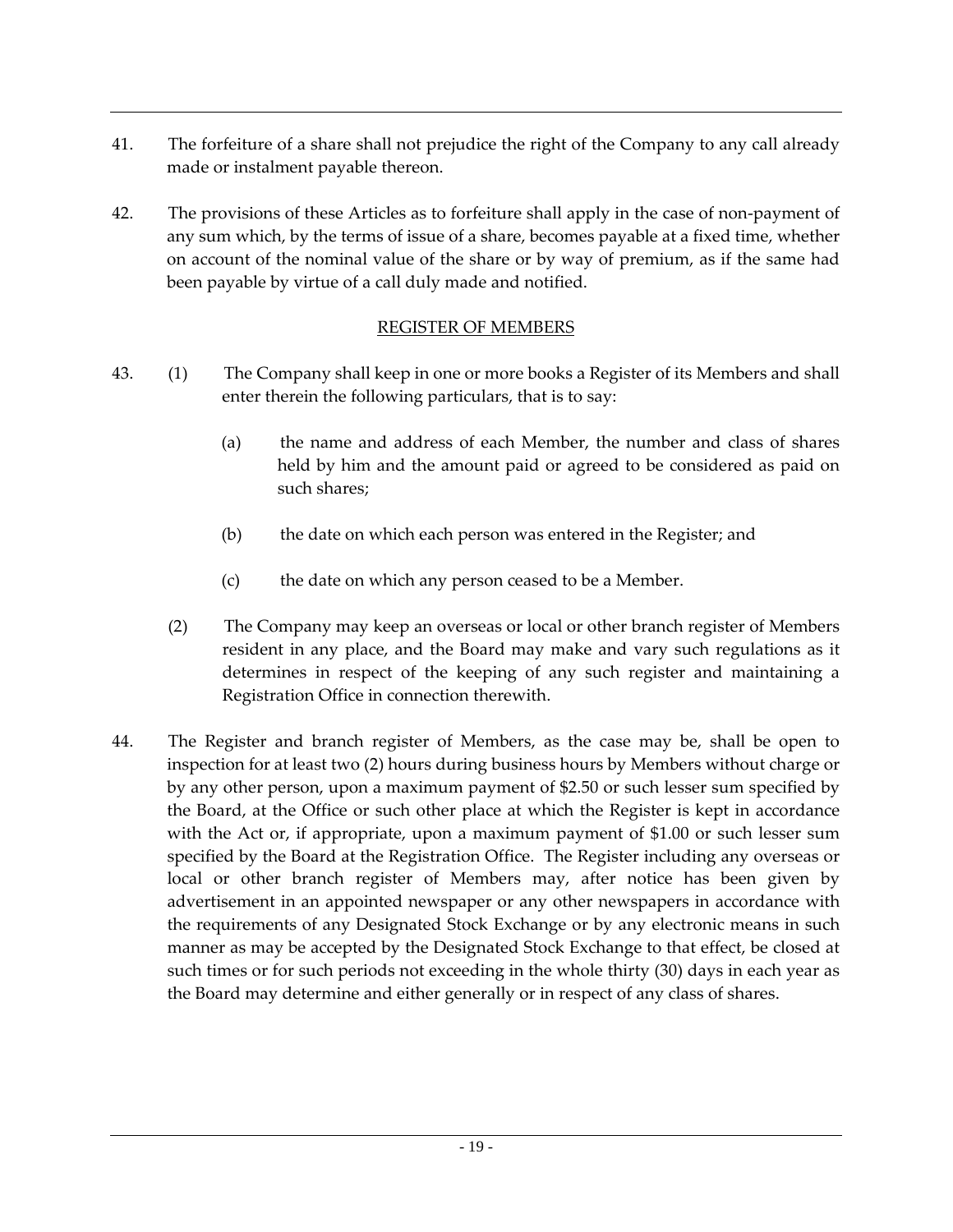- 41. The forfeiture of a share shall not prejudice the right of the Company to any call already made or instalment payable thereon.
- 42. The provisions of these Articles as to forfeiture shall apply in the case of non-payment of any sum which, by the terms of issue of a share, becomes payable at a fixed time, whether on account of the nominal value of the share or by way of premium, as if the same had been payable by virtue of a call duly made and notified.

## REGISTER OF MEMBERS

- 43. (1) The Company shall keep in one or more books a Register of its Members and shall enter therein the following particulars, that is to say:
	- (a) the name and address of each Member, the number and class of shares held by him and the amount paid or agreed to be considered as paid on such shares;
	- (b) the date on which each person was entered in the Register; and
	- (c) the date on which any person ceased to be a Member.
	- (2) The Company may keep an overseas or local or other branch register of Members resident in any place, and the Board may make and vary such regulations as it determines in respect of the keeping of any such register and maintaining a Registration Office in connection therewith.
- 44. The Register and branch register of Members, as the case may be, shall be open to inspection for at least two (2) hours during business hours by Members without charge or by any other person, upon a maximum payment of \$2.50 or such lesser sum specified by the Board, at the Office or such other place at which the Register is kept in accordance with the Act or, if appropriate, upon a maximum payment of \$1.00 or such lesser sum specified by the Board at the Registration Office. The Register including any overseas or local or other branch register of Members may, after notice has been given by advertisement in an appointed newspaper or any other newspapers in accordance with the requirements of any Designated Stock Exchange or by any electronic means in such manner as may be accepted by the Designated Stock Exchange to that effect, be closed at such times or for such periods not exceeding in the whole thirty (30) days in each year as the Board may determine and either generally or in respect of any class of shares.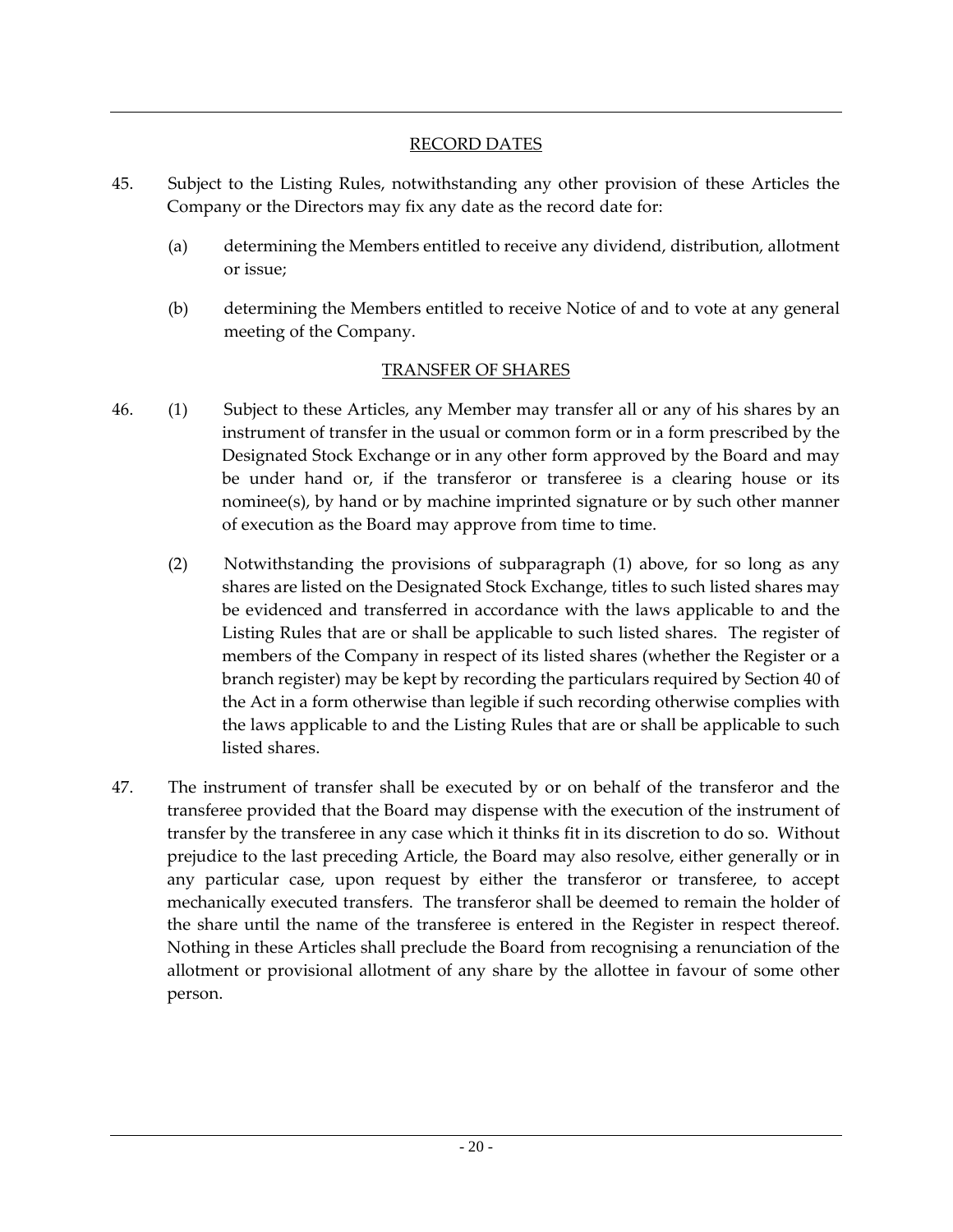## RECORD DATES

- 45. Subject to the Listing Rules, notwithstanding any other provision of these Articles the Company or the Directors may fix any date as the record date for:
	- (a) determining the Members entitled to receive any dividend, distribution, allotment or issue;
	- (b) determining the Members entitled to receive Notice of and to vote at any general meeting of the Company.

## TRANSFER OF SHARES

- 46. (1) Subject to these Articles, any Member may transfer all or any of his shares by an instrument of transfer in the usual or common form or in a form prescribed by the Designated Stock Exchange or in any other form approved by the Board and may be under hand or, if the transferor or transferee is a clearing house or its nominee(s), by hand or by machine imprinted signature or by such other manner of execution as the Board may approve from time to time.
	- (2) Notwithstanding the provisions of subparagraph (1) above, for so long as any shares are listed on the Designated Stock Exchange, titles to such listed shares may be evidenced and transferred in accordance with the laws applicable to and the Listing Rules that are or shall be applicable to such listed shares. The register of members of the Company in respect of its listed shares (whether the Register or a branch register) may be kept by recording the particulars required by Section 40 of the Act in a form otherwise than legible if such recording otherwise complies with the laws applicable to and the Listing Rules that are or shall be applicable to such listed shares.
- 47. The instrument of transfer shall be executed by or on behalf of the transferor and the transferee provided that the Board may dispense with the execution of the instrument of transfer by the transferee in any case which it thinks fit in its discretion to do so. Without prejudice to the last preceding Article, the Board may also resolve, either generally or in any particular case, upon request by either the transferor or transferee, to accept mechanically executed transfers. The transferor shall be deemed to remain the holder of the share until the name of the transferee is entered in the Register in respect thereof. Nothing in these Articles shall preclude the Board from recognising a renunciation of the allotment or provisional allotment of any share by the allottee in favour of some other person.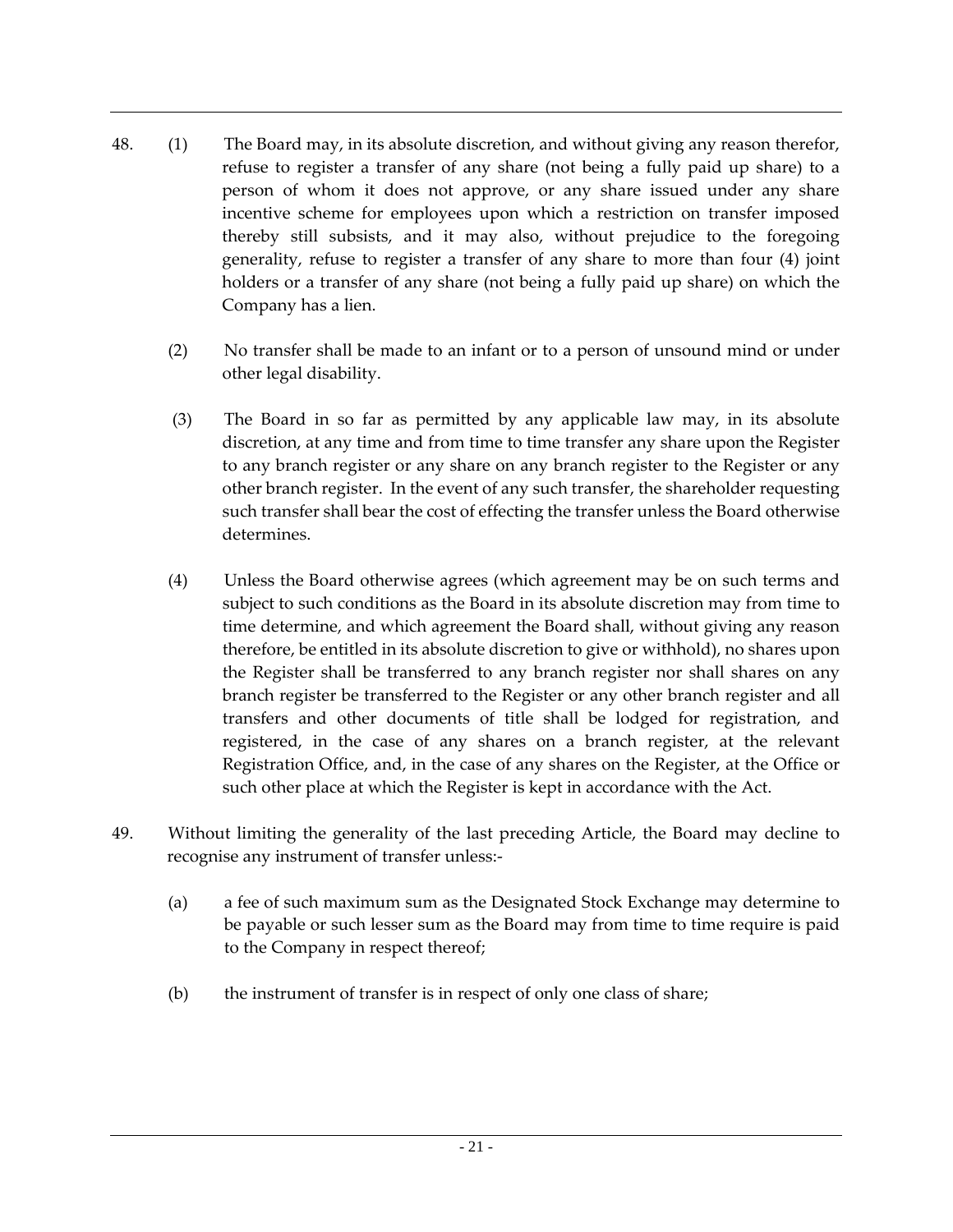- 48. (1) The Board may, in its absolute discretion, and without giving any reason therefor, refuse to register a transfer of any share (not being a fully paid up share) to a person of whom it does not approve, or any share issued under any share incentive scheme for employees upon which a restriction on transfer imposed thereby still subsists, and it may also, without prejudice to the foregoing generality, refuse to register a transfer of any share to more than four (4) joint holders or a transfer of any share (not being a fully paid up share) on which the Company has a lien.
	- (2) No transfer shall be made to an infant or to a person of unsound mind or under other legal disability.
	- (3) The Board in so far as permitted by any applicable law may, in its absolute discretion, at any time and from time to time transfer any share upon the Register to any branch register or any share on any branch register to the Register or any other branch register. In the event of any such transfer, the shareholder requesting such transfer shall bear the cost of effecting the transfer unless the Board otherwise determines.
	- (4) Unless the Board otherwise agrees (which agreement may be on such terms and subject to such conditions as the Board in its absolute discretion may from time to time determine, and which agreement the Board shall, without giving any reason therefore, be entitled in its absolute discretion to give or withhold), no shares upon the Register shall be transferred to any branch register nor shall shares on any branch register be transferred to the Register or any other branch register and all transfers and other documents of title shall be lodged for registration, and registered, in the case of any shares on a branch register, at the relevant Registration Office, and, in the case of any shares on the Register, at the Office or such other place at which the Register is kept in accordance with the Act.
- 49. Without limiting the generality of the last preceding Article, the Board may decline to recognise any instrument of transfer unless:-
	- (a) a fee of such maximum sum as the Designated Stock Exchange may determine to be payable or such lesser sum as the Board may from time to time require is paid to the Company in respect thereof;
	- (b) the instrument of transfer is in respect of only one class of share;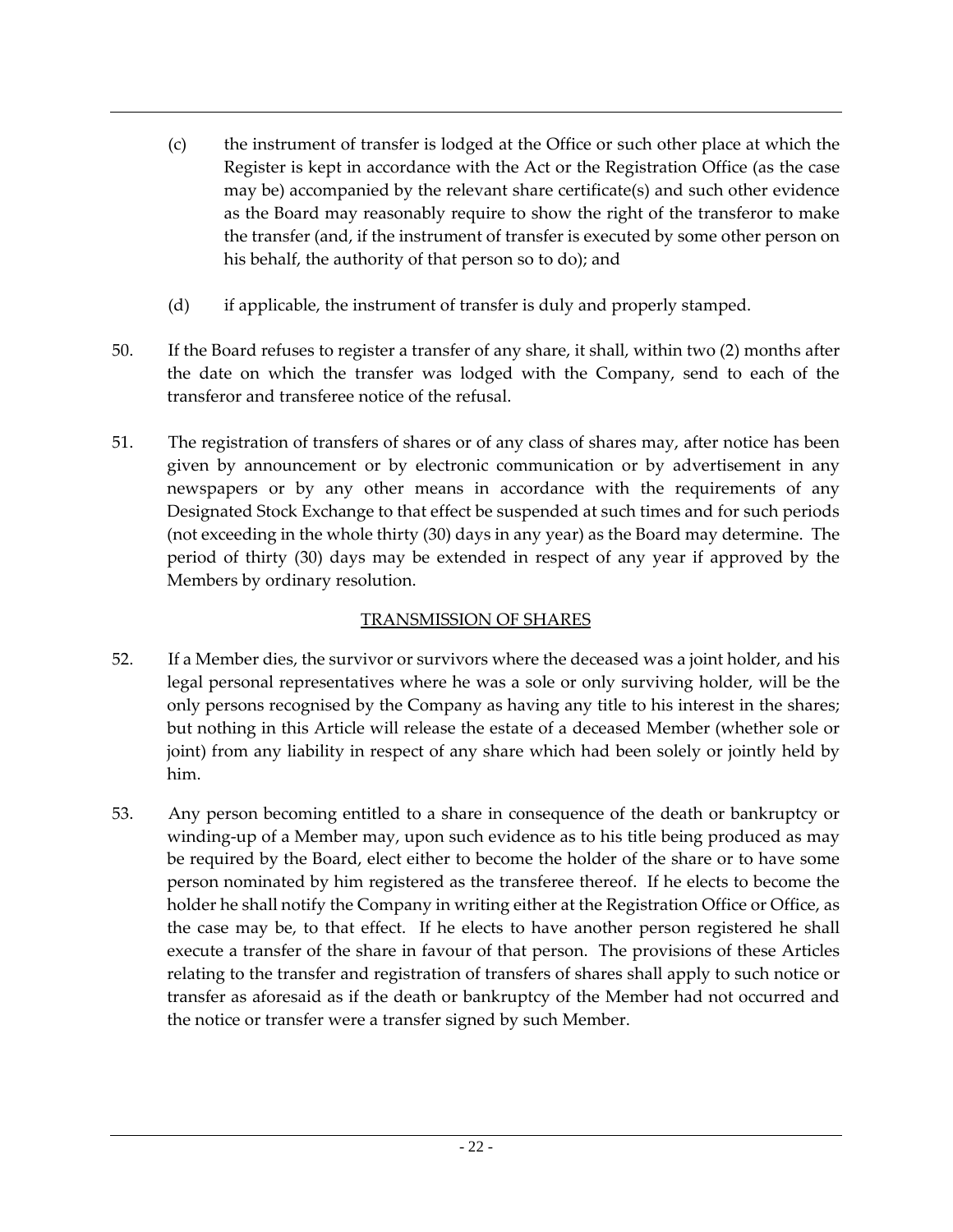- (c) the instrument of transfer is lodged at the Office or such other place at which the Register is kept in accordance with the Act or the Registration Office (as the case may be) accompanied by the relevant share certificate(s) and such other evidence as the Board may reasonably require to show the right of the transferor to make the transfer (and, if the instrument of transfer is executed by some other person on his behalf, the authority of that person so to do); and
- (d) if applicable, the instrument of transfer is duly and properly stamped.
- 50. If the Board refuses to register a transfer of any share, it shall, within two (2) months after the date on which the transfer was lodged with the Company, send to each of the transferor and transferee notice of the refusal.
- 51. The registration of transfers of shares or of any class of shares may, after notice has been given by announcement or by electronic communication or by advertisement in any newspapers or by any other means in accordance with the requirements of any Designated Stock Exchange to that effect be suspended at such times and for such periods (not exceeding in the whole thirty (30) days in any year) as the Board may determine. The period of thirty (30) days may be extended in respect of any year if approved by the Members by ordinary resolution.

## TRANSMISSION OF SHARES

- 52. If a Member dies, the survivor or survivors where the deceased was a joint holder, and his legal personal representatives where he was a sole or only surviving holder, will be the only persons recognised by the Company as having any title to his interest in the shares; but nothing in this Article will release the estate of a deceased Member (whether sole or joint) from any liability in respect of any share which had been solely or jointly held by him.
- 53. Any person becoming entitled to a share in consequence of the death or bankruptcy or winding-up of a Member may, upon such evidence as to his title being produced as may be required by the Board, elect either to become the holder of the share or to have some person nominated by him registered as the transferee thereof. If he elects to become the holder he shall notify the Company in writing either at the Registration Office or Office, as the case may be, to that effect. If he elects to have another person registered he shall execute a transfer of the share in favour of that person. The provisions of these Articles relating to the transfer and registration of transfers of shares shall apply to such notice or transfer as aforesaid as if the death or bankruptcy of the Member had not occurred and the notice or transfer were a transfer signed by such Member.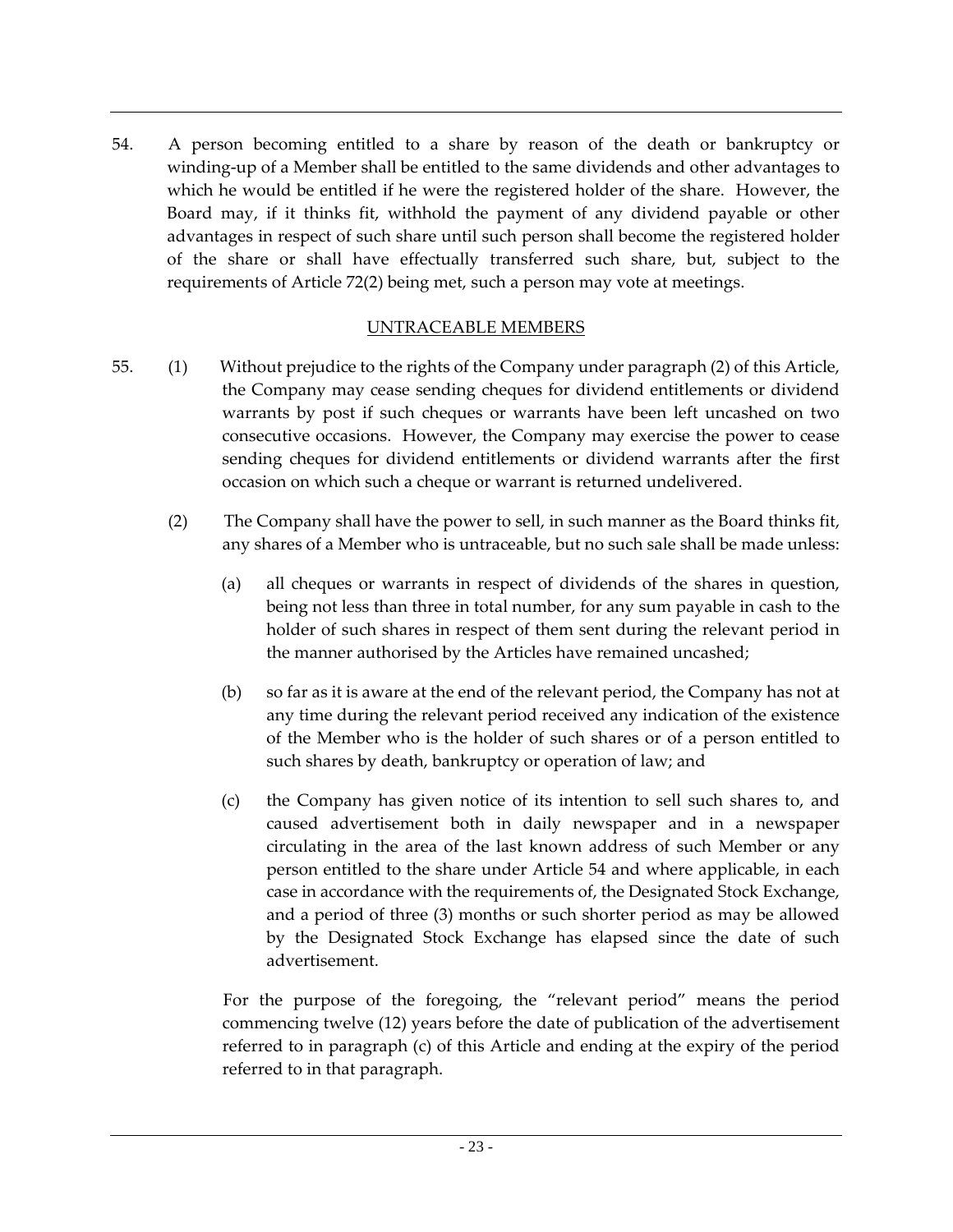54. A person becoming entitled to a share by reason of the death or bankruptcy or winding-up of a Member shall be entitled to the same dividends and other advantages to which he would be entitled if he were the registered holder of the share. However, the Board may, if it thinks fit, withhold the payment of any dividend payable or other advantages in respect of such share until such person shall become the registered holder of the share or shall have effectually transferred such share, but, subject to the requirements of Article 72(2) being met, such a person may vote at meetings.

## UNTRACEABLE MEMBERS

- 55. (1) Without prejudice to the rights of the Company under paragraph (2) of this Article, the Company may cease sending cheques for dividend entitlements or dividend warrants by post if such cheques or warrants have been left uncashed on two consecutive occasions. However, the Company may exercise the power to cease sending cheques for dividend entitlements or dividend warrants after the first occasion on which such a cheque or warrant is returned undelivered.
	- (2) The Company shall have the power to sell, in such manner as the Board thinks fit, any shares of a Member who is untraceable, but no such sale shall be made unless:
		- (a) all cheques or warrants in respect of dividends of the shares in question, being not less than three in total number, for any sum payable in cash to the holder of such shares in respect of them sent during the relevant period in the manner authorised by the Articles have remained uncashed;
		- (b) so far as it is aware at the end of the relevant period, the Company has not at any time during the relevant period received any indication of the existence of the Member who is the holder of such shares or of a person entitled to such shares by death, bankruptcy or operation of law; and
		- (c) the Company has given notice of its intention to sell such shares to, and caused advertisement both in daily newspaper and in a newspaper circulating in the area of the last known address of such Member or any person entitled to the share under Article 54 and where applicable, in each case in accordance with the requirements of, the Designated Stock Exchange, and a period of three (3) months or such shorter period as may be allowed by the Designated Stock Exchange has elapsed since the date of such advertisement.

For the purpose of the foregoing, the "relevant period" means the period commencing twelve (12) years before the date of publication of the advertisement referred to in paragraph (c) of this Article and ending at the expiry of the period referred to in that paragraph.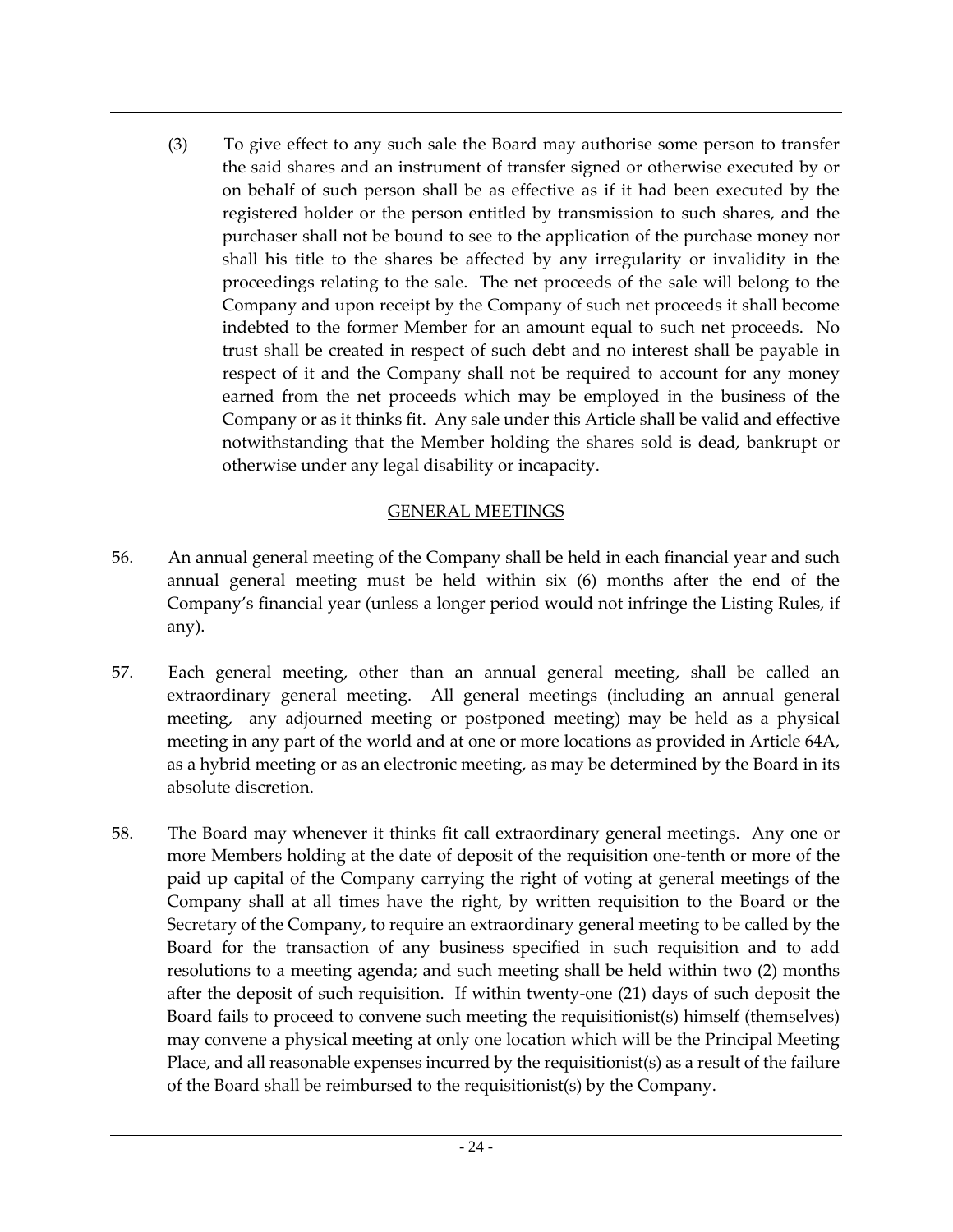(3) To give effect to any such sale the Board may authorise some person to transfer the said shares and an instrument of transfer signed or otherwise executed by or on behalf of such person shall be as effective as if it had been executed by the registered holder or the person entitled by transmission to such shares, and the purchaser shall not be bound to see to the application of the purchase money nor shall his title to the shares be affected by any irregularity or invalidity in the proceedings relating to the sale. The net proceeds of the sale will belong to the Company and upon receipt by the Company of such net proceeds it shall become indebted to the former Member for an amount equal to such net proceeds. No trust shall be created in respect of such debt and no interest shall be payable in respect of it and the Company shall not be required to account for any money earned from the net proceeds which may be employed in the business of the Company or as it thinks fit. Any sale under this Article shall be valid and effective notwithstanding that the Member holding the shares sold is dead, bankrupt or otherwise under any legal disability or incapacity.

## GENERAL MEETINGS

- 56. An annual general meeting of the Company shall be held in each financial year and such annual general meeting must be held within six (6) months after the end of the Company's financial year (unless a longer period would not infringe the Listing Rules, if any).
- 57. Each general meeting, other than an annual general meeting, shall be called an extraordinary general meeting. All general meetings (including an annual general meeting, any adjourned meeting or postponed meeting) may be held as a physical meeting in any part of the world and at one or more locations as provided in Article 64A, as a hybrid meeting or as an electronic meeting, as may be determined by the Board in its absolute discretion.
- 58. The Board may whenever it thinks fit call extraordinary general meetings. Any one or more Members holding at the date of deposit of the requisition one-tenth or more of the paid up capital of the Company carrying the right of voting at general meetings of the Company shall at all times have the right, by written requisition to the Board or the Secretary of the Company, to require an extraordinary general meeting to be called by the Board for the transaction of any business specified in such requisition and to add resolutions to a meeting agenda; and such meeting shall be held within two (2) months after the deposit of such requisition. If within twenty-one (21) days of such deposit the Board fails to proceed to convene such meeting the requisitionist(s) himself (themselves) may convene a physical meeting at only one location which will be the Principal Meeting Place, and all reasonable expenses incurred by the requisitionist(s) as a result of the failure of the Board shall be reimbursed to the requisitionist(s) by the Company.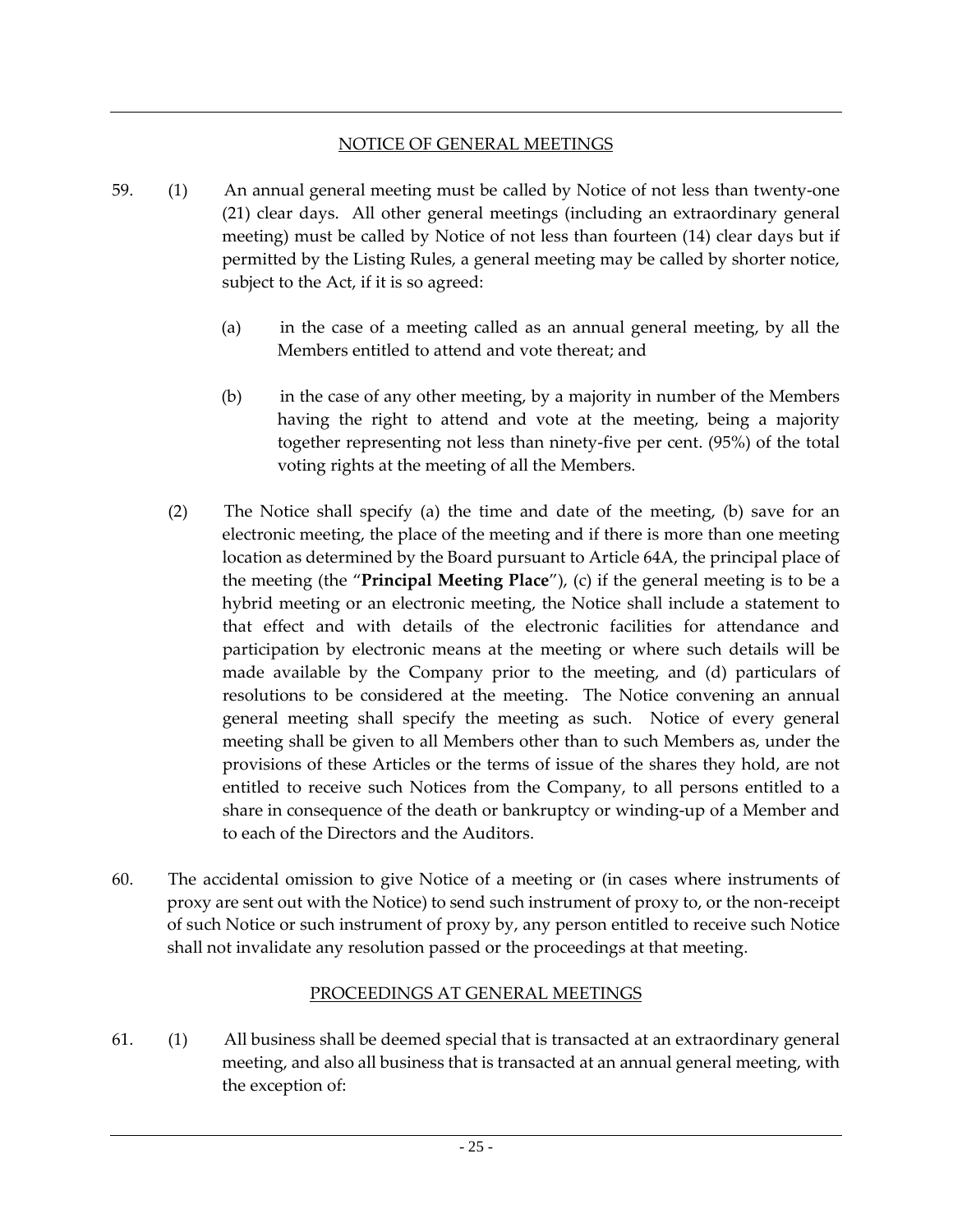#### NOTICE OF GENERAL MEETINGS

- 59. (1) An annual general meeting must be called by Notice of not less than twenty-one (21) clear days. All other general meetings (including an extraordinary general meeting) must be called by Notice of not less than fourteen (14) clear days but if permitted by the Listing Rules, a general meeting may be called by shorter notice, subject to the Act, if it is so agreed:
	- (a) in the case of a meeting called as an annual general meeting, by all the Members entitled to attend and vote thereat; and
	- (b) in the case of any other meeting, by a majority in number of the Members having the right to attend and vote at the meeting, being a majority together representing not less than ninety-five per cent. (95%) of the total voting rights at the meeting of all the Members.
	- (2) The Notice shall specify (a) the time and date of the meeting, (b) save for an electronic meeting, the place of the meeting and if there is more than one meeting location as determined by the Board pursuant to Article 64A, the principal place of the meeting (the "**Principal Meeting Place**"), (c) if the general meeting is to be a hybrid meeting or an electronic meeting, the Notice shall include a statement to that effect and with details of the electronic facilities for attendance and participation by electronic means at the meeting or where such details will be made available by the Company prior to the meeting, and (d) particulars of resolutions to be considered at the meeting. The Notice convening an annual general meeting shall specify the meeting as such. Notice of every general meeting shall be given to all Members other than to such Members as, under the provisions of these Articles or the terms of issue of the shares they hold, are not entitled to receive such Notices from the Company, to all persons entitled to a share in consequence of the death or bankruptcy or winding-up of a Member and to each of the Directors and the Auditors.
- 60. The accidental omission to give Notice of a meeting or (in cases where instruments of proxy are sent out with the Notice) to send such instrument of proxy to, or the non-receipt of such Notice or such instrument of proxy by, any person entitled to receive such Notice shall not invalidate any resolution passed or the proceedings at that meeting.

# PROCEEDINGS AT GENERAL MEETINGS

61. (1) All business shall be deemed special that is transacted at an extraordinary general meeting, and also all business that is transacted at an annual general meeting, with the exception of: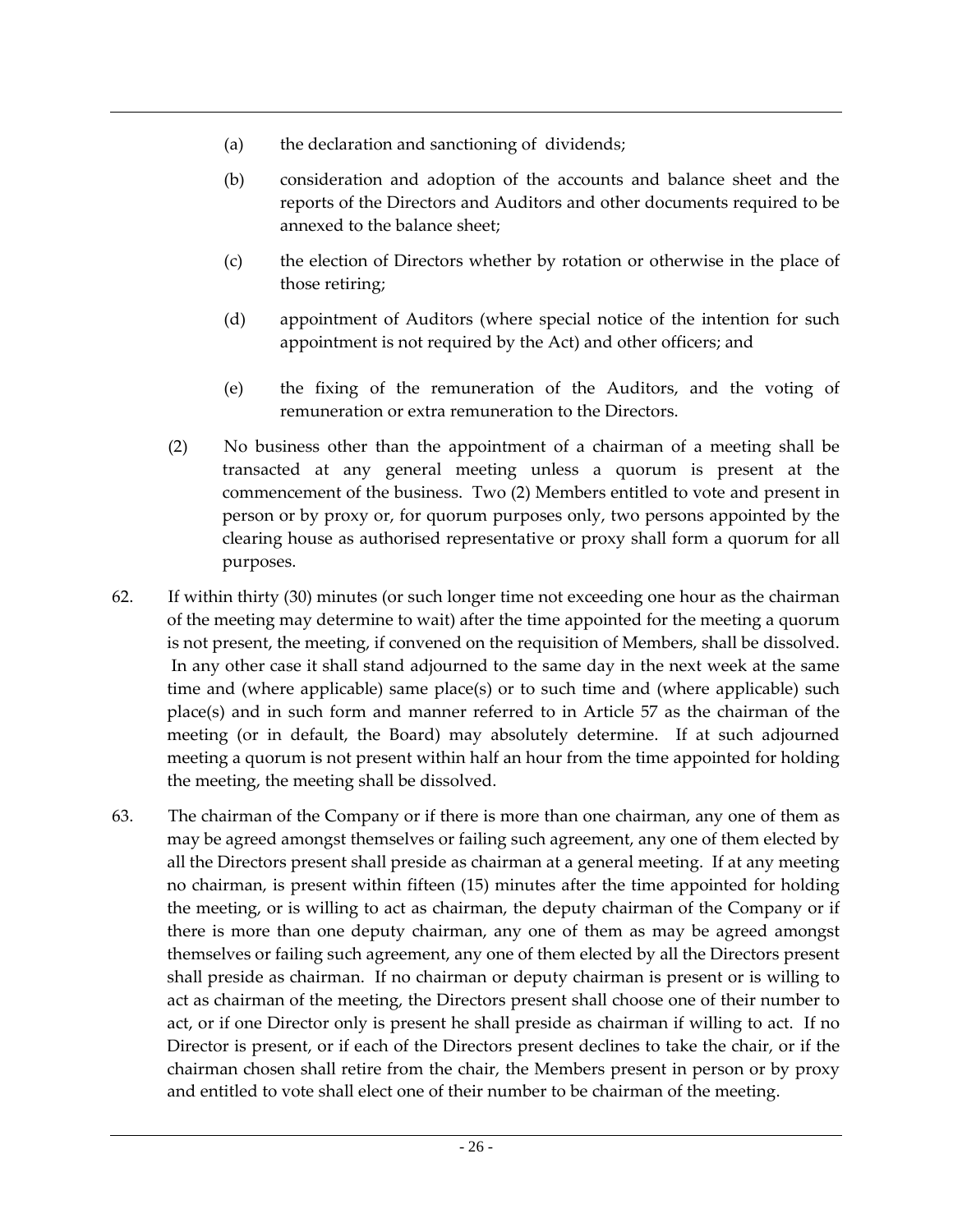- (a) the declaration and sanctioning of dividends;
- (b) consideration and adoption of the accounts and balance sheet and the reports of the Directors and Auditors and other documents required to be annexed to the balance sheet;
- (c) the election of Directors whether by rotation or otherwise in the place of those retiring;
- (d) appointment of Auditors (where special notice of the intention for such appointment is not required by the Act) and other officers; and
- (e) the fixing of the remuneration of the Auditors, and the voting of remuneration or extra remuneration to the Directors.
- (2) No business other than the appointment of a chairman of a meeting shall be transacted at any general meeting unless a quorum is present at the commencement of the business. Two (2) Members entitled to vote and present in person or by proxy or, for quorum purposes only, two persons appointed by the clearing house as authorised representative or proxy shall form a quorum for all purposes.
- 62. If within thirty (30) minutes (or such longer time not exceeding one hour as the chairman of the meeting may determine to wait) after the time appointed for the meeting a quorum is not present, the meeting, if convened on the requisition of Members, shall be dissolved. In any other case it shall stand adjourned to the same day in the next week at the same time and (where applicable) same place(s) or to such time and (where applicable) such place(s) and in such form and manner referred to in Article 57 as the chairman of the meeting (or in default, the Board) may absolutely determine. If at such adjourned meeting a quorum is not present within half an hour from the time appointed for holding the meeting, the meeting shall be dissolved.
- 63. The chairman of the Company or if there is more than one chairman, any one of them as may be agreed amongst themselves or failing such agreement, any one of them elected by all the Directors present shall preside as chairman at a general meeting. If at any meeting no chairman, is present within fifteen (15) minutes after the time appointed for holding the meeting, or is willing to act as chairman, the deputy chairman of the Company or if there is more than one deputy chairman, any one of them as may be agreed amongst themselves or failing such agreement, any one of them elected by all the Directors present shall preside as chairman. If no chairman or deputy chairman is present or is willing to act as chairman of the meeting, the Directors present shall choose one of their number to act, or if one Director only is present he shall preside as chairman if willing to act. If no Director is present, or if each of the Directors present declines to take the chair, or if the chairman chosen shall retire from the chair, the Members present in person or by proxy and entitled to vote shall elect one of their number to be chairman of the meeting.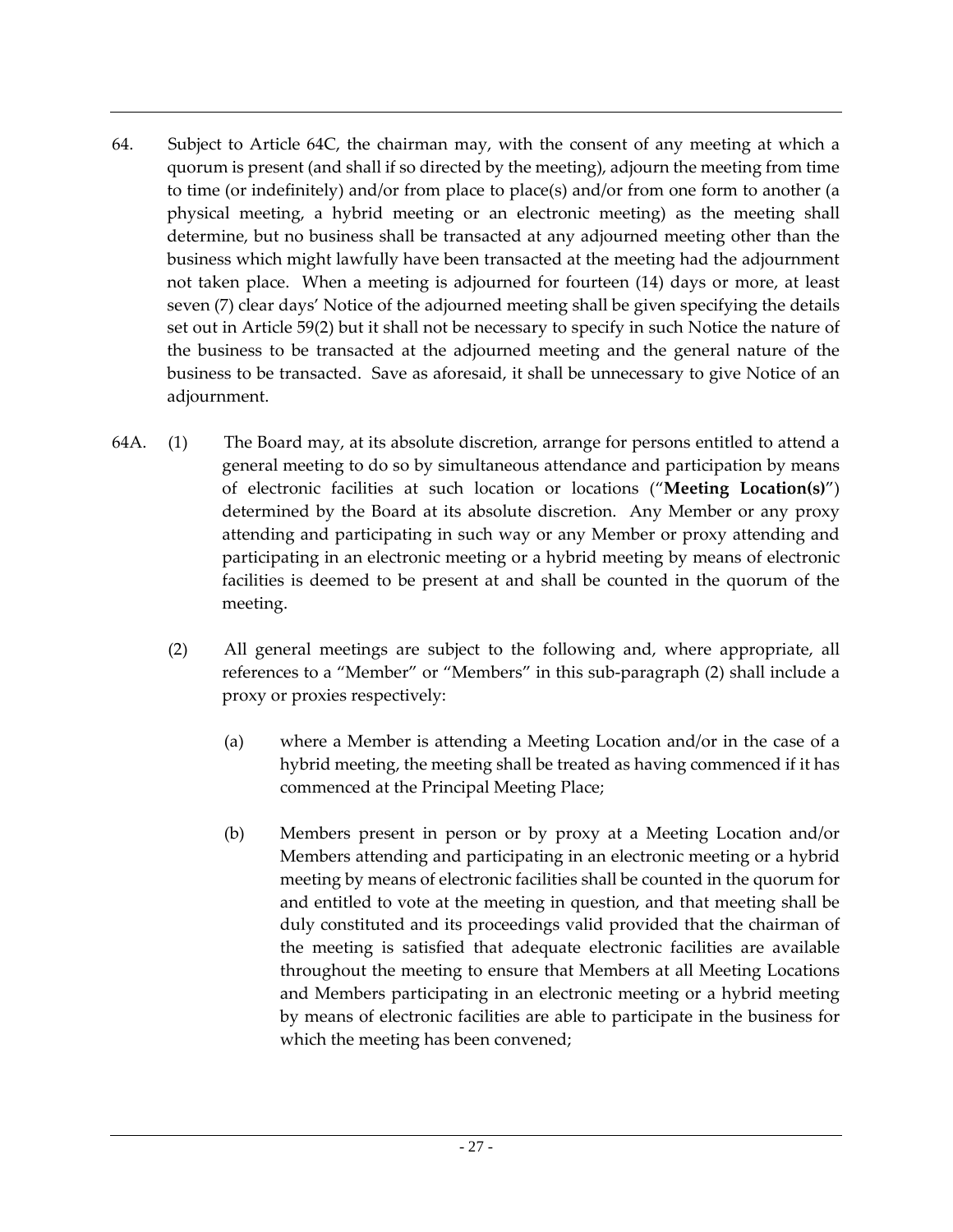- 64. Subject to Article 64C, the chairman may, with the consent of any meeting at which a quorum is present (and shall if so directed by the meeting), adjourn the meeting from time to time (or indefinitely) and/or from place to place(s) and/or from one form to another (a physical meeting, a hybrid meeting or an electronic meeting) as the meeting shall determine, but no business shall be transacted at any adjourned meeting other than the business which might lawfully have been transacted at the meeting had the adjournment not taken place. When a meeting is adjourned for fourteen (14) days or more, at least seven (7) clear days' Notice of the adjourned meeting shall be given specifying the details set out in Article 59(2) but it shall not be necessary to specify in such Notice the nature of the business to be transacted at the adjourned meeting and the general nature of the business to be transacted. Save as aforesaid, it shall be unnecessary to give Notice of an adjournment.
- 64A. (1) The Board may, at its absolute discretion, arrange for persons entitled to attend a general meeting to do so by simultaneous attendance and participation by means of electronic facilities at such location or locations ("**Meeting Location(s)**") determined by the Board at its absolute discretion. Any Member or any proxy attending and participating in such way or any Member or proxy attending and participating in an electronic meeting or a hybrid meeting by means of electronic facilities is deemed to be present at and shall be counted in the quorum of the meeting.
	- (2) All general meetings are subject to the following and, where appropriate, all references to a "Member" or "Members" in this sub-paragraph (2) shall include a proxy or proxies respectively:
		- (a) where a Member is attending a Meeting Location and/or in the case of a hybrid meeting, the meeting shall be treated as having commenced if it has commenced at the Principal Meeting Place;
		- (b) Members present in person or by proxy at a Meeting Location and/or Members attending and participating in an electronic meeting or a hybrid meeting by means of electronic facilities shall be counted in the quorum for and entitled to vote at the meeting in question, and that meeting shall be duly constituted and its proceedings valid provided that the chairman of the meeting is satisfied that adequate electronic facilities are available throughout the meeting to ensure that Members at all Meeting Locations and Members participating in an electronic meeting or a hybrid meeting by means of electronic facilities are able to participate in the business for which the meeting has been convened;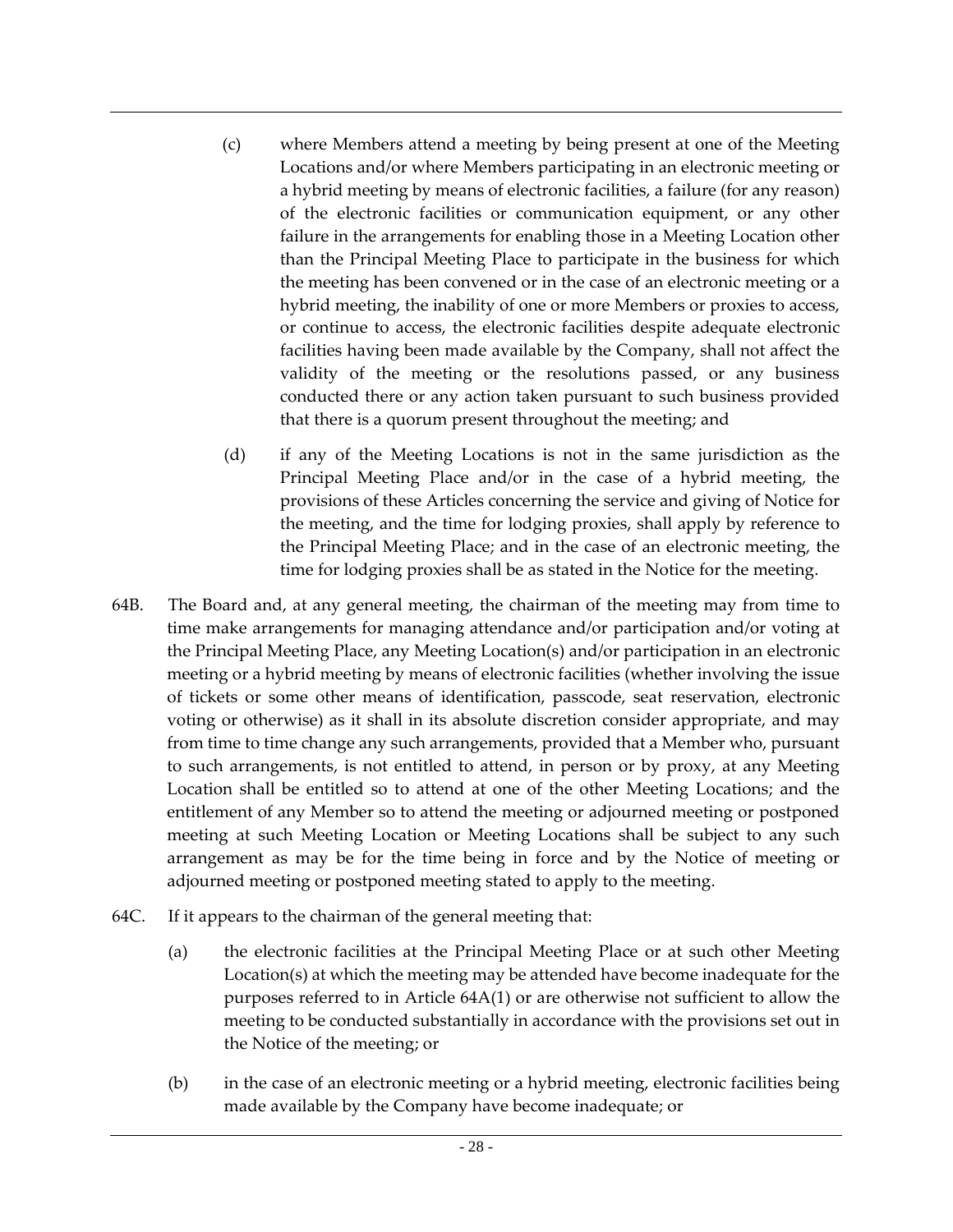- (c) where Members attend a meeting by being present at one of the Meeting Locations and/or where Members participating in an electronic meeting or a hybrid meeting by means of electronic facilities, a failure (for any reason) of the electronic facilities or communication equipment, or any other failure in the arrangements for enabling those in a Meeting Location other than the Principal Meeting Place to participate in the business for which the meeting has been convened or in the case of an electronic meeting or a hybrid meeting, the inability of one or more Members or proxies to access, or continue to access, the electronic facilities despite adequate electronic facilities having been made available by the Company, shall not affect the validity of the meeting or the resolutions passed, or any business conducted there or any action taken pursuant to such business provided that there is a quorum present throughout the meeting; and
- (d) if any of the Meeting Locations is not in the same jurisdiction as the Principal Meeting Place and/or in the case of a hybrid meeting, the provisions of these Articles concerning the service and giving of Notice for the meeting, and the time for lodging proxies, shall apply by reference to the Principal Meeting Place; and in the case of an electronic meeting, the time for lodging proxies shall be as stated in the Notice for the meeting.
- 64B. The Board and, at any general meeting, the chairman of the meeting may from time to time make arrangements for managing attendance and/or participation and/or voting at the Principal Meeting Place, any Meeting Location(s) and/or participation in an electronic meeting or a hybrid meeting by means of electronic facilities (whether involving the issue of tickets or some other means of identification, passcode, seat reservation, electronic voting or otherwise) as it shall in its absolute discretion consider appropriate, and may from time to time change any such arrangements, provided that a Member who, pursuant to such arrangements, is not entitled to attend, in person or by proxy, at any Meeting Location shall be entitled so to attend at one of the other Meeting Locations; and the entitlement of any Member so to attend the meeting or adjourned meeting or postponed meeting at such Meeting Location or Meeting Locations shall be subject to any such arrangement as may be for the time being in force and by the Notice of meeting or adjourned meeting or postponed meeting stated to apply to the meeting.
- 64C. If it appears to the chairman of the general meeting that:
	- (a) the electronic facilities at the Principal Meeting Place or at such other Meeting Location(s) at which the meeting may be attended have become inadequate for the purposes referred to in Article 64A(1) or are otherwise not sufficient to allow the meeting to be conducted substantially in accordance with the provisions set out in the Notice of the meeting; or
	- (b) in the case of an electronic meeting or a hybrid meeting, electronic facilities being made available by the Company have become inadequate; or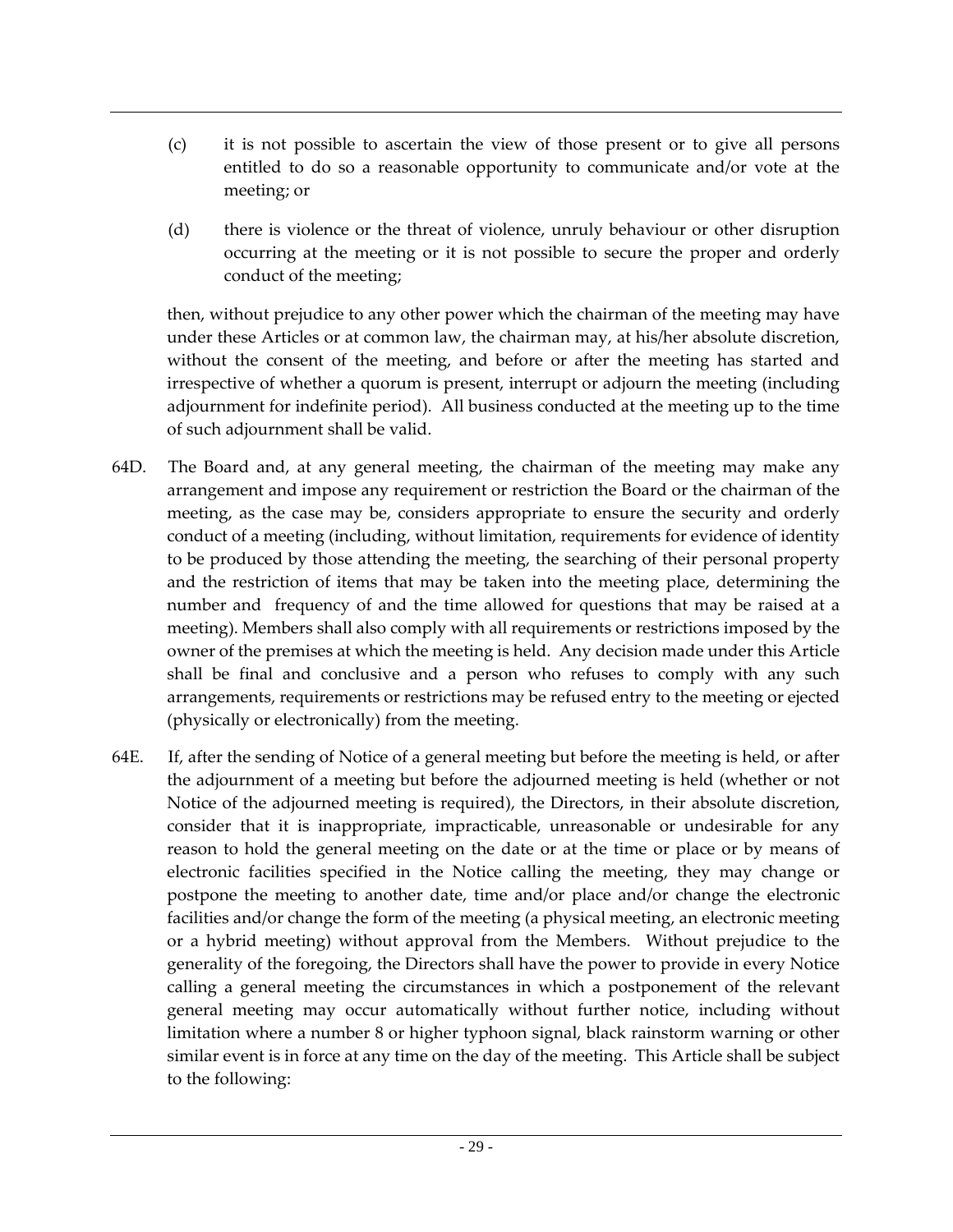- (c) it is not possible to ascertain the view of those present or to give all persons entitled to do so a reasonable opportunity to communicate and/or vote at the meeting; or
- (d) there is violence or the threat of violence, unruly behaviour or other disruption occurring at the meeting or it is not possible to secure the proper and orderly conduct of the meeting;

then, without prejudice to any other power which the chairman of the meeting may have under these Articles or at common law, the chairman may, at his/her absolute discretion, without the consent of the meeting, and before or after the meeting has started and irrespective of whether a quorum is present, interrupt or adjourn the meeting (including adjournment for indefinite period). All business conducted at the meeting up to the time of such adjournment shall be valid.

- 64D. The Board and, at any general meeting, the chairman of the meeting may make any arrangement and impose any requirement or restriction the Board or the chairman of the meeting, as the case may be, considers appropriate to ensure the security and orderly conduct of a meeting (including, without limitation, requirements for evidence of identity to be produced by those attending the meeting, the searching of their personal property and the restriction of items that may be taken into the meeting place, determining the number and frequency of and the time allowed for questions that may be raised at a meeting). Members shall also comply with all requirements or restrictions imposed by the owner of the premises at which the meeting is held. Any decision made under this Article shall be final and conclusive and a person who refuses to comply with any such arrangements, requirements or restrictions may be refused entry to the meeting or ejected (physically or electronically) from the meeting.
- 64E. If, after the sending of Notice of a general meeting but before the meeting is held, or after the adjournment of a meeting but before the adjourned meeting is held (whether or not Notice of the adjourned meeting is required), the Directors, in their absolute discretion, consider that it is inappropriate, impracticable, unreasonable or undesirable for any reason to hold the general meeting on the date or at the time or place or by means of electronic facilities specified in the Notice calling the meeting, they may change or postpone the meeting to another date, time and/or place and/or change the electronic facilities and/or change the form of the meeting (a physical meeting, an electronic meeting or a hybrid meeting) without approval from the Members. Without prejudice to the generality of the foregoing, the Directors shall have the power to provide in every Notice calling a general meeting the circumstances in which a postponement of the relevant general meeting may occur automatically without further notice, including without limitation where a number 8 or higher typhoon signal, black rainstorm warning or other similar event is in force at any time on the day of the meeting. This Article shall be subject to the following: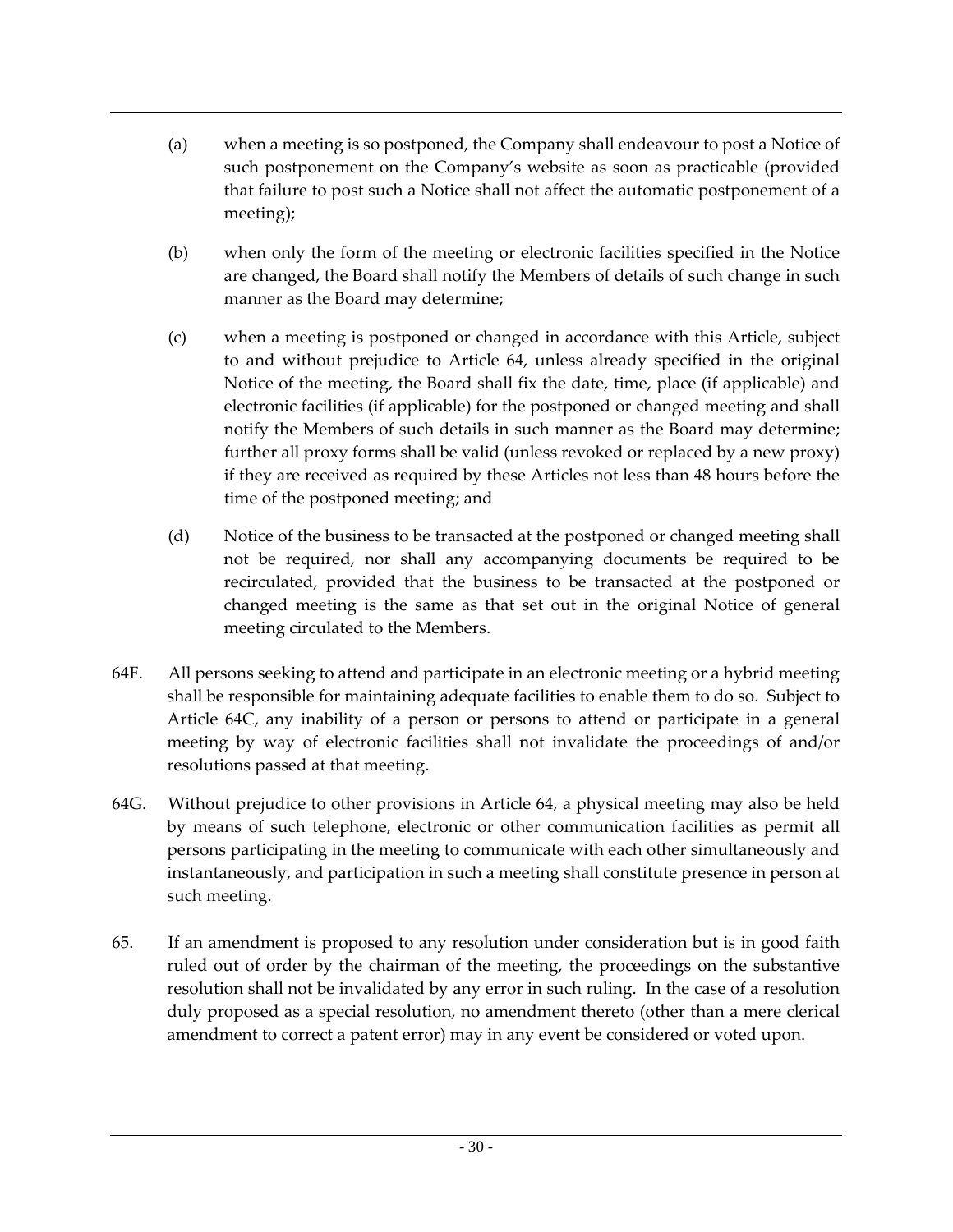- (a) when a meeting is so postponed, the Company shall endeavour to post a Notice of such postponement on the Company's website as soon as practicable (provided that failure to post such a Notice shall not affect the automatic postponement of a meeting);
- (b) when only the form of the meeting or electronic facilities specified in the Notice are changed, the Board shall notify the Members of details of such change in such manner as the Board may determine;
- (c) when a meeting is postponed or changed in accordance with this Article, subject to and without prejudice to Article 64, unless already specified in the original Notice of the meeting, the Board shall fix the date, time, place (if applicable) and electronic facilities (if applicable) for the postponed or changed meeting and shall notify the Members of such details in such manner as the Board may determine; further all proxy forms shall be valid (unless revoked or replaced by a new proxy) if they are received as required by these Articles not less than 48 hours before the time of the postponed meeting; and
- (d) Notice of the business to be transacted at the postponed or changed meeting shall not be required, nor shall any accompanying documents be required to be recirculated, provided that the business to be transacted at the postponed or changed meeting is the same as that set out in the original Notice of general meeting circulated to the Members.
- 64F. All persons seeking to attend and participate in an electronic meeting or a hybrid meeting shall be responsible for maintaining adequate facilities to enable them to do so. Subject to Article 64C, any inability of a person or persons to attend or participate in a general meeting by way of electronic facilities shall not invalidate the proceedings of and/or resolutions passed at that meeting.
- 64G. Without prejudice to other provisions in Article 64, a physical meeting may also be held by means of such telephone, electronic or other communication facilities as permit all persons participating in the meeting to communicate with each other simultaneously and instantaneously, and participation in such a meeting shall constitute presence in person at such meeting.
- 65. If an amendment is proposed to any resolution under consideration but is in good faith ruled out of order by the chairman of the meeting, the proceedings on the substantive resolution shall not be invalidated by any error in such ruling. In the case of a resolution duly proposed as a special resolution, no amendment thereto (other than a mere clerical amendment to correct a patent error) may in any event be considered or voted upon.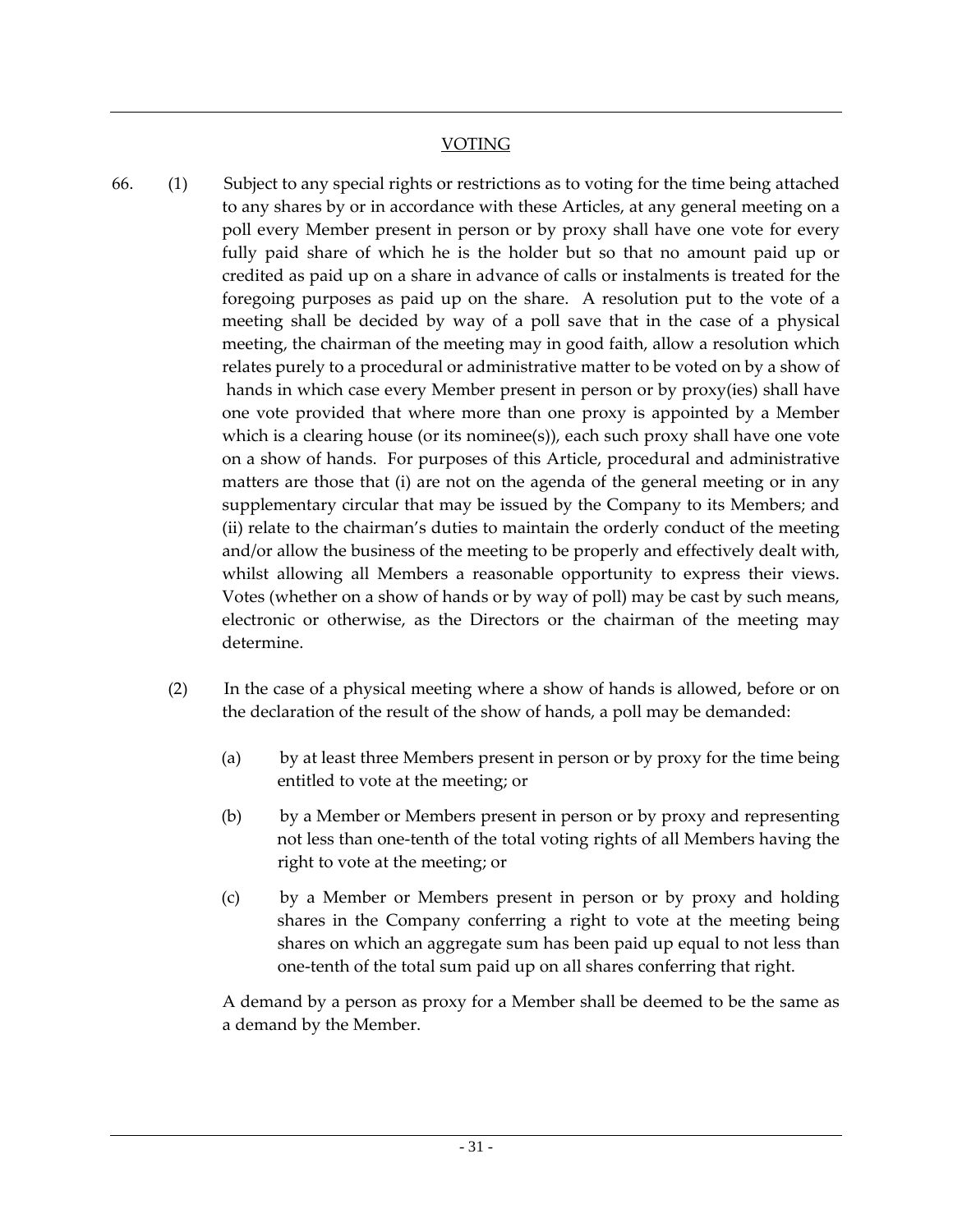## VOTING

- 66. (1) Subject to any special rights or restrictions as to voting for the time being attached to any shares by or in accordance with these Articles, at any general meeting on a poll every Member present in person or by proxy shall have one vote for every fully paid share of which he is the holder but so that no amount paid up or credited as paid up on a share in advance of calls or instalments is treated for the foregoing purposes as paid up on the share. A resolution put to the vote of a meeting shall be decided by way of a poll save that in the case of a physical meeting, the chairman of the meeting may in good faith, allow a resolution which relates purely to a procedural or administrative matter to be voted on by a show of hands in which case every Member present in person or by proxy(ies) shall have one vote provided that where more than one proxy is appointed by a Member which is a clearing house (or its nominee(s)), each such proxy shall have one vote on a show of hands. For purposes of this Article, procedural and administrative matters are those that (i) are not on the agenda of the general meeting or in any supplementary circular that may be issued by the Company to its Members; and (ii) relate to the chairman's duties to maintain the orderly conduct of the meeting and/or allow the business of the meeting to be properly and effectively dealt with, whilst allowing all Members a reasonable opportunity to express their views. Votes (whether on a show of hands or by way of poll) may be cast by such means, electronic or otherwise, as the Directors or the chairman of the meeting may determine.
	- (2) In the case of a physical meeting where a show of hands is allowed, before or on the declaration of the result of the show of hands, a poll may be demanded:
		- (a) by at least three Members present in person or by proxy for the time being entitled to vote at the meeting; or
		- (b) by a Member or Members present in person or by proxy and representing not less than one-tenth of the total voting rights of all Members having the right to vote at the meeting; or
		- (c) by a Member or Members present in person or by proxy and holding shares in the Company conferring a right to vote at the meeting being shares on which an aggregate sum has been paid up equal to not less than one-tenth of the total sum paid up on all shares conferring that right.

A demand by a person as proxy for a Member shall be deemed to be the same as a demand by the Member.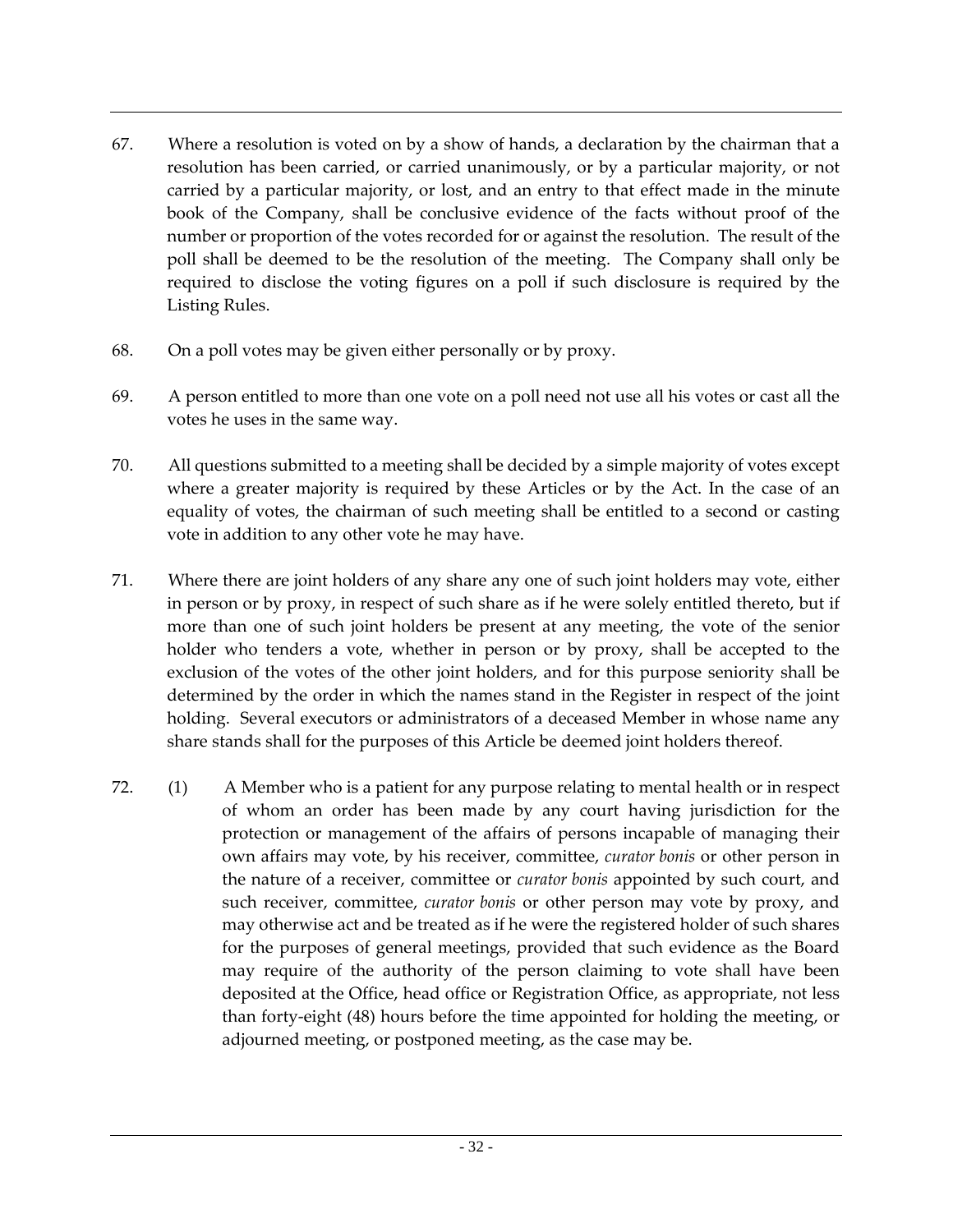- 67. Where a resolution is voted on by a show of hands, a declaration by the chairman that a resolution has been carried, or carried unanimously, or by a particular majority, or not carried by a particular majority, or lost, and an entry to that effect made in the minute book of the Company, shall be conclusive evidence of the facts without proof of the number or proportion of the votes recorded for or against the resolution. The result of the poll shall be deemed to be the resolution of the meeting. The Company shall only be required to disclose the voting figures on a poll if such disclosure is required by the Listing Rules.
- 68. On a poll votes may be given either personally or by proxy.
- 69. A person entitled to more than one vote on a poll need not use all his votes or cast all the votes he uses in the same way.
- 70. All questions submitted to a meeting shall be decided by a simple majority of votes except where a greater majority is required by these Articles or by the Act. In the case of an equality of votes, the chairman of such meeting shall be entitled to a second or casting vote in addition to any other vote he may have.
- 71. Where there are joint holders of any share any one of such joint holders may vote, either in person or by proxy, in respect of such share as if he were solely entitled thereto, but if more than one of such joint holders be present at any meeting, the vote of the senior holder who tenders a vote, whether in person or by proxy, shall be accepted to the exclusion of the votes of the other joint holders, and for this purpose seniority shall be determined by the order in which the names stand in the Register in respect of the joint holding. Several executors or administrators of a deceased Member in whose name any share stands shall for the purposes of this Article be deemed joint holders thereof.
- 72. (1) A Member who is a patient for any purpose relating to mental health or in respect of whom an order has been made by any court having jurisdiction for the protection or management of the affairs of persons incapable of managing their own affairs may vote, by his receiver, committee, *curator bonis* or other person in the nature of a receiver, committee or *curator bonis* appointed by such court, and such receiver, committee, *curator bonis* or other person may vote by proxy, and may otherwise act and be treated as if he were the registered holder of such shares for the purposes of general meetings, provided that such evidence as the Board may require of the authority of the person claiming to vote shall have been deposited at the Office, head office or Registration Office, as appropriate, not less than forty-eight (48) hours before the time appointed for holding the meeting, or adjourned meeting, or postponed meeting, as the case may be.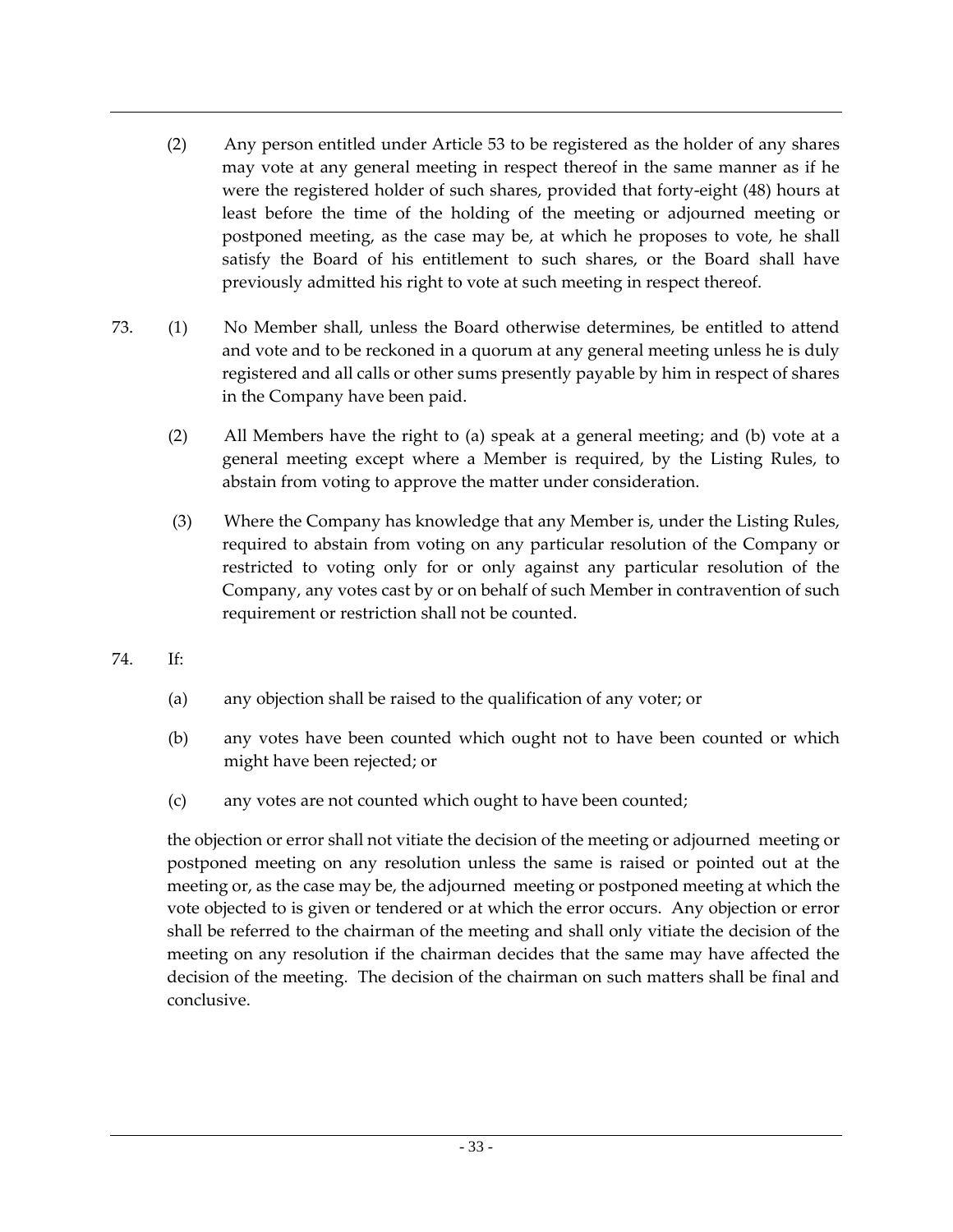- (2) Any person entitled under Article 53 to be registered as the holder of any shares may vote at any general meeting in respect thereof in the same manner as if he were the registered holder of such shares, provided that forty-eight (48) hours at least before the time of the holding of the meeting or adjourned meeting or postponed meeting, as the case may be, at which he proposes to vote, he shall satisfy the Board of his entitlement to such shares, or the Board shall have previously admitted his right to vote at such meeting in respect thereof.
- 73. (1) No Member shall, unless the Board otherwise determines, be entitled to attend and vote and to be reckoned in a quorum at any general meeting unless he is duly registered and all calls or other sums presently payable by him in respect of shares in the Company have been paid.
	- (2) All Members have the right to (a) speak at a general meeting; and (b) vote at a general meeting except where a Member is required, by the Listing Rules, to abstain from voting to approve the matter under consideration.
	- (3) Where the Company has knowledge that any Member is, under the Listing Rules, required to abstain from voting on any particular resolution of the Company or restricted to voting only for or only against any particular resolution of the Company, any votes cast by or on behalf of such Member in contravention of such requirement or restriction shall not be counted.
- 74. If:
	- (a) any objection shall be raised to the qualification of any voter; or
	- (b) any votes have been counted which ought not to have been counted or which might have been rejected; or
	- (c) any votes are not counted which ought to have been counted;

the objection or error shall not vitiate the decision of the meeting or adjourned meeting or postponed meeting on any resolution unless the same is raised or pointed out at the meeting or, as the case may be, the adjourned meeting or postponed meeting at which the vote objected to is given or tendered or at which the error occurs. Any objection or error shall be referred to the chairman of the meeting and shall only vitiate the decision of the meeting on any resolution if the chairman decides that the same may have affected the decision of the meeting. The decision of the chairman on such matters shall be final and conclusive.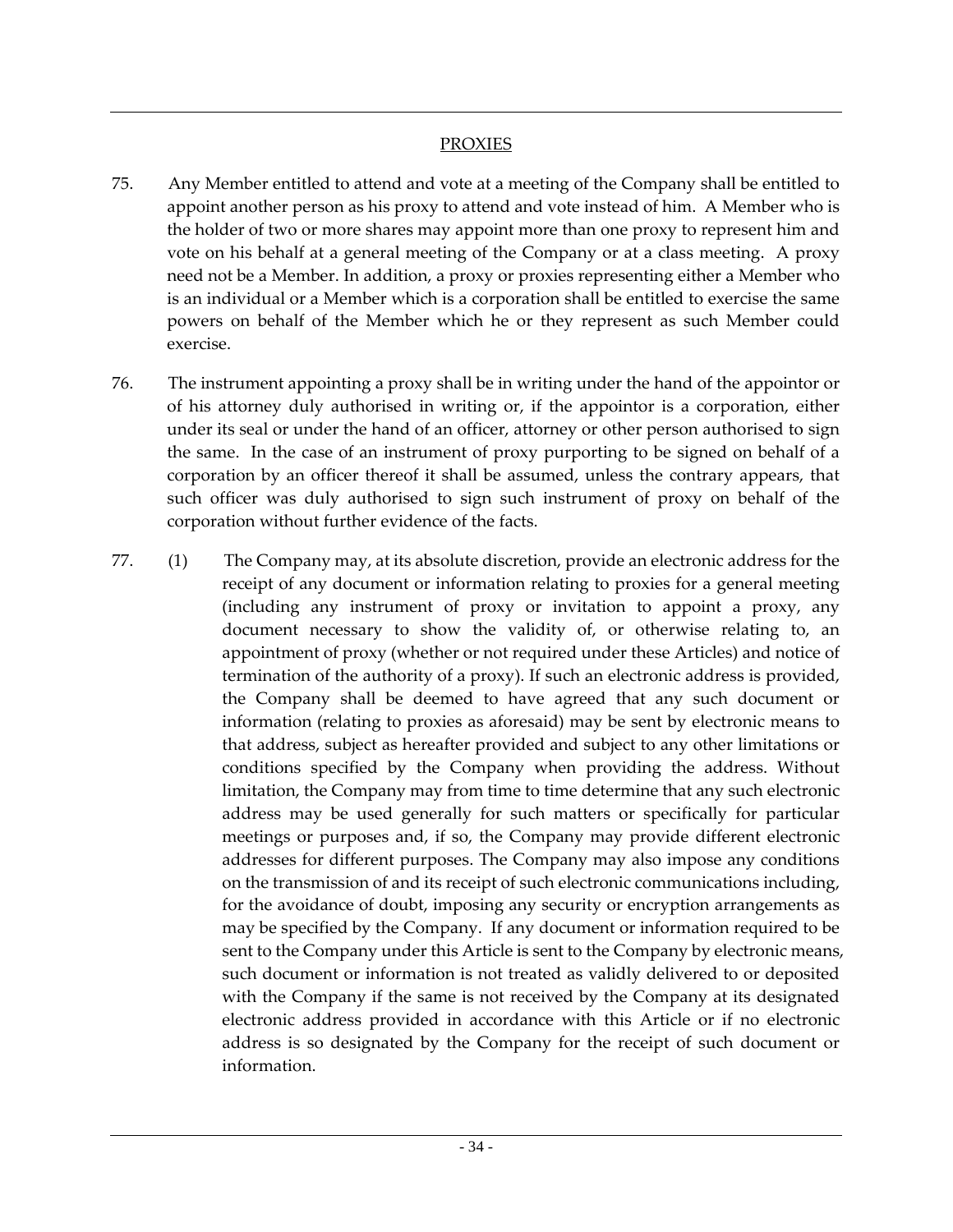### **PROXIES**

- 75. Any Member entitled to attend and vote at a meeting of the Company shall be entitled to appoint another person as his proxy to attend and vote instead of him. A Member who is the holder of two or more shares may appoint more than one proxy to represent him and vote on his behalf at a general meeting of the Company or at a class meeting. A proxy need not be a Member. In addition, a proxy or proxies representing either a Member who is an individual or a Member which is a corporation shall be entitled to exercise the same powers on behalf of the Member which he or they represent as such Member could exercise.
- 76. The instrument appointing a proxy shall be in writing under the hand of the appointor or of his attorney duly authorised in writing or, if the appointor is a corporation, either under its seal or under the hand of an officer, attorney or other person authorised to sign the same. In the case of an instrument of proxy purporting to be signed on behalf of a corporation by an officer thereof it shall be assumed, unless the contrary appears, that such officer was duly authorised to sign such instrument of proxy on behalf of the corporation without further evidence of the facts.
- 77. (1) The Company may, at its absolute discretion, provide an electronic address for the receipt of any document or information relating to proxies for a general meeting (including any instrument of proxy or invitation to appoint a proxy, any document necessary to show the validity of, or otherwise relating to, an appointment of proxy (whether or not required under these Articles) and notice of termination of the authority of a proxy). If such an electronic address is provided, the Company shall be deemed to have agreed that any such document or information (relating to proxies as aforesaid) may be sent by electronic means to that address, subject as hereafter provided and subject to any other limitations or conditions specified by the Company when providing the address. Without limitation, the Company may from time to time determine that any such electronic address may be used generally for such matters or specifically for particular meetings or purposes and, if so, the Company may provide different electronic addresses for different purposes. The Company may also impose any conditions on the transmission of and its receipt of such electronic communications including, for the avoidance of doubt, imposing any security or encryption arrangements as may be specified by the Company. If any document or information required to be sent to the Company under this Article is sent to the Company by electronic means, such document or information is not treated as validly delivered to or deposited with the Company if the same is not received by the Company at its designated electronic address provided in accordance with this Article or if no electronic address is so designated by the Company for the receipt of such document or information.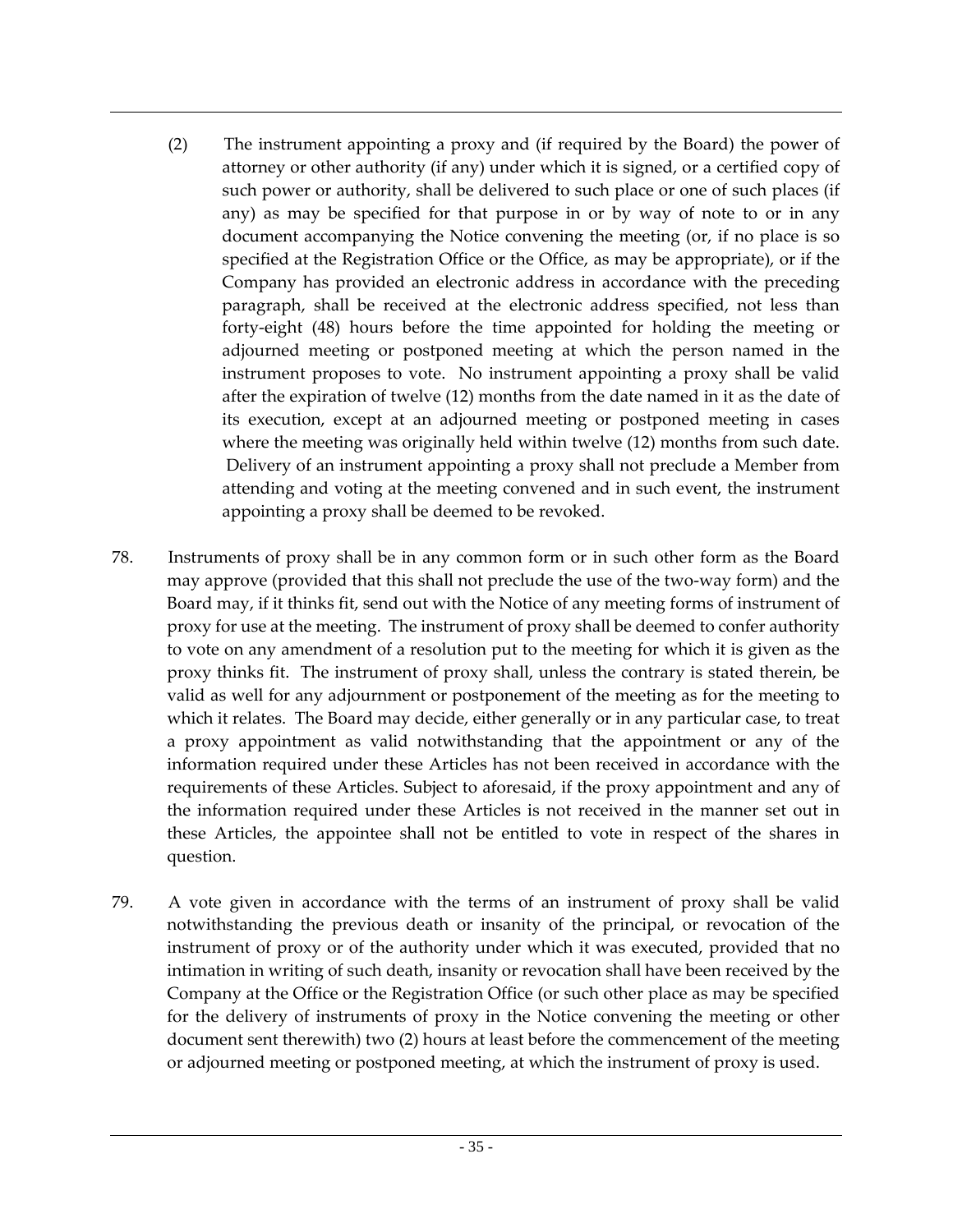- (2) The instrument appointing a proxy and (if required by the Board) the power of attorney or other authority (if any) under which it is signed, or a certified copy of such power or authority, shall be delivered to such place or one of such places (if any) as may be specified for that purpose in or by way of note to or in any document accompanying the Notice convening the meeting (or, if no place is so specified at the Registration Office or the Office, as may be appropriate), or if the Company has provided an electronic address in accordance with the preceding paragraph, shall be received at the electronic address specified, not less than forty-eight (48) hours before the time appointed for holding the meeting or adjourned meeting or postponed meeting at which the person named in the instrument proposes to vote. No instrument appointing a proxy shall be valid after the expiration of twelve (12) months from the date named in it as the date of its execution, except at an adjourned meeting or postponed meeting in cases where the meeting was originally held within twelve (12) months from such date. Delivery of an instrument appointing a proxy shall not preclude a Member from attending and voting at the meeting convened and in such event, the instrument appointing a proxy shall be deemed to be revoked.
- 78. Instruments of proxy shall be in any common form or in such other form as the Board may approve (provided that this shall not preclude the use of the two-way form) and the Board may, if it thinks fit, send out with the Notice of any meeting forms of instrument of proxy for use at the meeting. The instrument of proxy shall be deemed to confer authority to vote on any amendment of a resolution put to the meeting for which it is given as the proxy thinks fit. The instrument of proxy shall, unless the contrary is stated therein, be valid as well for any adjournment or postponement of the meeting as for the meeting to which it relates. The Board may decide, either generally or in any particular case, to treat a proxy appointment as valid notwithstanding that the appointment or any of the information required under these Articles has not been received in accordance with the requirements of these Articles. Subject to aforesaid, if the proxy appointment and any of the information required under these Articles is not received in the manner set out in these Articles, the appointee shall not be entitled to vote in respect of the shares in question.
- 79. A vote given in accordance with the terms of an instrument of proxy shall be valid notwithstanding the previous death or insanity of the principal, or revocation of the instrument of proxy or of the authority under which it was executed, provided that no intimation in writing of such death, insanity or revocation shall have been received by the Company at the Office or the Registration Office (or such other place as may be specified for the delivery of instruments of proxy in the Notice convening the meeting or other document sent therewith) two (2) hours at least before the commencement of the meeting or adjourned meeting or postponed meeting, at which the instrument of proxy is used.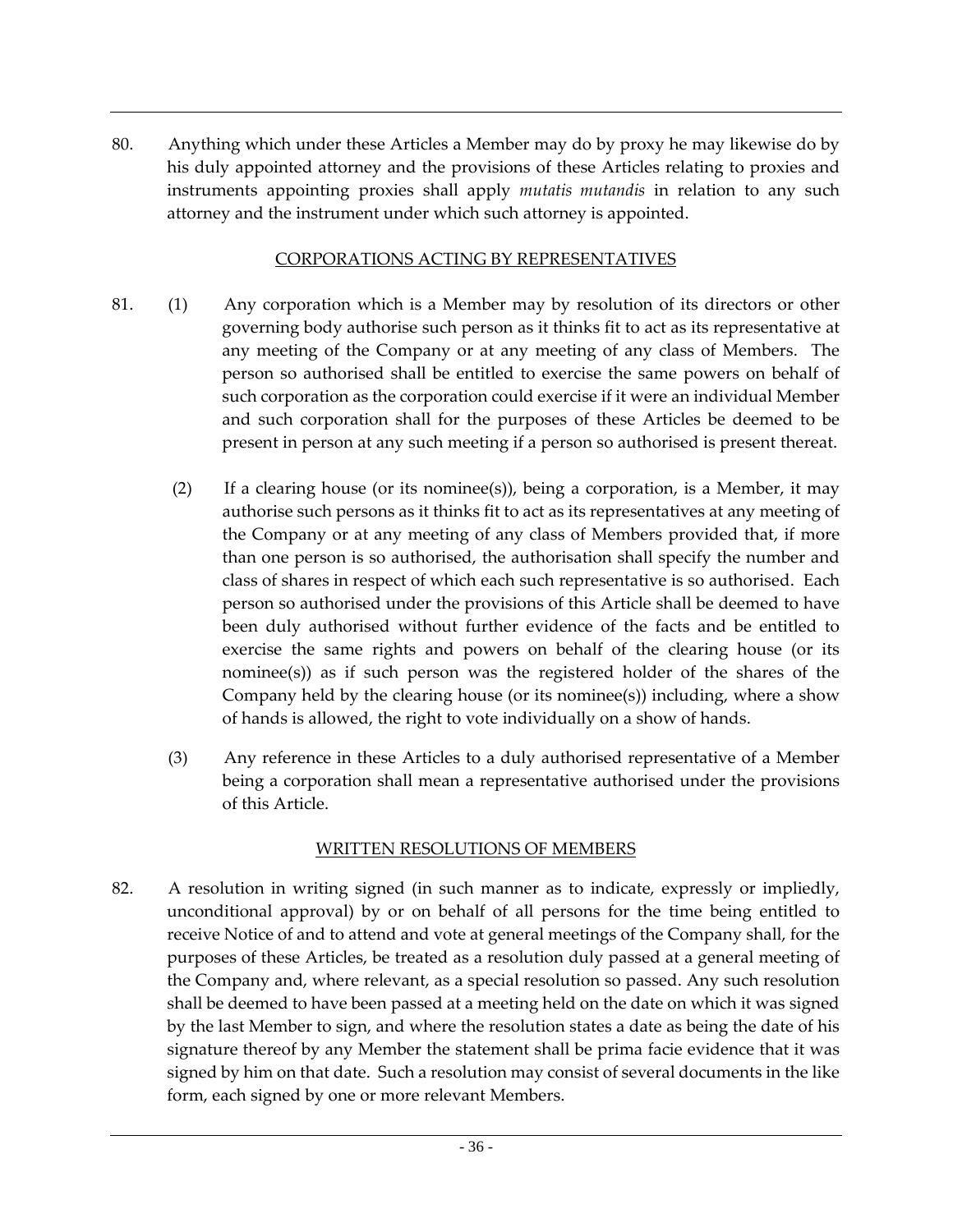80. Anything which under these Articles a Member may do by proxy he may likewise do by his duly appointed attorney and the provisions of these Articles relating to proxies and instruments appointing proxies shall apply *mutatis mutandis* in relation to any such attorney and the instrument under which such attorney is appointed.

#### CORPORATIONS ACTING BY REPRESENTATIVES

- 81. (1) Any corporation which is a Member may by resolution of its directors or other governing body authorise such person as it thinks fit to act as its representative at any meeting of the Company or at any meeting of any class of Members. The person so authorised shall be entitled to exercise the same powers on behalf of such corporation as the corporation could exercise if it were an individual Member and such corporation shall for the purposes of these Articles be deemed to be present in person at any such meeting if a person so authorised is present thereat.
	- (2) If a clearing house (or its nominee(s)), being a corporation, is a Member, it may authorise such persons as it thinks fit to act as its representatives at any meeting of the Company or at any meeting of any class of Members provided that, if more than one person is so authorised, the authorisation shall specify the number and class of shares in respect of which each such representative is so authorised. Each person so authorised under the provisions of this Article shall be deemed to have been duly authorised without further evidence of the facts and be entitled to exercise the same rights and powers on behalf of the clearing house (or its nominee(s)) as if such person was the registered holder of the shares of the Company held by the clearing house (or its nominee(s)) including, where a show of hands is allowed, the right to vote individually on a show of hands.
	- (3) Any reference in these Articles to a duly authorised representative of a Member being a corporation shall mean a representative authorised under the provisions of this Article.

## WRITTEN RESOLUTIONS OF MEMBERS

82. A resolution in writing signed (in such manner as to indicate, expressly or impliedly, unconditional approval) by or on behalf of all persons for the time being entitled to receive Notice of and to attend and vote at general meetings of the Company shall, for the purposes of these Articles, be treated as a resolution duly passed at a general meeting of the Company and, where relevant, as a special resolution so passed. Any such resolution shall be deemed to have been passed at a meeting held on the date on which it was signed by the last Member to sign, and where the resolution states a date as being the date of his signature thereof by any Member the statement shall be prima facie evidence that it was signed by him on that date. Such a resolution may consist of several documents in the like form, each signed by one or more relevant Members.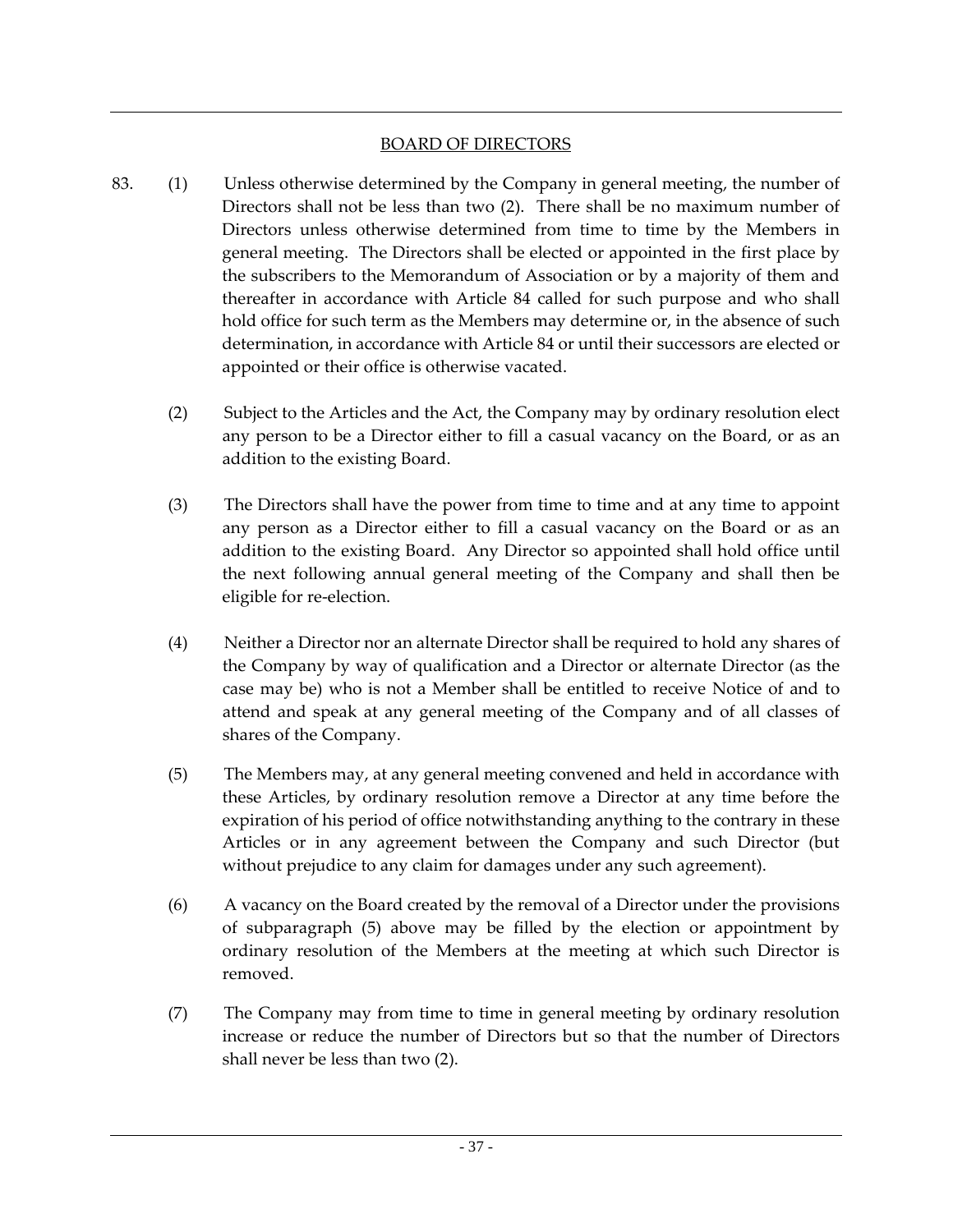### BOARD OF DIRECTORS

- 83. (1) Unless otherwise determined by the Company in general meeting, the number of Directors shall not be less than two (2). There shall be no maximum number of Directors unless otherwise determined from time to time by the Members in general meeting. The Directors shall be elected or appointed in the first place by the subscribers to the Memorandum of Association or by a majority of them and thereafter in accordance with Article 84 called for such purpose and who shall hold office for such term as the Members may determine or, in the absence of such determination, in accordance with Article 84 or until their successors are elected or appointed or their office is otherwise vacated.
	- (2) Subject to the Articles and the Act, the Company may by ordinary resolution elect any person to be a Director either to fill a casual vacancy on the Board, or as an addition to the existing Board.
	- (3) The Directors shall have the power from time to time and at any time to appoint any person as a Director either to fill a casual vacancy on the Board or as an addition to the existing Board. Any Director so appointed shall hold office until the next following annual general meeting of the Company and shall then be eligible for re-election.
	- (4) Neither a Director nor an alternate Director shall be required to hold any shares of the Company by way of qualification and a Director or alternate Director (as the case may be) who is not a Member shall be entitled to receive Notice of and to attend and speak at any general meeting of the Company and of all classes of shares of the Company.
	- (5) The Members may, at any general meeting convened and held in accordance with these Articles, by ordinary resolution remove a Director at any time before the expiration of his period of office notwithstanding anything to the contrary in these Articles or in any agreement between the Company and such Director (but without prejudice to any claim for damages under any such agreement).
	- (6) A vacancy on the Board created by the removal of a Director under the provisions of subparagraph (5) above may be filled by the election or appointment by ordinary resolution of the Members at the meeting at which such Director is removed.
	- (7) The Company may from time to time in general meeting by ordinary resolution increase or reduce the number of Directors but so that the number of Directors shall never be less than two (2).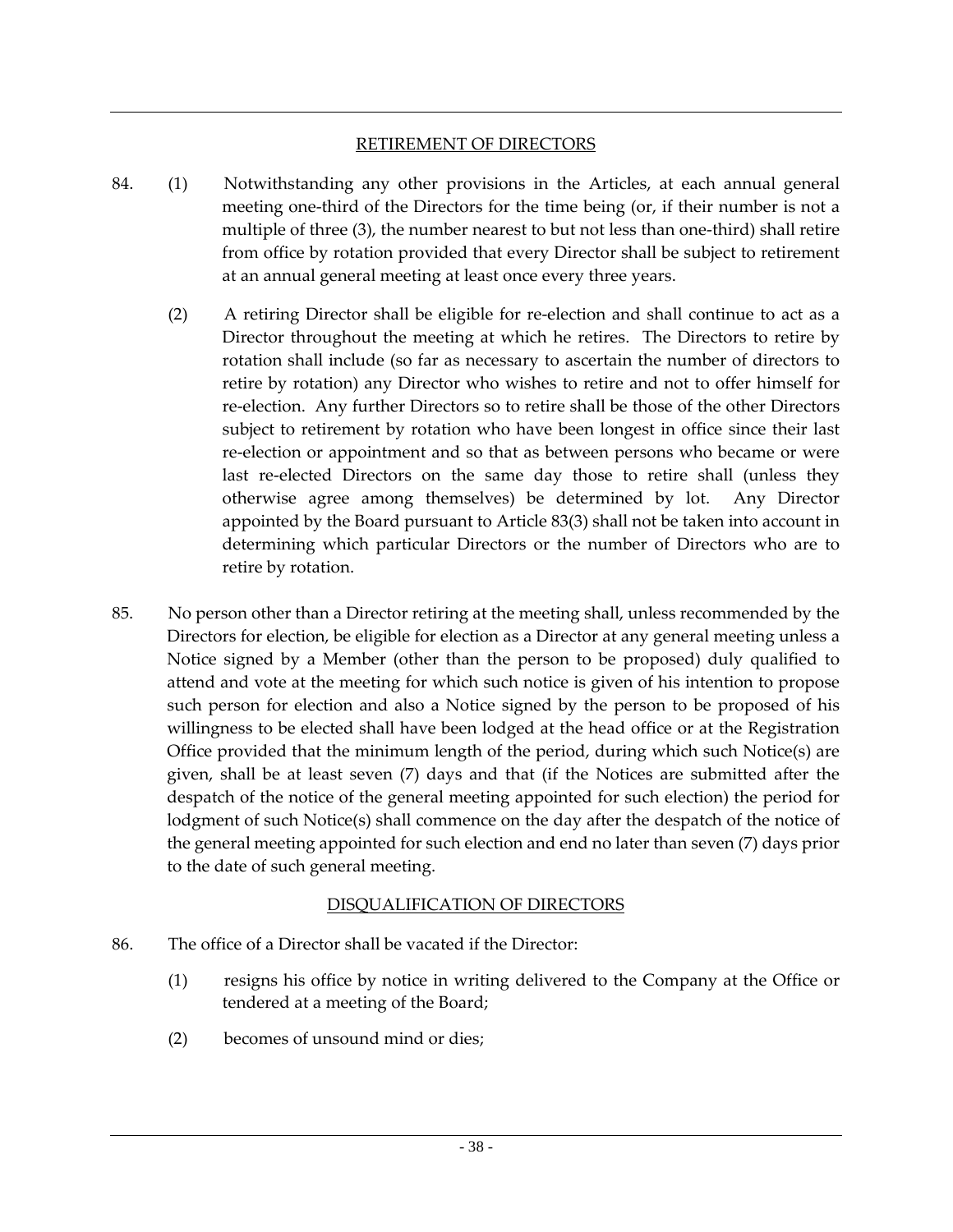#### RETIREMENT OF DIRECTORS

- 84. (1) Notwithstanding any other provisions in the Articles, at each annual general meeting one-third of the Directors for the time being (or, if their number is not a multiple of three (3), the number nearest to but not less than one-third) shall retire from office by rotation provided that every Director shall be subject to retirement at an annual general meeting at least once every three years.
	- (2) A retiring Director shall be eligible for re-election and shall continue to act as a Director throughout the meeting at which he retires. The Directors to retire by rotation shall include (so far as necessary to ascertain the number of directors to retire by rotation) any Director who wishes to retire and not to offer himself for re-election. Any further Directors so to retire shall be those of the other Directors subject to retirement by rotation who have been longest in office since their last re-election or appointment and so that as between persons who became or were last re-elected Directors on the same day those to retire shall (unless they otherwise agree among themselves) be determined by lot. Any Director appointed by the Board pursuant to Article 83(3) shall not be taken into account in determining which particular Directors or the number of Directors who are to retire by rotation.
- 85. No person other than a Director retiring at the meeting shall, unless recommended by the Directors for election, be eligible for election as a Director at any general meeting unless a Notice signed by a Member (other than the person to be proposed) duly qualified to attend and vote at the meeting for which such notice is given of his intention to propose such person for election and also a Notice signed by the person to be proposed of his willingness to be elected shall have been lodged at the head office or at the Registration Office provided that the minimum length of the period, during which such Notice(s) are given, shall be at least seven (7) days and that (if the Notices are submitted after the despatch of the notice of the general meeting appointed for such election) the period for lodgment of such Notice(s) shall commence on the day after the despatch of the notice of the general meeting appointed for such election and end no later than seven (7) days prior to the date of such general meeting.

## DISQUALIFICATION OF DIRECTORS

- 86. The office of a Director shall be vacated if the Director:
	- (1) resigns his office by notice in writing delivered to the Company at the Office or tendered at a meeting of the Board;
	- (2) becomes of unsound mind or dies;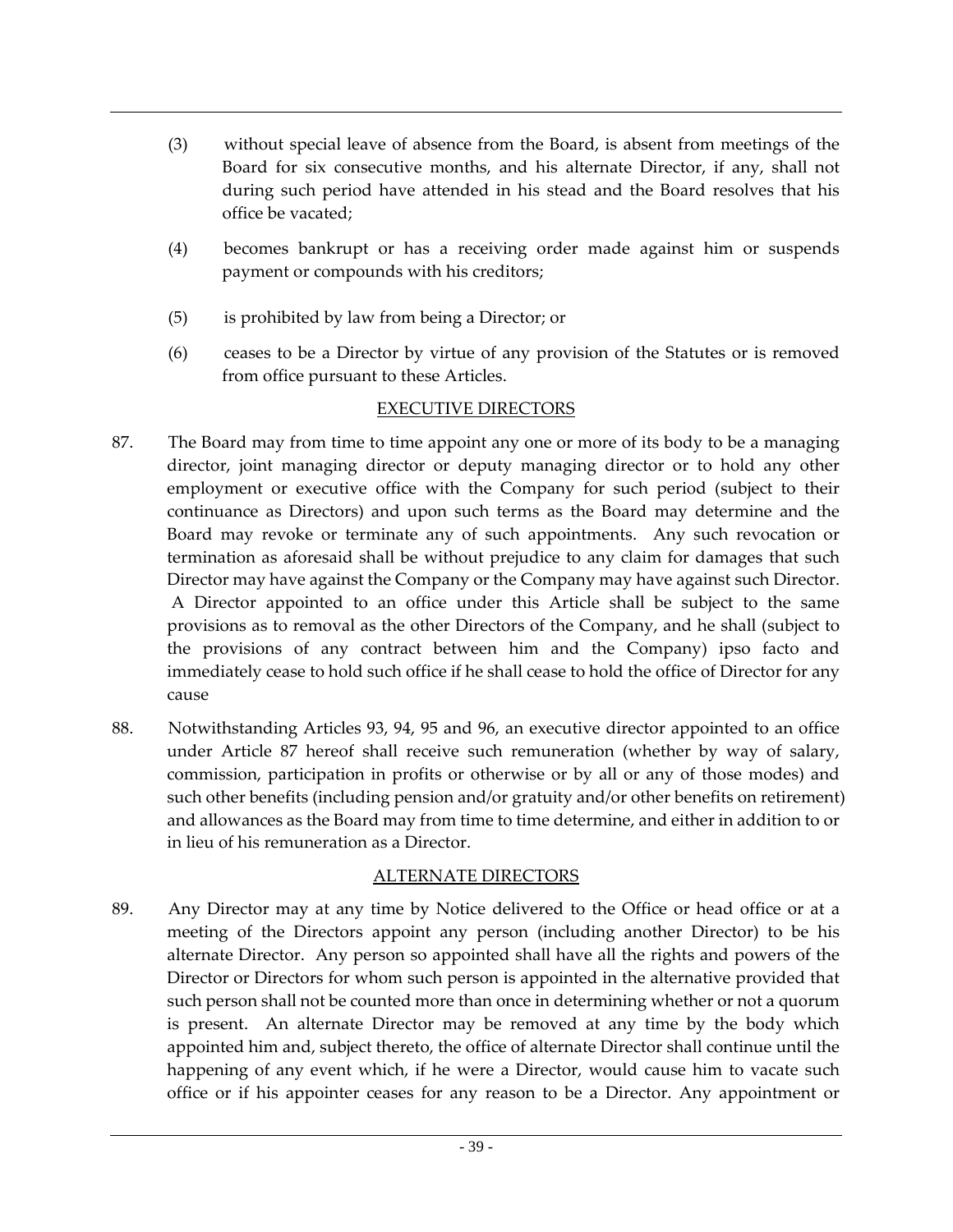- (3) without special leave of absence from the Board, is absent from meetings of the Board for six consecutive months, and his alternate Director, if any, shall not during such period have attended in his stead and the Board resolves that his office be vacated;
- (4) becomes bankrupt or has a receiving order made against him or suspends payment or compounds with his creditors;
- (5) is prohibited by law from being a Director; or
- (6) ceases to be a Director by virtue of any provision of the Statutes or is removed from office pursuant to these Articles.

### EXECUTIVE DIRECTORS

- 87. The Board may from time to time appoint any one or more of its body to be a managing director, joint managing director or deputy managing director or to hold any other employment or executive office with the Company for such period (subject to their continuance as Directors) and upon such terms as the Board may determine and the Board may revoke or terminate any of such appointments. Any such revocation or termination as aforesaid shall be without prejudice to any claim for damages that such Director may have against the Company or the Company may have against such Director. A Director appointed to an office under this Article shall be subject to the same provisions as to removal as the other Directors of the Company, and he shall (subject to the provisions of any contract between him and the Company) ipso facto and immediately cease to hold such office if he shall cease to hold the office of Director for any cause
- 88. Notwithstanding Articles 93, 94, 95 and 96, an executive director appointed to an office under Article 87 hereof shall receive such remuneration (whether by way of salary, commission, participation in profits or otherwise or by all or any of those modes) and such other benefits (including pension and/or gratuity and/or other benefits on retirement) and allowances as the Board may from time to time determine, and either in addition to or in lieu of his remuneration as a Director.

## ALTERNATE DIRECTORS

89. Any Director may at any time by Notice delivered to the Office or head office or at a meeting of the Directors appoint any person (including another Director) to be his alternate Director. Any person so appointed shall have all the rights and powers of the Director or Directors for whom such person is appointed in the alternative provided that such person shall not be counted more than once in determining whether or not a quorum is present. An alternate Director may be removed at any time by the body which appointed him and, subject thereto, the office of alternate Director shall continue until the happening of any event which, if he were a Director, would cause him to vacate such office or if his appointer ceases for any reason to be a Director. Any appointment or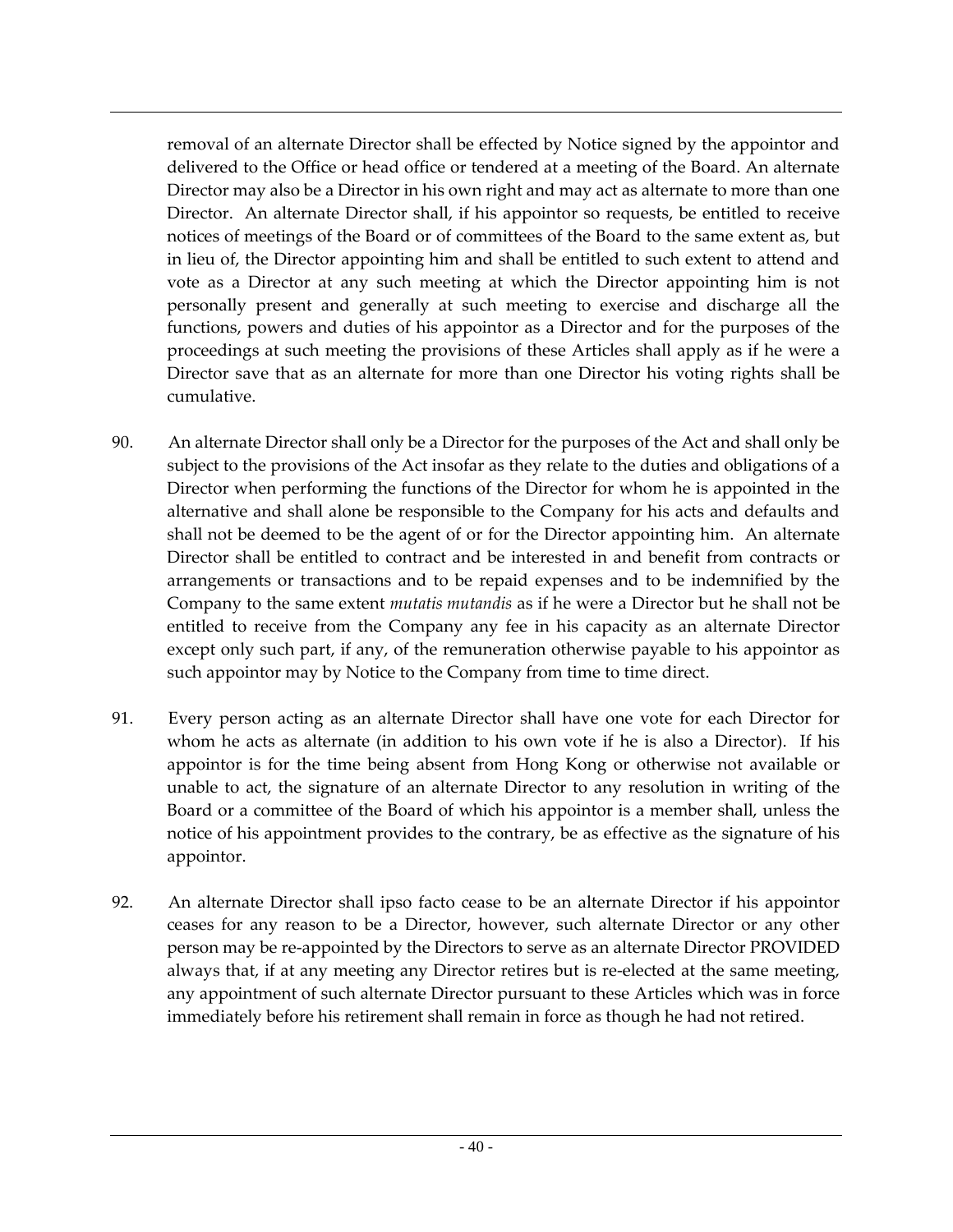removal of an alternate Director shall be effected by Notice signed by the appointor and delivered to the Office or head office or tendered at a meeting of the Board. An alternate Director may also be a Director in his own right and may act as alternate to more than one Director. An alternate Director shall, if his appointor so requests, be entitled to receive notices of meetings of the Board or of committees of the Board to the same extent as, but in lieu of, the Director appointing him and shall be entitled to such extent to attend and vote as a Director at any such meeting at which the Director appointing him is not personally present and generally at such meeting to exercise and discharge all the functions, powers and duties of his appointor as a Director and for the purposes of the proceedings at such meeting the provisions of these Articles shall apply as if he were a Director save that as an alternate for more than one Director his voting rights shall be cumulative.

- 90. An alternate Director shall only be a Director for the purposes of the Act and shall only be subject to the provisions of the Act insofar as they relate to the duties and obligations of a Director when performing the functions of the Director for whom he is appointed in the alternative and shall alone be responsible to the Company for his acts and defaults and shall not be deemed to be the agent of or for the Director appointing him. An alternate Director shall be entitled to contract and be interested in and benefit from contracts or arrangements or transactions and to be repaid expenses and to be indemnified by the Company to the same extent *mutatis mutandis* as if he were a Director but he shall not be entitled to receive from the Company any fee in his capacity as an alternate Director except only such part, if any, of the remuneration otherwise payable to his appointor as such appointor may by Notice to the Company from time to time direct.
- 91. Every person acting as an alternate Director shall have one vote for each Director for whom he acts as alternate (in addition to his own vote if he is also a Director). If his appointor is for the time being absent from Hong Kong or otherwise not available or unable to act, the signature of an alternate Director to any resolution in writing of the Board or a committee of the Board of which his appointor is a member shall, unless the notice of his appointment provides to the contrary, be as effective as the signature of his appointor.
- 92. An alternate Director shall ipso facto cease to be an alternate Director if his appointor ceases for any reason to be a Director, however, such alternate Director or any other person may be re-appointed by the Directors to serve as an alternate Director PROVIDED always that, if at any meeting any Director retires but is re-elected at the same meeting, any appointment of such alternate Director pursuant to these Articles which was in force immediately before his retirement shall remain in force as though he had not retired.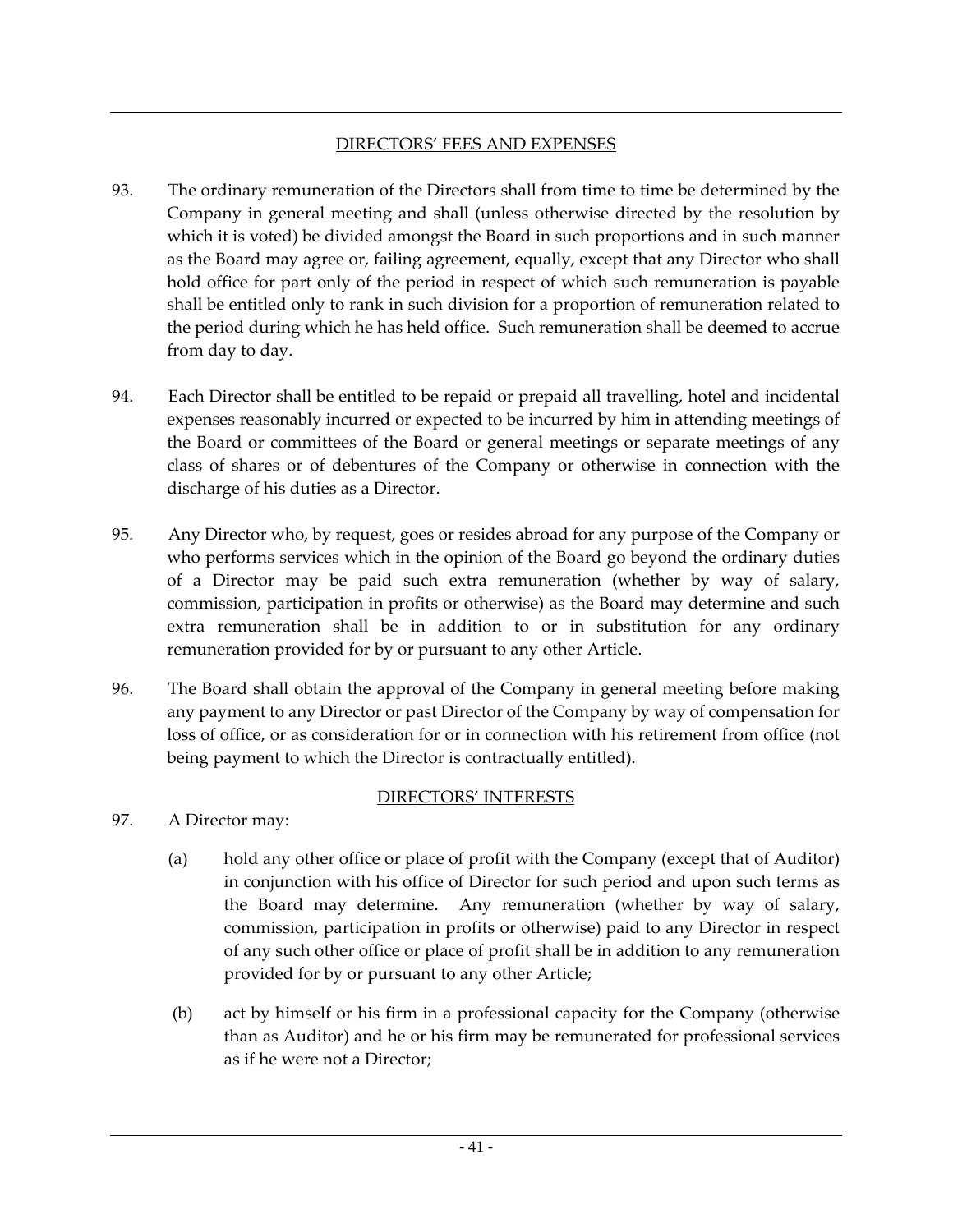### DIRECTORS' FEES AND EXPENSES

- 93. The ordinary remuneration of the Directors shall from time to time be determined by the Company in general meeting and shall (unless otherwise directed by the resolution by which it is voted) be divided amongst the Board in such proportions and in such manner as the Board may agree or, failing agreement, equally, except that any Director who shall hold office for part only of the period in respect of which such remuneration is payable shall be entitled only to rank in such division for a proportion of remuneration related to the period during which he has held office. Such remuneration shall be deemed to accrue from day to day.
- 94. Each Director shall be entitled to be repaid or prepaid all travelling, hotel and incidental expenses reasonably incurred or expected to be incurred by him in attending meetings of the Board or committees of the Board or general meetings or separate meetings of any class of shares or of debentures of the Company or otherwise in connection with the discharge of his duties as a Director.
- 95. Any Director who, by request, goes or resides abroad for any purpose of the Company or who performs services which in the opinion of the Board go beyond the ordinary duties of a Director may be paid such extra remuneration (whether by way of salary, commission, participation in profits or otherwise) as the Board may determine and such extra remuneration shall be in addition to or in substitution for any ordinary remuneration provided for by or pursuant to any other Article.
- 96. The Board shall obtain the approval of the Company in general meeting before making any payment to any Director or past Director of the Company by way of compensation for loss of office, or as consideration for or in connection with his retirement from office (not being payment to which the Director is contractually entitled).

## DIRECTORS' INTERESTS

- 97. A Director may:
	- (a) hold any other office or place of profit with the Company (except that of Auditor) in conjunction with his office of Director for such period and upon such terms as the Board may determine. Any remuneration (whether by way of salary, commission, participation in profits or otherwise) paid to any Director in respect of any such other office or place of profit shall be in addition to any remuneration provided for by or pursuant to any other Article;
	- (b) act by himself or his firm in a professional capacity for the Company (otherwise than as Auditor) and he or his firm may be remunerated for professional services as if he were not a Director;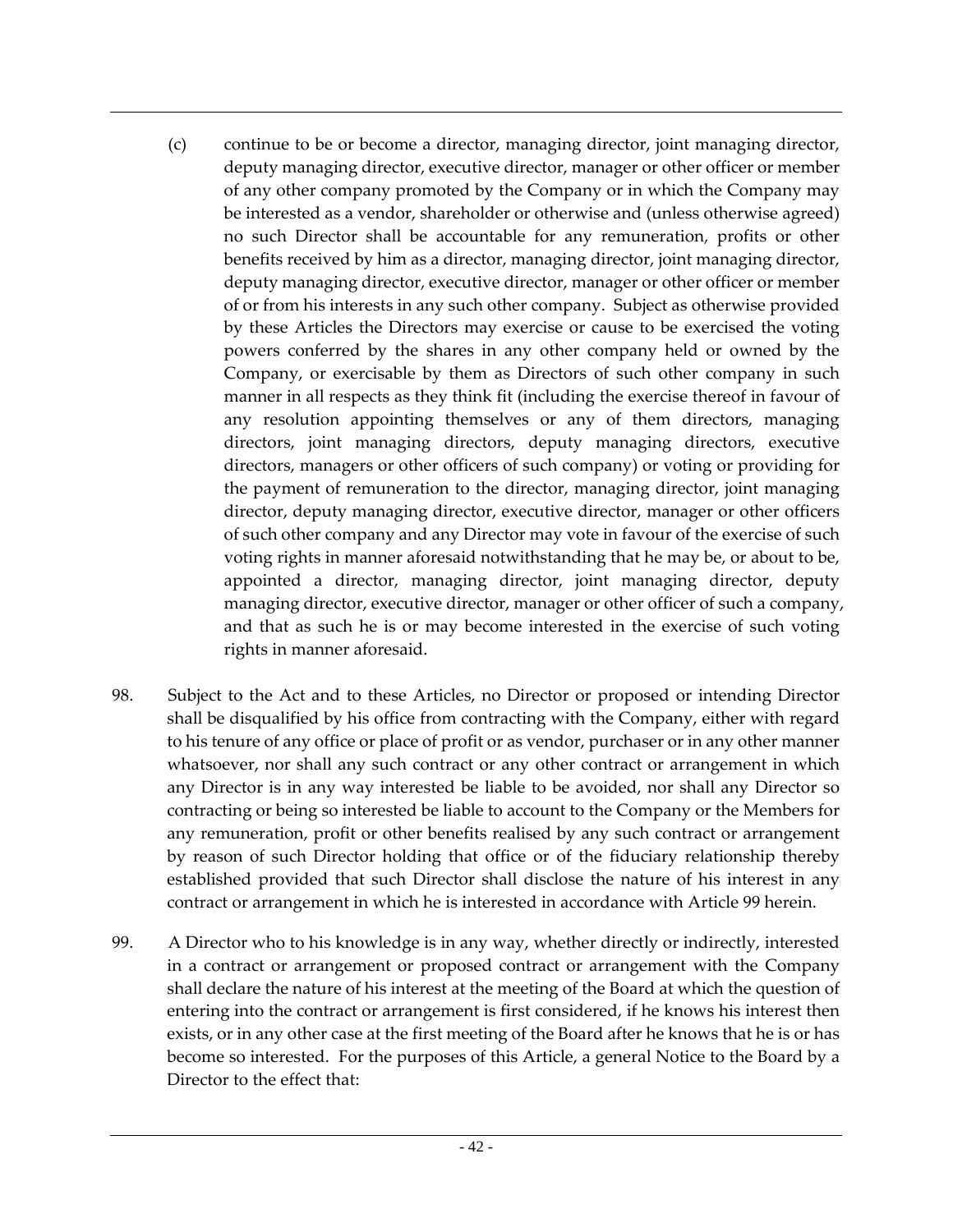- (c) continue to be or become a director, managing director, joint managing director, deputy managing director, executive director, manager or other officer or member of any other company promoted by the Company or in which the Company may be interested as a vendor, shareholder or otherwise and (unless otherwise agreed) no such Director shall be accountable for any remuneration, profits or other benefits received by him as a director, managing director, joint managing director, deputy managing director, executive director, manager or other officer or member of or from his interests in any such other company. Subject as otherwise provided by these Articles the Directors may exercise or cause to be exercised the voting powers conferred by the shares in any other company held or owned by the Company, or exercisable by them as Directors of such other company in such manner in all respects as they think fit (including the exercise thereof in favour of any resolution appointing themselves or any of them directors, managing directors, joint managing directors, deputy managing directors, executive directors, managers or other officers of such company) or voting or providing for the payment of remuneration to the director, managing director, joint managing director, deputy managing director, executive director, manager or other officers of such other company and any Director may vote in favour of the exercise of such voting rights in manner aforesaid notwithstanding that he may be, or about to be, appointed a director, managing director, joint managing director, deputy managing director, executive director, manager or other officer of such a company, and that as such he is or may become interested in the exercise of such voting rights in manner aforesaid.
- 98. Subject to the Act and to these Articles, no Director or proposed or intending Director shall be disqualified by his office from contracting with the Company, either with regard to his tenure of any office or place of profit or as vendor, purchaser or in any other manner whatsoever, nor shall any such contract or any other contract or arrangement in which any Director is in any way interested be liable to be avoided, nor shall any Director so contracting or being so interested be liable to account to the Company or the Members for any remuneration, profit or other benefits realised by any such contract or arrangement by reason of such Director holding that office or of the fiduciary relationship thereby established provided that such Director shall disclose the nature of his interest in any contract or arrangement in which he is interested in accordance with Article 99 herein.
- 99. A Director who to his knowledge is in any way, whether directly or indirectly, interested in a contract or arrangement or proposed contract or arrangement with the Company shall declare the nature of his interest at the meeting of the Board at which the question of entering into the contract or arrangement is first considered, if he knows his interest then exists, or in any other case at the first meeting of the Board after he knows that he is or has become so interested. For the purposes of this Article, a general Notice to the Board by a Director to the effect that: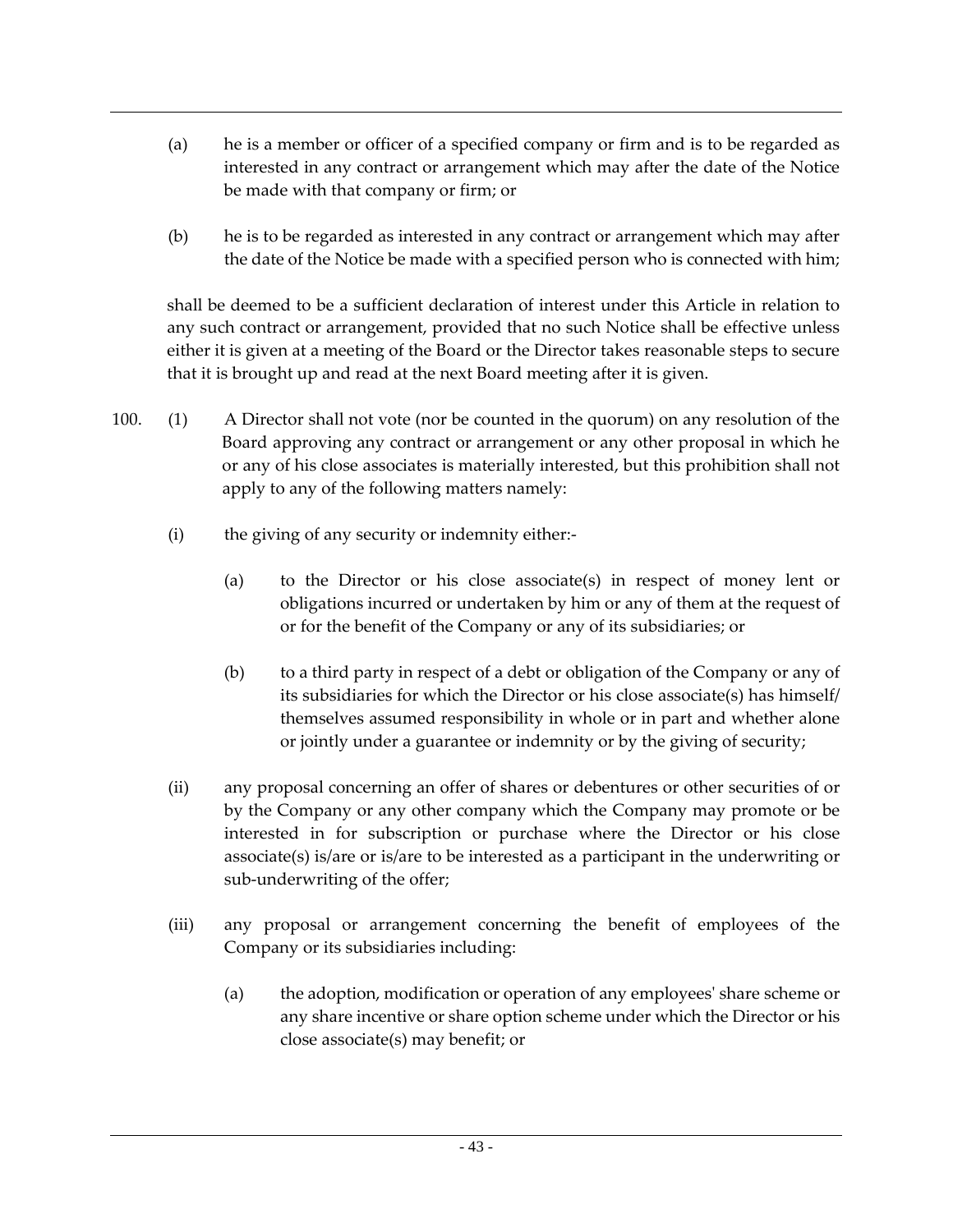- (a) he is a member or officer of a specified company or firm and is to be regarded as interested in any contract or arrangement which may after the date of the Notice be made with that company or firm; or
- (b) he is to be regarded as interested in any contract or arrangement which may after the date of the Notice be made with a specified person who is connected with him;

shall be deemed to be a sufficient declaration of interest under this Article in relation to any such contract or arrangement, provided that no such Notice shall be effective unless either it is given at a meeting of the Board or the Director takes reasonable steps to secure that it is brought up and read at the next Board meeting after it is given.

- 100. (1) A Director shall not vote (nor be counted in the quorum) on any resolution of the Board approving any contract or arrangement or any other proposal in which he or any of his close associates is materially interested, but this prohibition shall not apply to any of the following matters namely:
	- (i) the giving of any security or indemnity either:-
		- (a) to the Director or his close associate(s) in respect of money lent or obligations incurred or undertaken by him or any of them at the request of or for the benefit of the Company or any of its subsidiaries; or
		- (b) to a third party in respect of a debt or obligation of the Company or any of its subsidiaries for which the Director or his close associate(s) has himself/ themselves assumed responsibility in whole or in part and whether alone or jointly under a guarantee or indemnity or by the giving of security;
	- (ii) any proposal concerning an offer of shares or debentures or other securities of or by the Company or any other company which the Company may promote or be interested in for subscription or purchase where the Director or his close associate(s) is/are or is/are to be interested as a participant in the underwriting or sub-underwriting of the offer;
	- (iii) any proposal or arrangement concerning the benefit of employees of the Company or its subsidiaries including:
		- (a) the adoption, modification or operation of any employees' share scheme or any share incentive or share option scheme under which the Director or his close associate(s) may benefit; or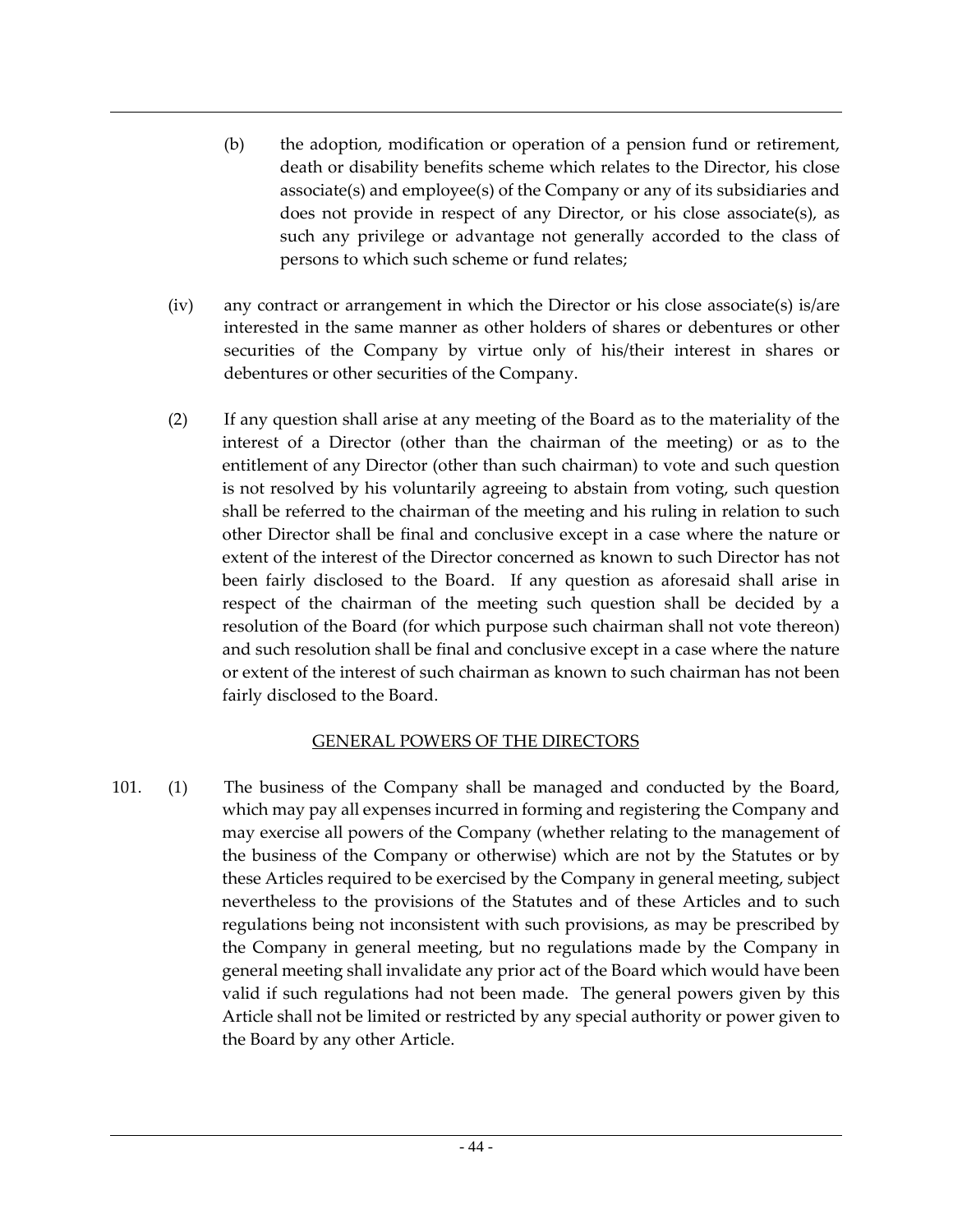- (b) the adoption, modification or operation of a pension fund or retirement, death or disability benefits scheme which relates to the Director, his close associate(s) and employee(s) of the Company or any of its subsidiaries and does not provide in respect of any Director, or his close associate(s), as such any privilege or advantage not generally accorded to the class of persons to which such scheme or fund relates;
- (iv) any contract or arrangement in which the Director or his close associate(s) is/are interested in the same manner as other holders of shares or debentures or other securities of the Company by virtue only of his/their interest in shares or debentures or other securities of the Company.
- (2) If any question shall arise at any meeting of the Board as to the materiality of the interest of a Director (other than the chairman of the meeting) or as to the entitlement of any Director (other than such chairman) to vote and such question is not resolved by his voluntarily agreeing to abstain from voting, such question shall be referred to the chairman of the meeting and his ruling in relation to such other Director shall be final and conclusive except in a case where the nature or extent of the interest of the Director concerned as known to such Director has not been fairly disclosed to the Board. If any question as aforesaid shall arise in respect of the chairman of the meeting such question shall be decided by a resolution of the Board (for which purpose such chairman shall not vote thereon) and such resolution shall be final and conclusive except in a case where the nature or extent of the interest of such chairman as known to such chairman has not been fairly disclosed to the Board.

#### GENERAL POWERS OF THE DIRECTORS

101. (1) The business of the Company shall be managed and conducted by the Board, which may pay all expenses incurred in forming and registering the Company and may exercise all powers of the Company (whether relating to the management of the business of the Company or otherwise) which are not by the Statutes or by these Articles required to be exercised by the Company in general meeting, subject nevertheless to the provisions of the Statutes and of these Articles and to such regulations being not inconsistent with such provisions, as may be prescribed by the Company in general meeting, but no regulations made by the Company in general meeting shall invalidate any prior act of the Board which would have been valid if such regulations had not been made. The general powers given by this Article shall not be limited or restricted by any special authority or power given to the Board by any other Article.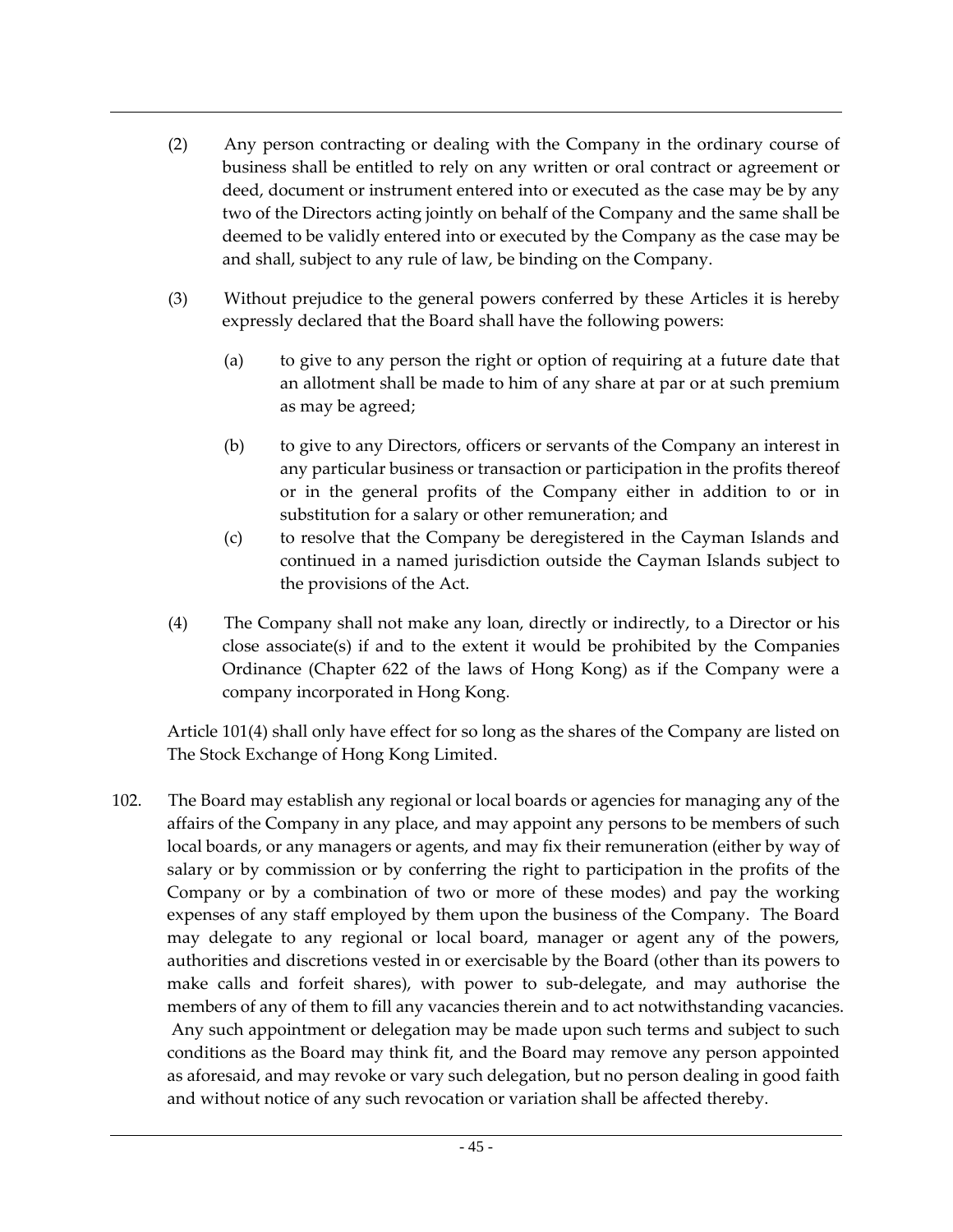- (2) Any person contracting or dealing with the Company in the ordinary course of business shall be entitled to rely on any written or oral contract or agreement or deed, document or instrument entered into or executed as the case may be by any two of the Directors acting jointly on behalf of the Company and the same shall be deemed to be validly entered into or executed by the Company as the case may be and shall, subject to any rule of law, be binding on the Company.
- (3) Without prejudice to the general powers conferred by these Articles it is hereby expressly declared that the Board shall have the following powers:
	- (a) to give to any person the right or option of requiring at a future date that an allotment shall be made to him of any share at par or at such premium as may be agreed;
	- (b) to give to any Directors, officers or servants of the Company an interest in any particular business or transaction or participation in the profits thereof or in the general profits of the Company either in addition to or in substitution for a salary or other remuneration; and
	- (c) to resolve that the Company be deregistered in the Cayman Islands and continued in a named jurisdiction outside the Cayman Islands subject to the provisions of the Act.
- (4) The Company shall not make any loan, directly or indirectly, to a Director or his close associate(s) if and to the extent it would be prohibited by the Companies Ordinance (Chapter 622 of the laws of Hong Kong) as if the Company were a company incorporated in Hong Kong.

Article 101(4) shall only have effect for so long as the shares of the Company are listed on The Stock Exchange of Hong Kong Limited.

102. The Board may establish any regional or local boards or agencies for managing any of the affairs of the Company in any place, and may appoint any persons to be members of such local boards, or any managers or agents, and may fix their remuneration (either by way of salary or by commission or by conferring the right to participation in the profits of the Company or by a combination of two or more of these modes) and pay the working expenses of any staff employed by them upon the business of the Company. The Board may delegate to any regional or local board, manager or agent any of the powers, authorities and discretions vested in or exercisable by the Board (other than its powers to make calls and forfeit shares), with power to sub-delegate, and may authorise the members of any of them to fill any vacancies therein and to act notwithstanding vacancies. Any such appointment or delegation may be made upon such terms and subject to such conditions as the Board may think fit, and the Board may remove any person appointed as aforesaid, and may revoke or vary such delegation, but no person dealing in good faith and without notice of any such revocation or variation shall be affected thereby.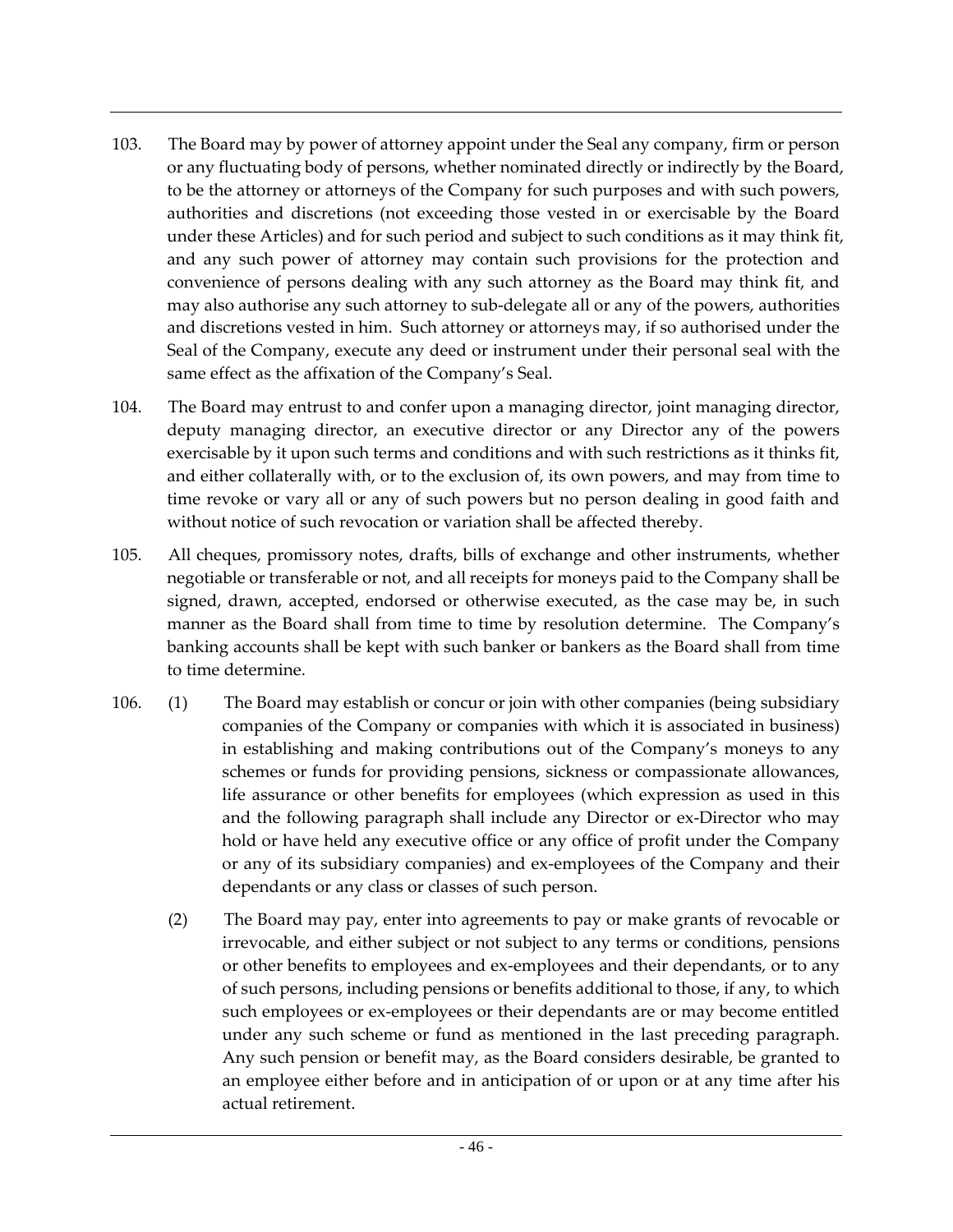- 103. The Board may by power of attorney appoint under the Seal any company, firm or person or any fluctuating body of persons, whether nominated directly or indirectly by the Board, to be the attorney or attorneys of the Company for such purposes and with such powers, authorities and discretions (not exceeding those vested in or exercisable by the Board under these Articles) and for such period and subject to such conditions as it may think fit, and any such power of attorney may contain such provisions for the protection and convenience of persons dealing with any such attorney as the Board may think fit, and may also authorise any such attorney to sub-delegate all or any of the powers, authorities and discretions vested in him. Such attorney or attorneys may, if so authorised under the Seal of the Company, execute any deed or instrument under their personal seal with the same effect as the affixation of the Company's Seal.
- 104. The Board may entrust to and confer upon a managing director, joint managing director, deputy managing director, an executive director or any Director any of the powers exercisable by it upon such terms and conditions and with such restrictions as it thinks fit, and either collaterally with, or to the exclusion of, its own powers, and may from time to time revoke or vary all or any of such powers but no person dealing in good faith and without notice of such revocation or variation shall be affected thereby.
- 105. All cheques, promissory notes, drafts, bills of exchange and other instruments, whether negotiable or transferable or not, and all receipts for moneys paid to the Company shall be signed, drawn, accepted, endorsed or otherwise executed, as the case may be, in such manner as the Board shall from time to time by resolution determine. The Company's banking accounts shall be kept with such banker or bankers as the Board shall from time to time determine.
- 106. (1) The Board may establish or concur or join with other companies (being subsidiary companies of the Company or companies with which it is associated in business) in establishing and making contributions out of the Company's moneys to any schemes or funds for providing pensions, sickness or compassionate allowances, life assurance or other benefits for employees (which expression as used in this and the following paragraph shall include any Director or ex-Director who may hold or have held any executive office or any office of profit under the Company or any of its subsidiary companies) and ex-employees of the Company and their dependants or any class or classes of such person.
	- (2) The Board may pay, enter into agreements to pay or make grants of revocable or irrevocable, and either subject or not subject to any terms or conditions, pensions or other benefits to employees and ex-employees and their dependants, or to any of such persons, including pensions or benefits additional to those, if any, to which such employees or ex-employees or their dependants are or may become entitled under any such scheme or fund as mentioned in the last preceding paragraph. Any such pension or benefit may, as the Board considers desirable, be granted to an employee either before and in anticipation of or upon or at any time after his actual retirement.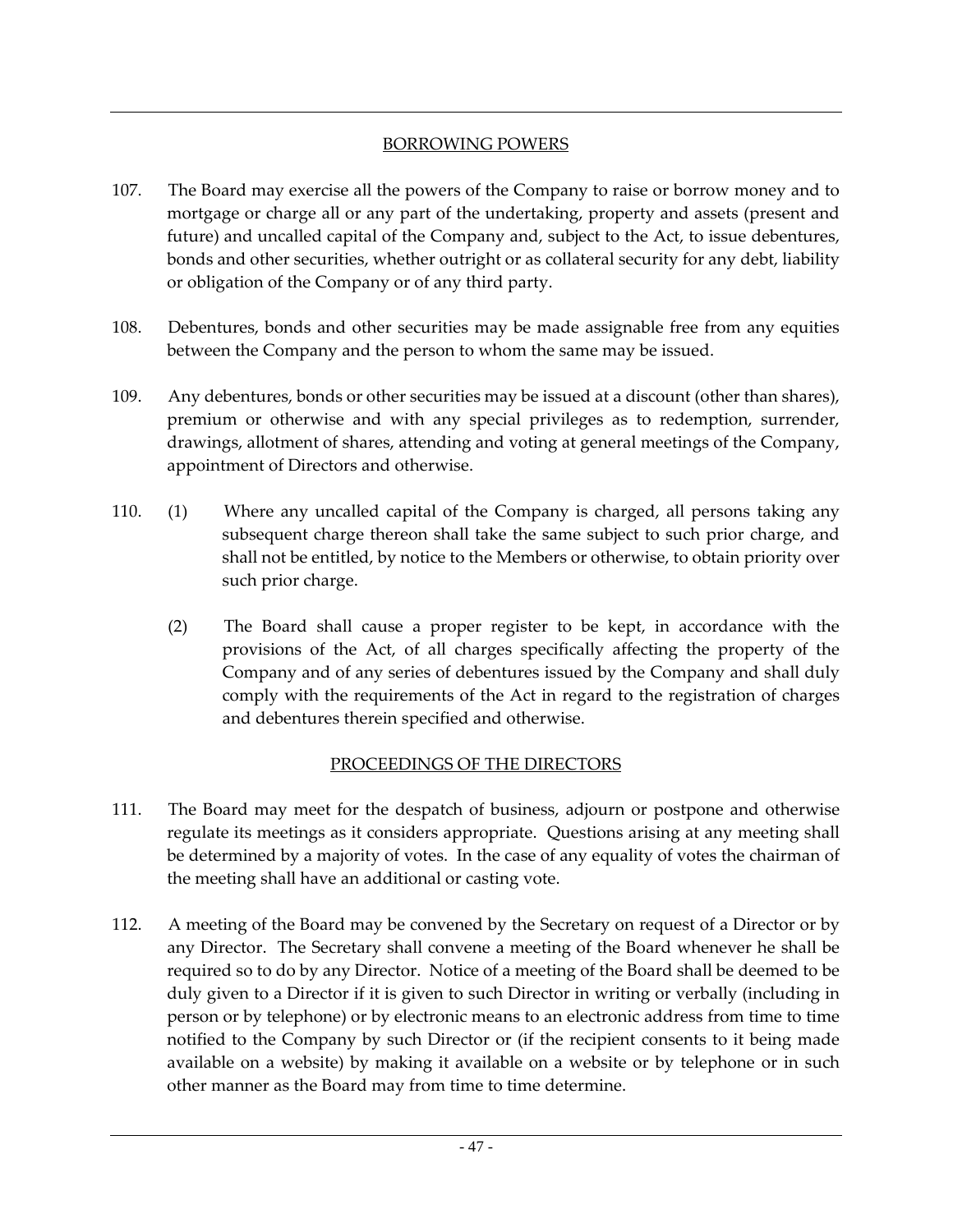## BORROWING POWERS

- 107. The Board may exercise all the powers of the Company to raise or borrow money and to mortgage or charge all or any part of the undertaking, property and assets (present and future) and uncalled capital of the Company and, subject to the Act, to issue debentures, bonds and other securities, whether outright or as collateral security for any debt, liability or obligation of the Company or of any third party.
- 108. Debentures, bonds and other securities may be made assignable free from any equities between the Company and the person to whom the same may be issued.
- 109. Any debentures, bonds or other securities may be issued at a discount (other than shares), premium or otherwise and with any special privileges as to redemption, surrender, drawings, allotment of shares, attending and voting at general meetings of the Company, appointment of Directors and otherwise.
- 110. (1) Where any uncalled capital of the Company is charged, all persons taking any subsequent charge thereon shall take the same subject to such prior charge, and shall not be entitled, by notice to the Members or otherwise, to obtain priority over such prior charge.
	- (2) The Board shall cause a proper register to be kept, in accordance with the provisions of the Act, of all charges specifically affecting the property of the Company and of any series of debentures issued by the Company and shall duly comply with the requirements of the Act in regard to the registration of charges and debentures therein specified and otherwise.

## PROCEEDINGS OF THE DIRECTORS

- 111. The Board may meet for the despatch of business, adjourn or postpone and otherwise regulate its meetings as it considers appropriate. Questions arising at any meeting shall be determined by a majority of votes. In the case of any equality of votes the chairman of the meeting shall have an additional or casting vote.
- 112. A meeting of the Board may be convened by the Secretary on request of a Director or by any Director. The Secretary shall convene a meeting of the Board whenever he shall be required so to do by any Director. Notice of a meeting of the Board shall be deemed to be duly given to a Director if it is given to such Director in writing or verbally (including in person or by telephone) or by electronic means to an electronic address from time to time notified to the Company by such Director or (if the recipient consents to it being made available on a website) by making it available on a website or by telephone or in such other manner as the Board may from time to time determine.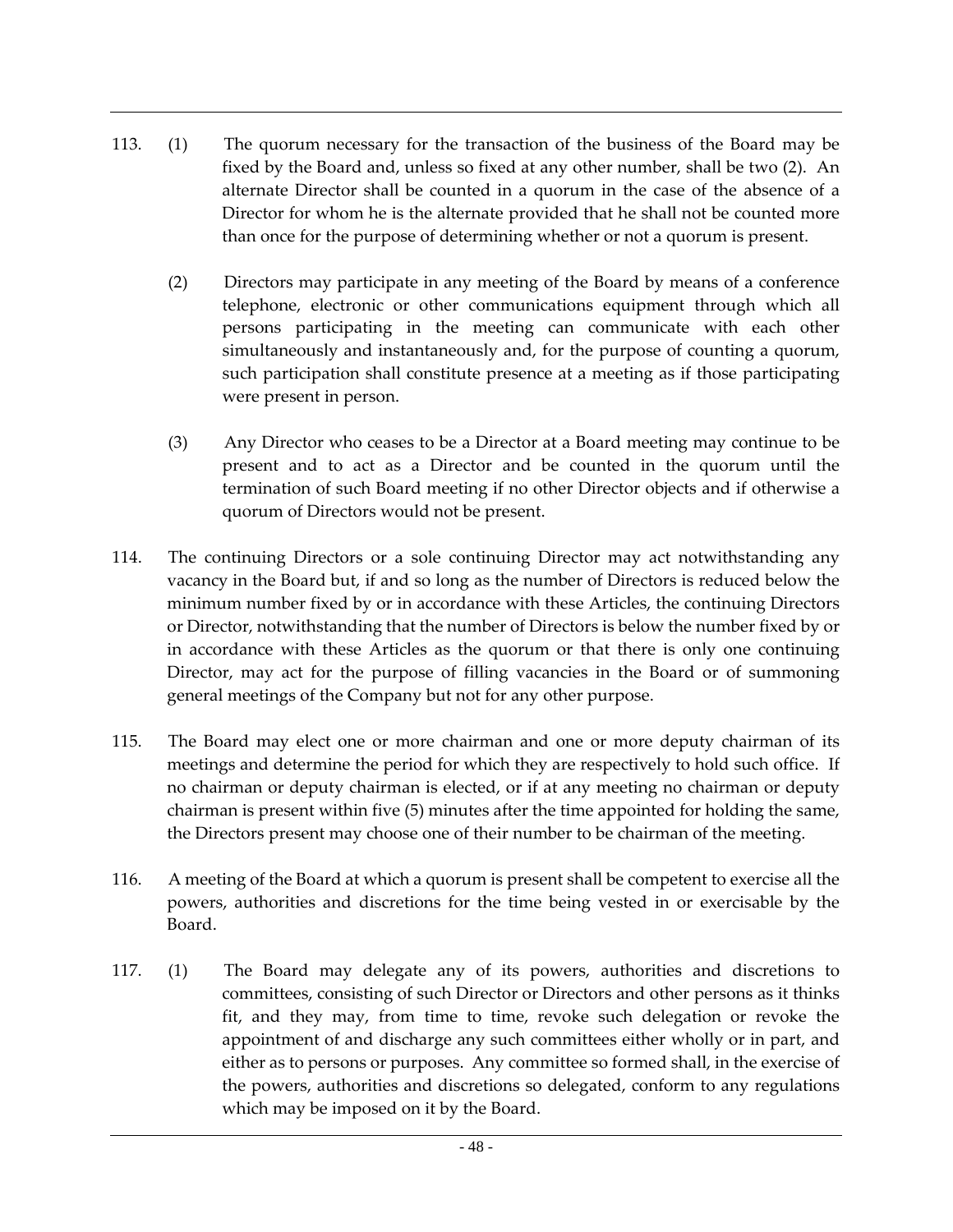- 113. (1) The quorum necessary for the transaction of the business of the Board may be fixed by the Board and, unless so fixed at any other number, shall be two (2). An alternate Director shall be counted in a quorum in the case of the absence of a Director for whom he is the alternate provided that he shall not be counted more than once for the purpose of determining whether or not a quorum is present.
	- (2) Directors may participate in any meeting of the Board by means of a conference telephone, electronic or other communications equipment through which all persons participating in the meeting can communicate with each other simultaneously and instantaneously and, for the purpose of counting a quorum, such participation shall constitute presence at a meeting as if those participating were present in person.
	- (3) Any Director who ceases to be a Director at a Board meeting may continue to be present and to act as a Director and be counted in the quorum until the termination of such Board meeting if no other Director objects and if otherwise a quorum of Directors would not be present.
- 114. The continuing Directors or a sole continuing Director may act notwithstanding any vacancy in the Board but, if and so long as the number of Directors is reduced below the minimum number fixed by or in accordance with these Articles, the continuing Directors or Director, notwithstanding that the number of Directors is below the number fixed by or in accordance with these Articles as the quorum or that there is only one continuing Director, may act for the purpose of filling vacancies in the Board or of summoning general meetings of the Company but not for any other purpose.
- 115. The Board may elect one or more chairman and one or more deputy chairman of its meetings and determine the period for which they are respectively to hold such office. If no chairman or deputy chairman is elected, or if at any meeting no chairman or deputy chairman is present within five (5) minutes after the time appointed for holding the same, the Directors present may choose one of their number to be chairman of the meeting.
- 116. A meeting of the Board at which a quorum is present shall be competent to exercise all the powers, authorities and discretions for the time being vested in or exercisable by the Board.
- 117. (1) The Board may delegate any of its powers, authorities and discretions to committees, consisting of such Director or Directors and other persons as it thinks fit, and they may, from time to time, revoke such delegation or revoke the appointment of and discharge any such committees either wholly or in part, and either as to persons or purposes. Any committee so formed shall, in the exercise of the powers, authorities and discretions so delegated, conform to any regulations which may be imposed on it by the Board.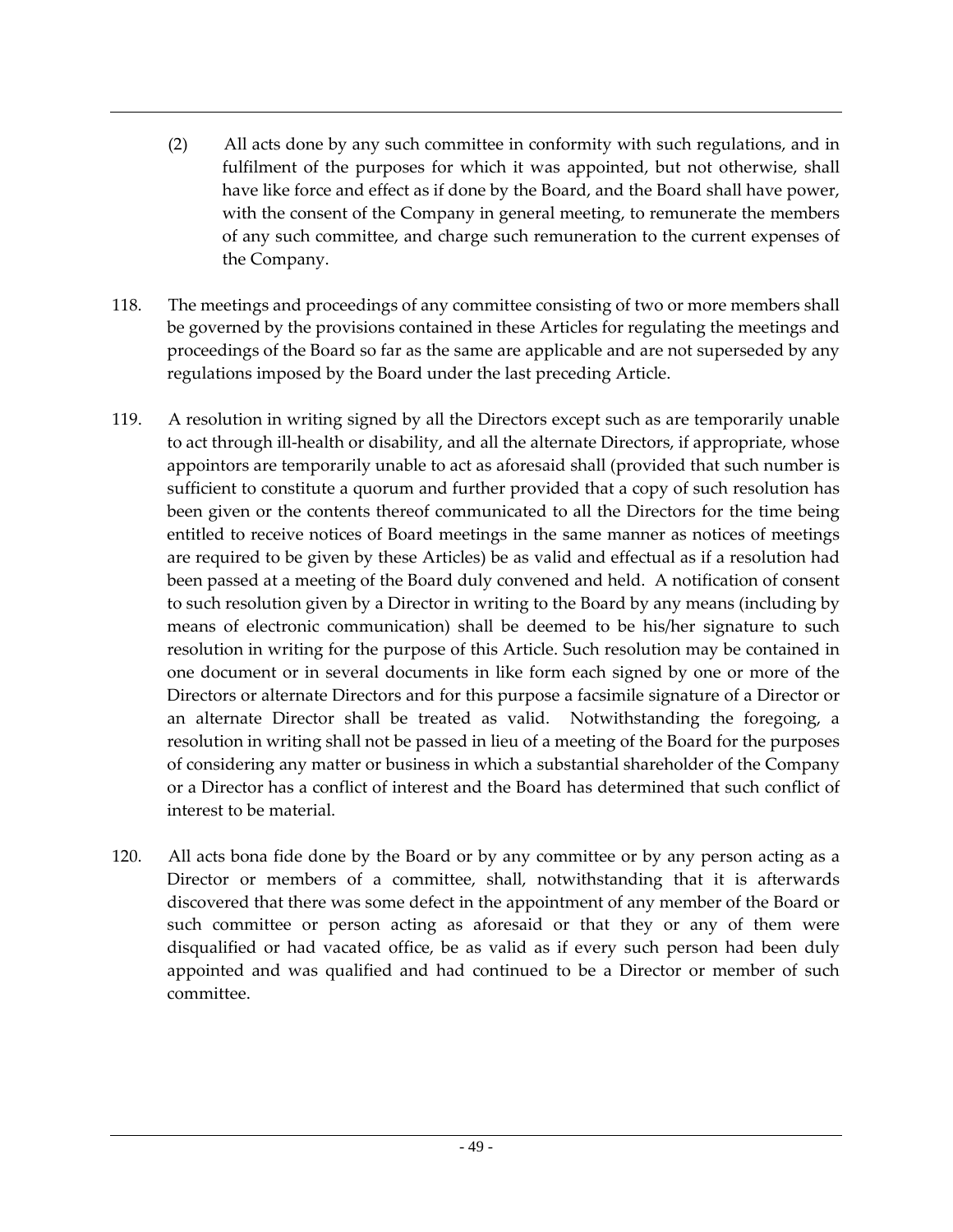- (2) All acts done by any such committee in conformity with such regulations, and in fulfilment of the purposes for which it was appointed, but not otherwise, shall have like force and effect as if done by the Board, and the Board shall have power, with the consent of the Company in general meeting, to remunerate the members of any such committee, and charge such remuneration to the current expenses of the Company.
- 118. The meetings and proceedings of any committee consisting of two or more members shall be governed by the provisions contained in these Articles for regulating the meetings and proceedings of the Board so far as the same are applicable and are not superseded by any regulations imposed by the Board under the last preceding Article.
- 119. A resolution in writing signed by all the Directors except such as are temporarily unable to act through ill-health or disability, and all the alternate Directors, if appropriate, whose appointors are temporarily unable to act as aforesaid shall (provided that such number is sufficient to constitute a quorum and further provided that a copy of such resolution has been given or the contents thereof communicated to all the Directors for the time being entitled to receive notices of Board meetings in the same manner as notices of meetings are required to be given by these Articles) be as valid and effectual as if a resolution had been passed at a meeting of the Board duly convened and held. A notification of consent to such resolution given by a Director in writing to the Board by any means (including by means of electronic communication) shall be deemed to be his/her signature to such resolution in writing for the purpose of this Article. Such resolution may be contained in one document or in several documents in like form each signed by one or more of the Directors or alternate Directors and for this purpose a facsimile signature of a Director or an alternate Director shall be treated as valid. Notwithstanding the foregoing, a resolution in writing shall not be passed in lieu of a meeting of the Board for the purposes of considering any matter or business in which a substantial shareholder of the Company or a Director has a conflict of interest and the Board has determined that such conflict of interest to be material.
- 120. All acts bona fide done by the Board or by any committee or by any person acting as a Director or members of a committee, shall, notwithstanding that it is afterwards discovered that there was some defect in the appointment of any member of the Board or such committee or person acting as aforesaid or that they or any of them were disqualified or had vacated office, be as valid as if every such person had been duly appointed and was qualified and had continued to be a Director or member of such committee.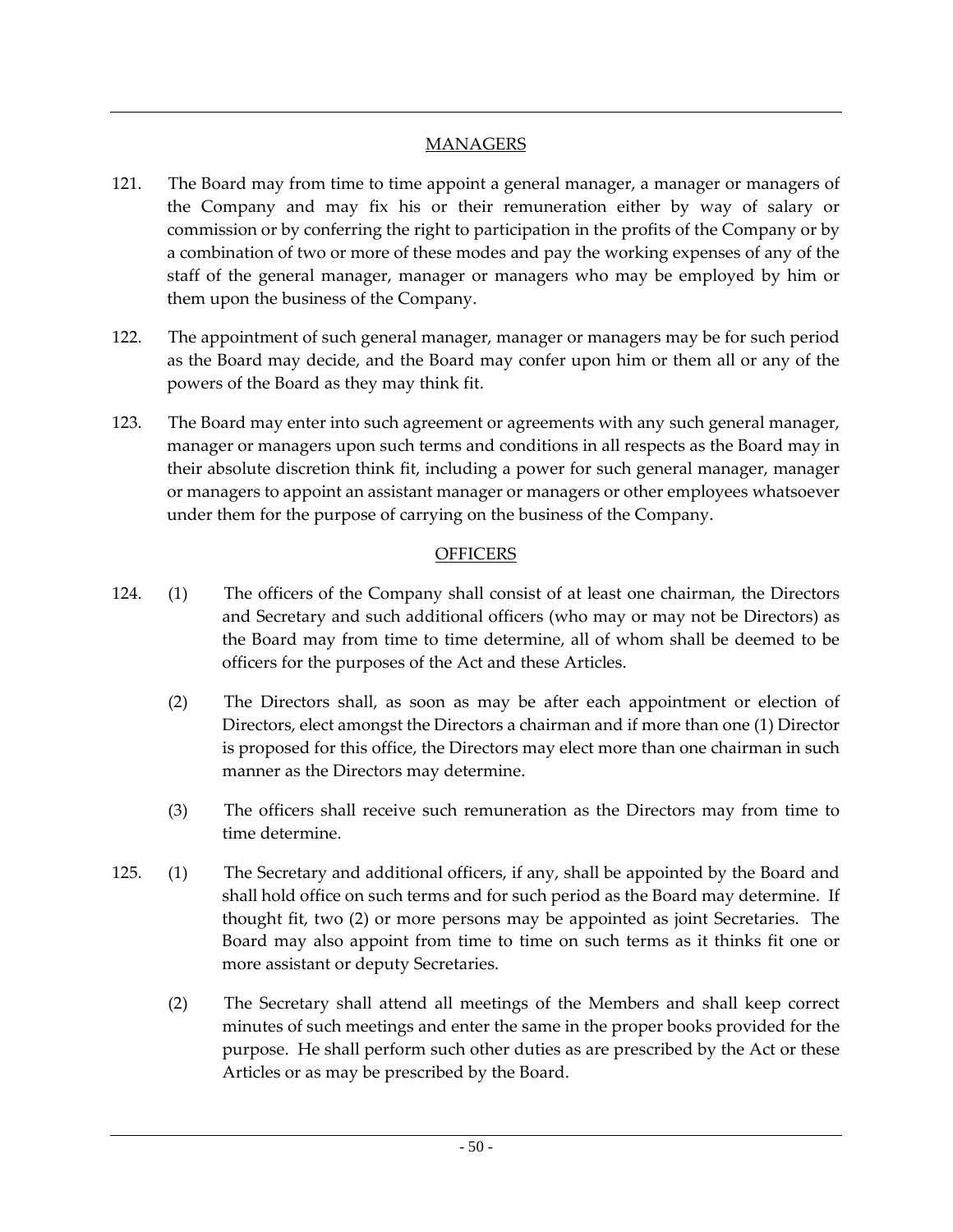## **MANAGERS**

- 121. The Board may from time to time appoint a general manager, a manager or managers of the Company and may fix his or their remuneration either by way of salary or commission or by conferring the right to participation in the profits of the Company or by a combination of two or more of these modes and pay the working expenses of any of the staff of the general manager, manager or managers who may be employed by him or them upon the business of the Company.
- 122. The appointment of such general manager, manager or managers may be for such period as the Board may decide, and the Board may confer upon him or them all or any of the powers of the Board as they may think fit.
- 123. The Board may enter into such agreement or agreements with any such general manager, manager or managers upon such terms and conditions in all respects as the Board may in their absolute discretion think fit, including a power for such general manager, manager or managers to appoint an assistant manager or managers or other employees whatsoever under them for the purpose of carrying on the business of the Company.

## **OFFICERS**

- 124. (1) The officers of the Company shall consist of at least one chairman, the Directors and Secretary and such additional officers (who may or may not be Directors) as the Board may from time to time determine, all of whom shall be deemed to be officers for the purposes of the Act and these Articles.
	- (2) The Directors shall, as soon as may be after each appointment or election of Directors, elect amongst the Directors a chairman and if more than one (1) Director is proposed for this office, the Directors may elect more than one chairman in such manner as the Directors may determine.
	- (3) The officers shall receive such remuneration as the Directors may from time to time determine.
- 125. (1) The Secretary and additional officers, if any, shall be appointed by the Board and shall hold office on such terms and for such period as the Board may determine. If thought fit, two (2) or more persons may be appointed as joint Secretaries. The Board may also appoint from time to time on such terms as it thinks fit one or more assistant or deputy Secretaries.
	- (2) The Secretary shall attend all meetings of the Members and shall keep correct minutes of such meetings and enter the same in the proper books provided for the purpose. He shall perform such other duties as are prescribed by the Act or these Articles or as may be prescribed by the Board.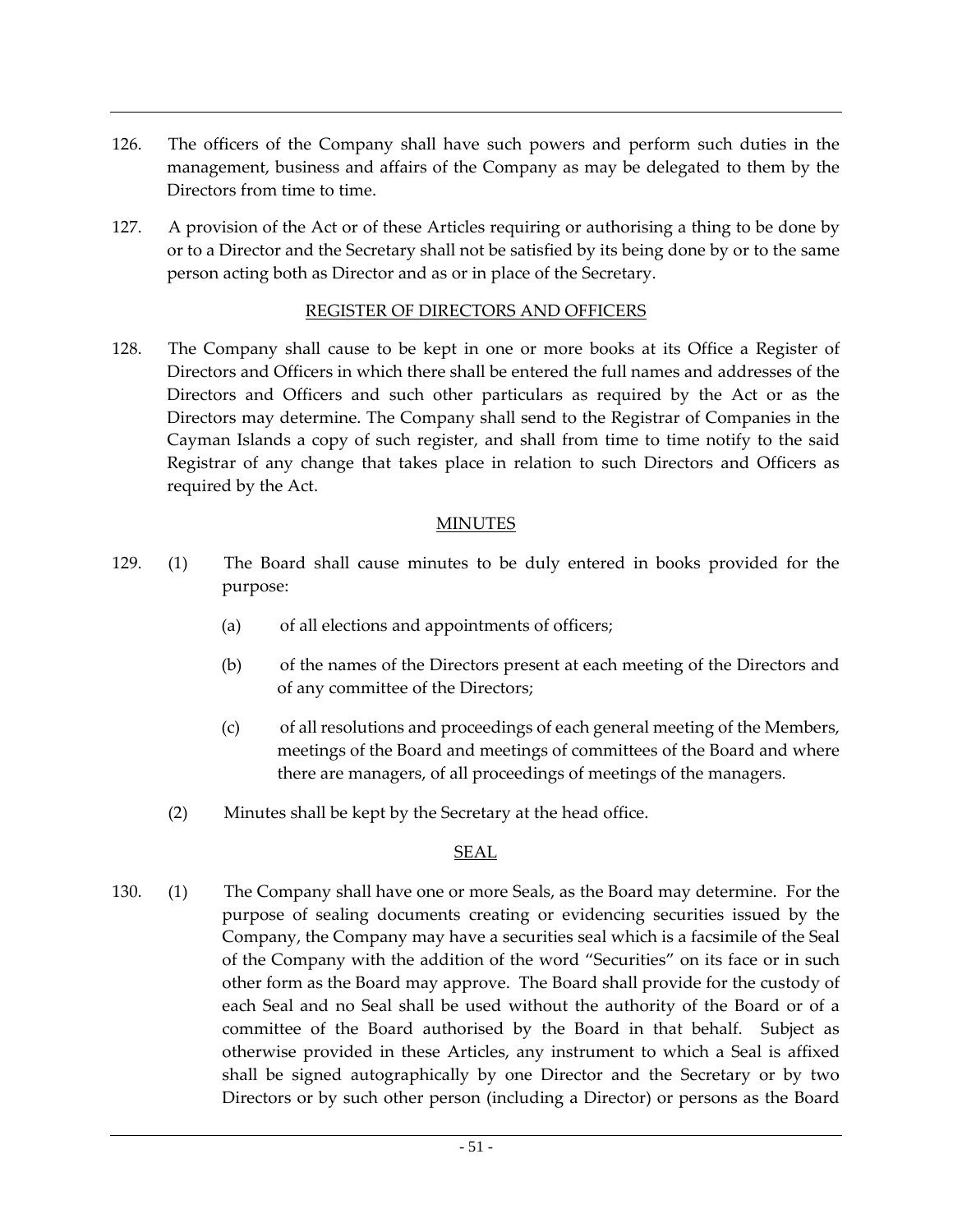- 126. The officers of the Company shall have such powers and perform such duties in the management, business and affairs of the Company as may be delegated to them by the Directors from time to time.
- 127. A provision of the Act or of these Articles requiring or authorising a thing to be done by or to a Director and the Secretary shall not be satisfied by its being done by or to the same person acting both as Director and as or in place of the Secretary.

#### REGISTER OF DIRECTORS AND OFFICERS

128. The Company shall cause to be kept in one or more books at its Office a Register of Directors and Officers in which there shall be entered the full names and addresses of the Directors and Officers and such other particulars as required by the Act or as the Directors may determine. The Company shall send to the Registrar of Companies in the Cayman Islands a copy of such register, and shall from time to time notify to the said Registrar of any change that takes place in relation to such Directors and Officers as required by the Act.

#### MINUTES

- 129. (1) The Board shall cause minutes to be duly entered in books provided for the purpose:
	- (a) of all elections and appointments of officers;
	- (b) of the names of the Directors present at each meeting of the Directors and of any committee of the Directors;
	- (c) of all resolutions and proceedings of each general meeting of the Members, meetings of the Board and meetings of committees of the Board and where there are managers, of all proceedings of meetings of the managers.
	- (2) Minutes shall be kept by the Secretary at the head office.

#### SEAL

130. (1) The Company shall have one or more Seals, as the Board may determine. For the purpose of sealing documents creating or evidencing securities issued by the Company, the Company may have a securities seal which is a facsimile of the Seal of the Company with the addition of the word "Securities" on its face or in such other form as the Board may approve. The Board shall provide for the custody of each Seal and no Seal shall be used without the authority of the Board or of a committee of the Board authorised by the Board in that behalf. Subject as otherwise provided in these Articles, any instrument to which a Seal is affixed shall be signed autographically by one Director and the Secretary or by two Directors or by such other person (including a Director) or persons as the Board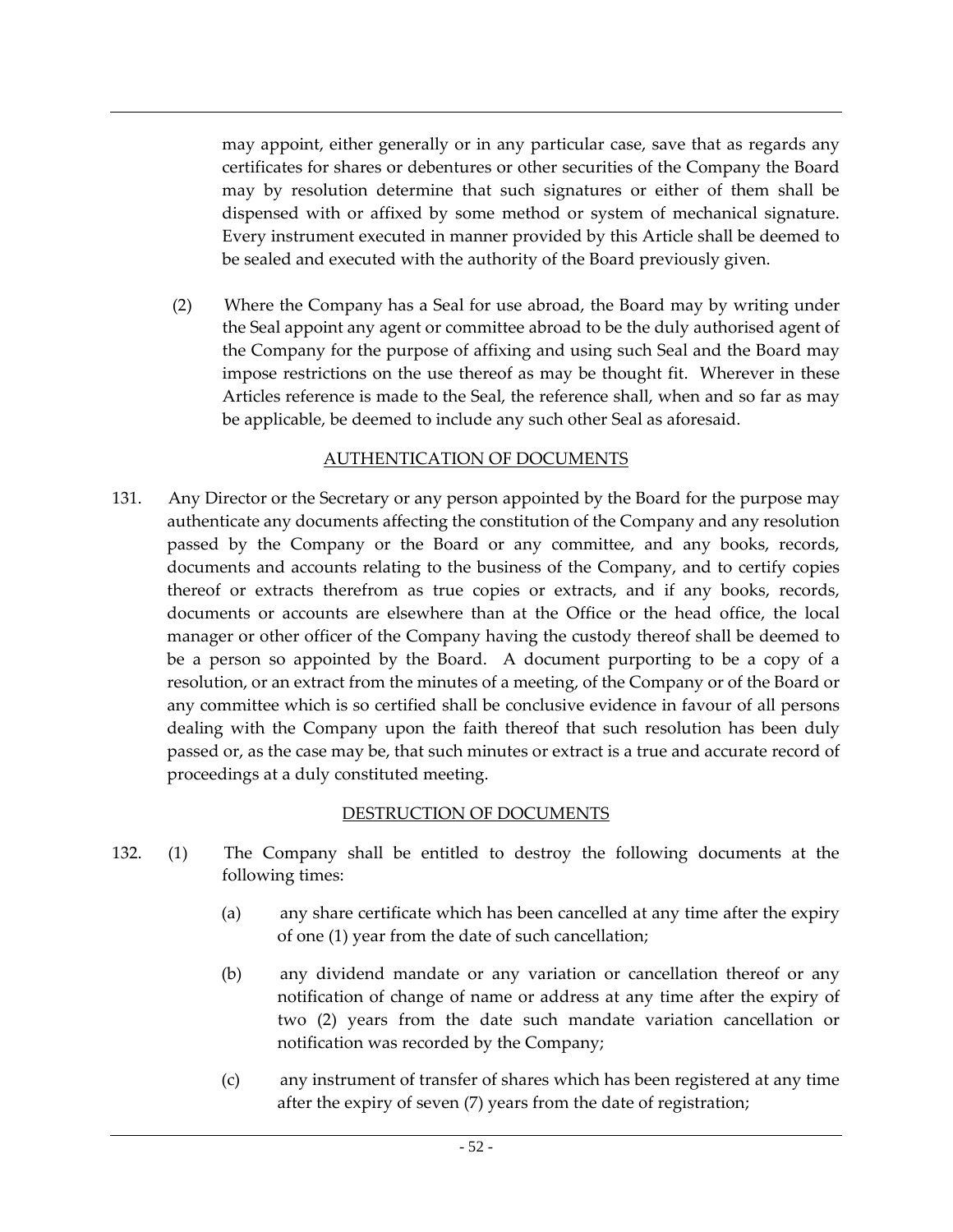may appoint, either generally or in any particular case, save that as regards any certificates for shares or debentures or other securities of the Company the Board may by resolution determine that such signatures or either of them shall be dispensed with or affixed by some method or system of mechanical signature. Every instrument executed in manner provided by this Article shall be deemed to be sealed and executed with the authority of the Board previously given.

(2) Where the Company has a Seal for use abroad, the Board may by writing under the Seal appoint any agent or committee abroad to be the duly authorised agent of the Company for the purpose of affixing and using such Seal and the Board may impose restrictions on the use thereof as may be thought fit. Wherever in these Articles reference is made to the Seal, the reference shall, when and so far as may be applicable, be deemed to include any such other Seal as aforesaid.

### AUTHENTICATION OF DOCUMENTS

131. Any Director or the Secretary or any person appointed by the Board for the purpose may authenticate any documents affecting the constitution of the Company and any resolution passed by the Company or the Board or any committee, and any books, records, documents and accounts relating to the business of the Company, and to certify copies thereof or extracts therefrom as true copies or extracts, and if any books, records, documents or accounts are elsewhere than at the Office or the head office, the local manager or other officer of the Company having the custody thereof shall be deemed to be a person so appointed by the Board. A document purporting to be a copy of a resolution, or an extract from the minutes of a meeting, of the Company or of the Board or any committee which is so certified shall be conclusive evidence in favour of all persons dealing with the Company upon the faith thereof that such resolution has been duly passed or, as the case may be, that such minutes or extract is a true and accurate record of proceedings at a duly constituted meeting.

## DESTRUCTION OF DOCUMENTS

- 132. (1) The Company shall be entitled to destroy the following documents at the following times:
	- (a) any share certificate which has been cancelled at any time after the expiry of one (1) year from the date of such cancellation;
	- (b) any dividend mandate or any variation or cancellation thereof or any notification of change of name or address at any time after the expiry of two (2) years from the date such mandate variation cancellation or notification was recorded by the Company;
	- (c) any instrument of transfer of shares which has been registered at any time after the expiry of seven (7) years from the date of registration;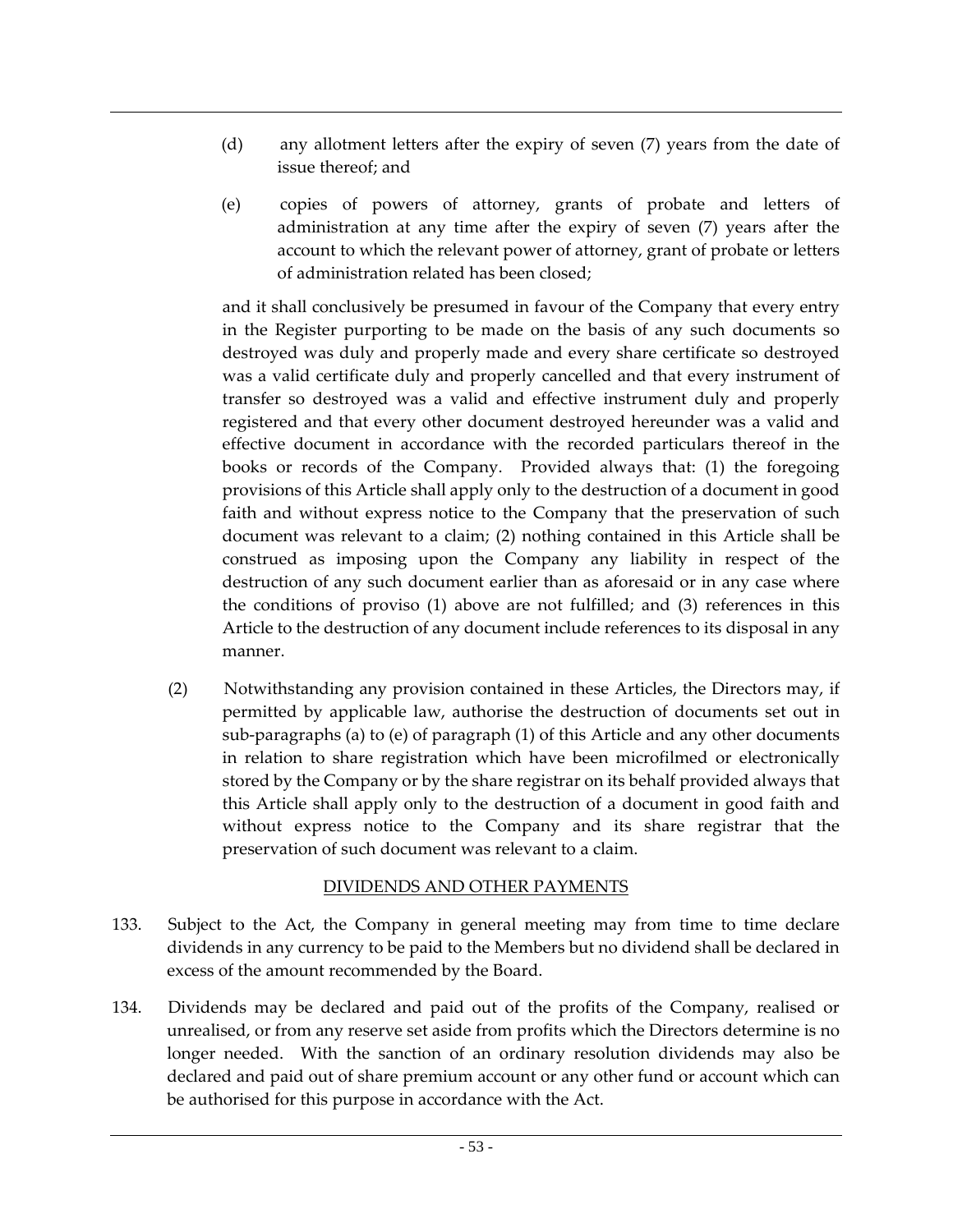- (d) any allotment letters after the expiry of seven (7) years from the date of issue thereof; and
- (e) copies of powers of attorney, grants of probate and letters of administration at any time after the expiry of seven (7) years after the account to which the relevant power of attorney, grant of probate or letters of administration related has been closed;

and it shall conclusively be presumed in favour of the Company that every entry in the Register purporting to be made on the basis of any such documents so destroyed was duly and properly made and every share certificate so destroyed was a valid certificate duly and properly cancelled and that every instrument of transfer so destroyed was a valid and effective instrument duly and properly registered and that every other document destroyed hereunder was a valid and effective document in accordance with the recorded particulars thereof in the books or records of the Company. Provided always that: (1) the foregoing provisions of this Article shall apply only to the destruction of a document in good faith and without express notice to the Company that the preservation of such document was relevant to a claim; (2) nothing contained in this Article shall be construed as imposing upon the Company any liability in respect of the destruction of any such document earlier than as aforesaid or in any case where the conditions of proviso (1) above are not fulfilled; and (3) references in this Article to the destruction of any document include references to its disposal in any manner.

(2) Notwithstanding any provision contained in these Articles, the Directors may, if permitted by applicable law, authorise the destruction of documents set out in sub-paragraphs (a) to (e) of paragraph (1) of this Article and any other documents in relation to share registration which have been microfilmed or electronically stored by the Company or by the share registrar on its behalf provided always that this Article shall apply only to the destruction of a document in good faith and without express notice to the Company and its share registrar that the preservation of such document was relevant to a claim.

## DIVIDENDS AND OTHER PAYMENTS

- 133. Subject to the Act, the Company in general meeting may from time to time declare dividends in any currency to be paid to the Members but no dividend shall be declared in excess of the amount recommended by the Board.
- 134. Dividends may be declared and paid out of the profits of the Company, realised or unrealised, or from any reserve set aside from profits which the Directors determine is no longer needed. With the sanction of an ordinary resolution dividends may also be declared and paid out of share premium account or any other fund or account which can be authorised for this purpose in accordance with the Act.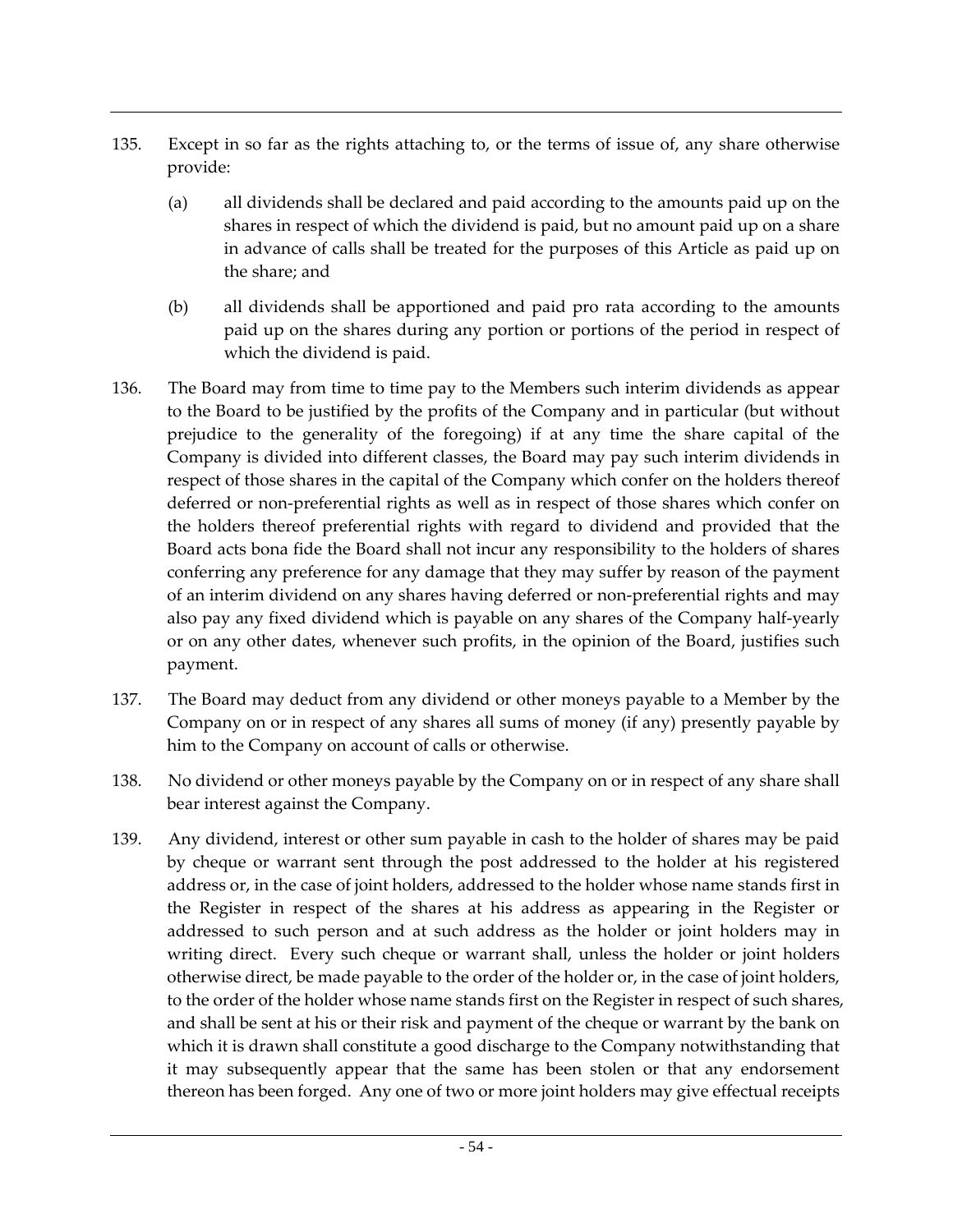- 135. Except in so far as the rights attaching to, or the terms of issue of, any share otherwise provide:
	- (a) all dividends shall be declared and paid according to the amounts paid up on the shares in respect of which the dividend is paid, but no amount paid up on a share in advance of calls shall be treated for the purposes of this Article as paid up on the share; and
	- (b) all dividends shall be apportioned and paid pro rata according to the amounts paid up on the shares during any portion or portions of the period in respect of which the dividend is paid.
- 136. The Board may from time to time pay to the Members such interim dividends as appear to the Board to be justified by the profits of the Company and in particular (but without prejudice to the generality of the foregoing) if at any time the share capital of the Company is divided into different classes, the Board may pay such interim dividends in respect of those shares in the capital of the Company which confer on the holders thereof deferred or non-preferential rights as well as in respect of those shares which confer on the holders thereof preferential rights with regard to dividend and provided that the Board acts bona fide the Board shall not incur any responsibility to the holders of shares conferring any preference for any damage that they may suffer by reason of the payment of an interim dividend on any shares having deferred or non-preferential rights and may also pay any fixed dividend which is payable on any shares of the Company half-yearly or on any other dates, whenever such profits, in the opinion of the Board, justifies such payment.
- 137. The Board may deduct from any dividend or other moneys payable to a Member by the Company on or in respect of any shares all sums of money (if any) presently payable by him to the Company on account of calls or otherwise.
- 138. No dividend or other moneys payable by the Company on or in respect of any share shall bear interest against the Company.
- 139. Any dividend, interest or other sum payable in cash to the holder of shares may be paid by cheque or warrant sent through the post addressed to the holder at his registered address or, in the case of joint holders, addressed to the holder whose name stands first in the Register in respect of the shares at his address as appearing in the Register or addressed to such person and at such address as the holder or joint holders may in writing direct. Every such cheque or warrant shall, unless the holder or joint holders otherwise direct, be made payable to the order of the holder or, in the case of joint holders, to the order of the holder whose name stands first on the Register in respect of such shares, and shall be sent at his or their risk and payment of the cheque or warrant by the bank on which it is drawn shall constitute a good discharge to the Company notwithstanding that it may subsequently appear that the same has been stolen or that any endorsement thereon has been forged. Any one of two or more joint holders may give effectual receipts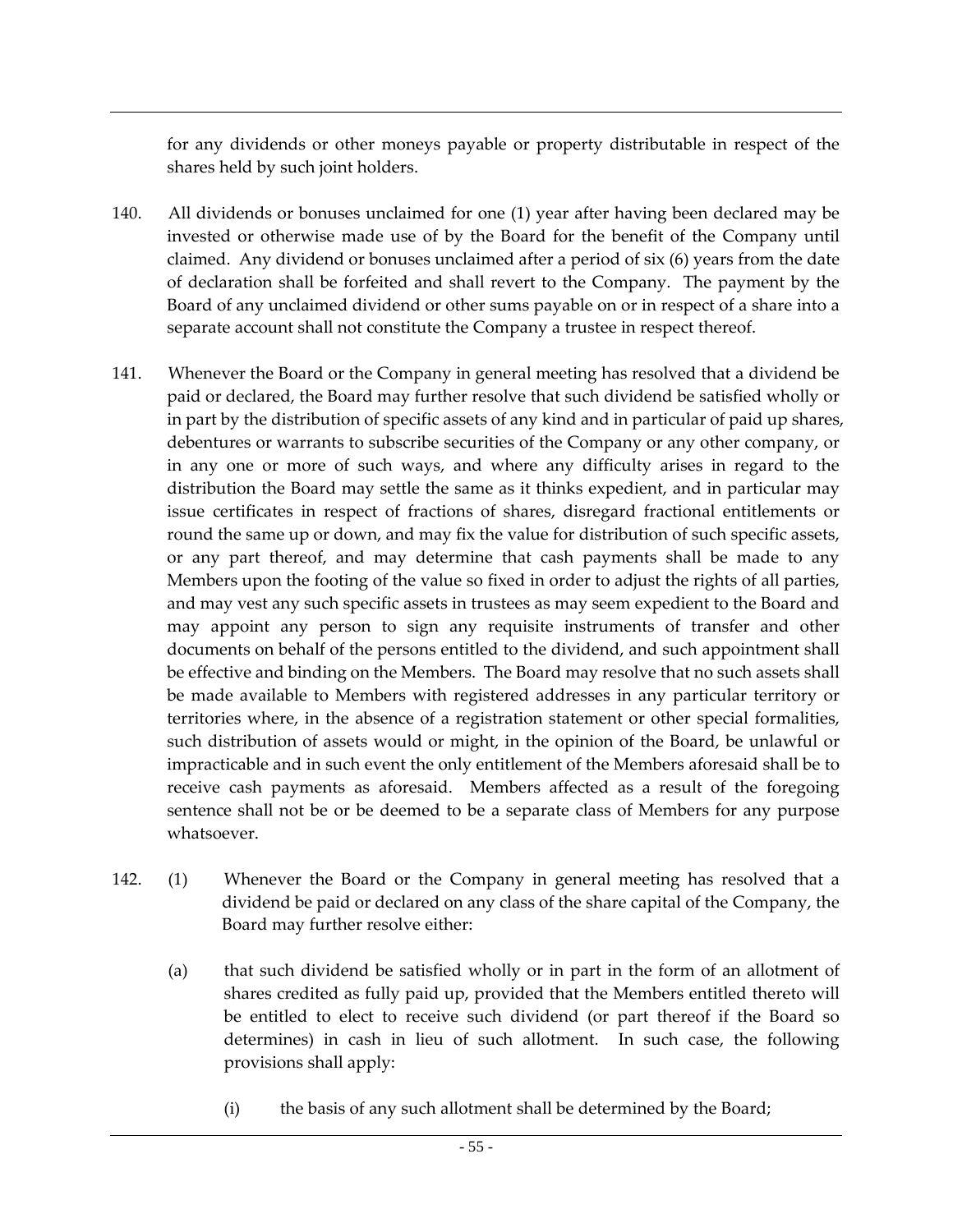for any dividends or other moneys payable or property distributable in respect of the shares held by such joint holders.

- 140. All dividends or bonuses unclaimed for one (1) year after having been declared may be invested or otherwise made use of by the Board for the benefit of the Company until claimed. Any dividend or bonuses unclaimed after a period of six (6) years from the date of declaration shall be forfeited and shall revert to the Company. The payment by the Board of any unclaimed dividend or other sums payable on or in respect of a share into a separate account shall not constitute the Company a trustee in respect thereof.
- 141. Whenever the Board or the Company in general meeting has resolved that a dividend be paid or declared, the Board may further resolve that such dividend be satisfied wholly or in part by the distribution of specific assets of any kind and in particular of paid up shares, debentures or warrants to subscribe securities of the Company or any other company, or in any one or more of such ways, and where any difficulty arises in regard to the distribution the Board may settle the same as it thinks expedient, and in particular may issue certificates in respect of fractions of shares, disregard fractional entitlements or round the same up or down, and may fix the value for distribution of such specific assets, or any part thereof, and may determine that cash payments shall be made to any Members upon the footing of the value so fixed in order to adjust the rights of all parties, and may vest any such specific assets in trustees as may seem expedient to the Board and may appoint any person to sign any requisite instruments of transfer and other documents on behalf of the persons entitled to the dividend, and such appointment shall be effective and binding on the Members. The Board may resolve that no such assets shall be made available to Members with registered addresses in any particular territory or territories where, in the absence of a registration statement or other special formalities, such distribution of assets would or might, in the opinion of the Board, be unlawful or impracticable and in such event the only entitlement of the Members aforesaid shall be to receive cash payments as aforesaid. Members affected as a result of the foregoing sentence shall not be or be deemed to be a separate class of Members for any purpose whatsoever.
- 142. (1) Whenever the Board or the Company in general meeting has resolved that a dividend be paid or declared on any class of the share capital of the Company, the Board may further resolve either:
	- (a) that such dividend be satisfied wholly or in part in the form of an allotment of shares credited as fully paid up, provided that the Members entitled thereto will be entitled to elect to receive such dividend (or part thereof if the Board so determines) in cash in lieu of such allotment. In such case, the following provisions shall apply:
		- (i) the basis of any such allotment shall be determined by the Board;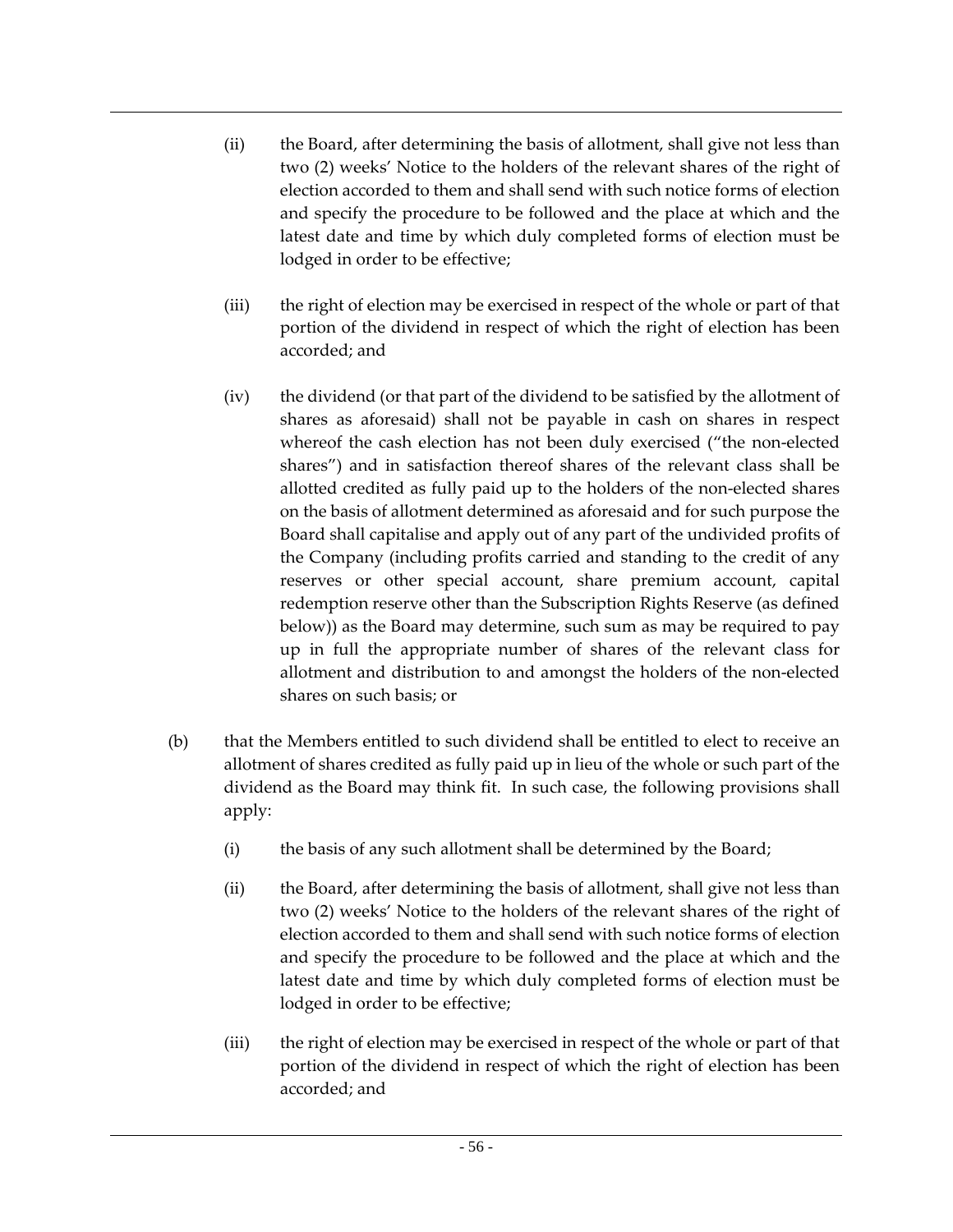- (ii) the Board, after determining the basis of allotment, shall give not less than two (2) weeks' Notice to the holders of the relevant shares of the right of election accorded to them and shall send with such notice forms of election and specify the procedure to be followed and the place at which and the latest date and time by which duly completed forms of election must be lodged in order to be effective;
- (iii) the right of election may be exercised in respect of the whole or part of that portion of the dividend in respect of which the right of election has been accorded; and
- (iv) the dividend (or that part of the dividend to be satisfied by the allotment of shares as aforesaid) shall not be payable in cash on shares in respect whereof the cash election has not been duly exercised ("the non-elected shares") and in satisfaction thereof shares of the relevant class shall be allotted credited as fully paid up to the holders of the non-elected shares on the basis of allotment determined as aforesaid and for such purpose the Board shall capitalise and apply out of any part of the undivided profits of the Company (including profits carried and standing to the credit of any reserves or other special account, share premium account, capital redemption reserve other than the Subscription Rights Reserve (as defined below)) as the Board may determine, such sum as may be required to pay up in full the appropriate number of shares of the relevant class for allotment and distribution to and amongst the holders of the non-elected shares on such basis; or
- (b) that the Members entitled to such dividend shall be entitled to elect to receive an allotment of shares credited as fully paid up in lieu of the whole or such part of the dividend as the Board may think fit. In such case, the following provisions shall apply:
	- (i) the basis of any such allotment shall be determined by the Board;
	- (ii) the Board, after determining the basis of allotment, shall give not less than two (2) weeks' Notice to the holders of the relevant shares of the right of election accorded to them and shall send with such notice forms of election and specify the procedure to be followed and the place at which and the latest date and time by which duly completed forms of election must be lodged in order to be effective;
	- (iii) the right of election may be exercised in respect of the whole or part of that portion of the dividend in respect of which the right of election has been accorded; and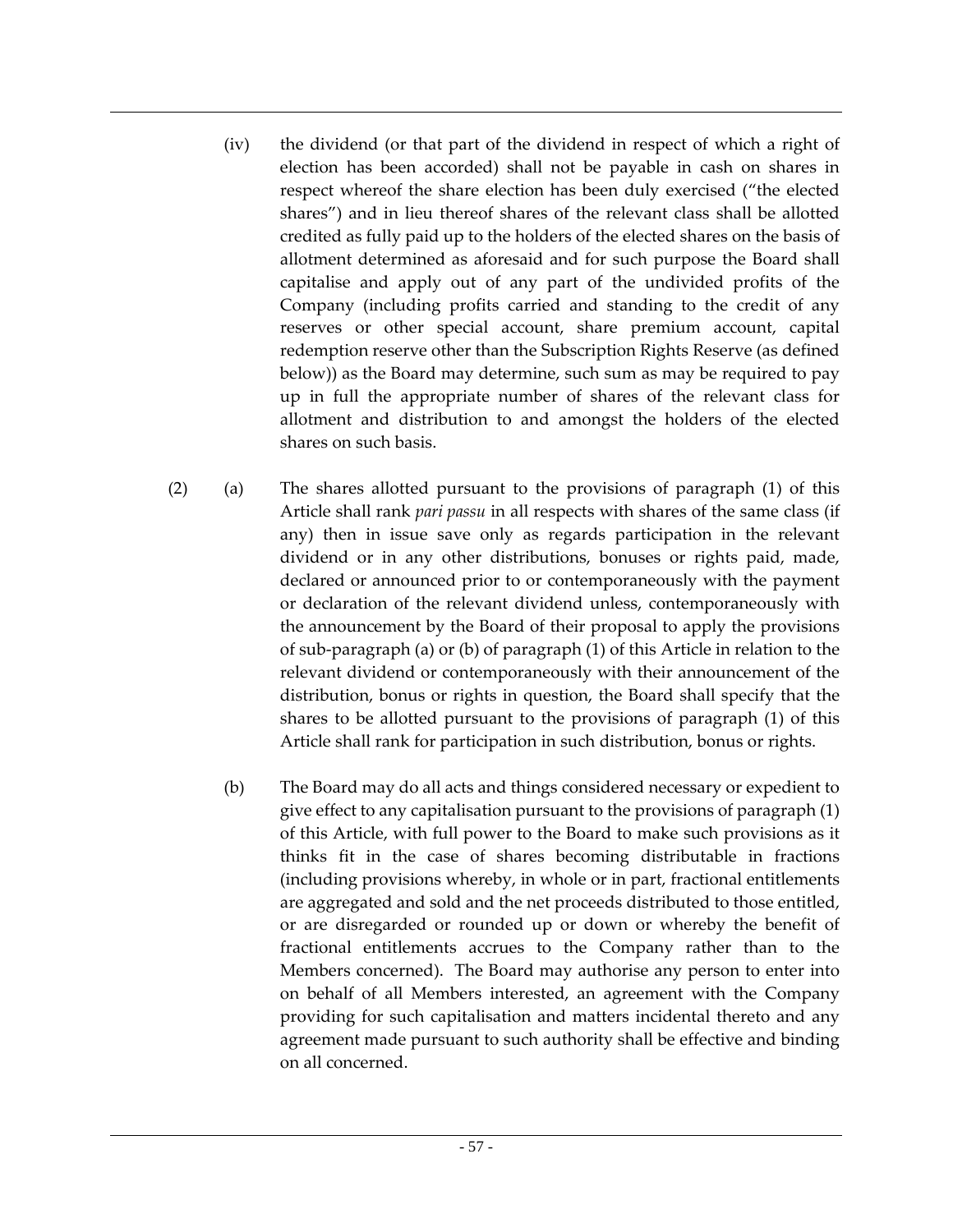- (iv) the dividend (or that part of the dividend in respect of which a right of election has been accorded) shall not be payable in cash on shares in respect whereof the share election has been duly exercised ("the elected shares") and in lieu thereof shares of the relevant class shall be allotted credited as fully paid up to the holders of the elected shares on the basis of allotment determined as aforesaid and for such purpose the Board shall capitalise and apply out of any part of the undivided profits of the Company (including profits carried and standing to the credit of any reserves or other special account, share premium account, capital redemption reserve other than the Subscription Rights Reserve (as defined below)) as the Board may determine, such sum as may be required to pay up in full the appropriate number of shares of the relevant class for allotment and distribution to and amongst the holders of the elected shares on such basis.
- (2) (a) The shares allotted pursuant to the provisions of paragraph (1) of this Article shall rank *pari passu* in all respects with shares of the same class (if any) then in issue save only as regards participation in the relevant dividend or in any other distributions, bonuses or rights paid, made, declared or announced prior to or contemporaneously with the payment or declaration of the relevant dividend unless, contemporaneously with the announcement by the Board of their proposal to apply the provisions of sub-paragraph (a) or (b) of paragraph (1) of this Article in relation to the relevant dividend or contemporaneously with their announcement of the distribution, bonus or rights in question, the Board shall specify that the shares to be allotted pursuant to the provisions of paragraph (1) of this Article shall rank for participation in such distribution, bonus or rights.
	- (b) The Board may do all acts and things considered necessary or expedient to give effect to any capitalisation pursuant to the provisions of paragraph (1) of this Article, with full power to the Board to make such provisions as it thinks fit in the case of shares becoming distributable in fractions (including provisions whereby, in whole or in part, fractional entitlements are aggregated and sold and the net proceeds distributed to those entitled, or are disregarded or rounded up or down or whereby the benefit of fractional entitlements accrues to the Company rather than to the Members concerned). The Board may authorise any person to enter into on behalf of all Members interested, an agreement with the Company providing for such capitalisation and matters incidental thereto and any agreement made pursuant to such authority shall be effective and binding on all concerned.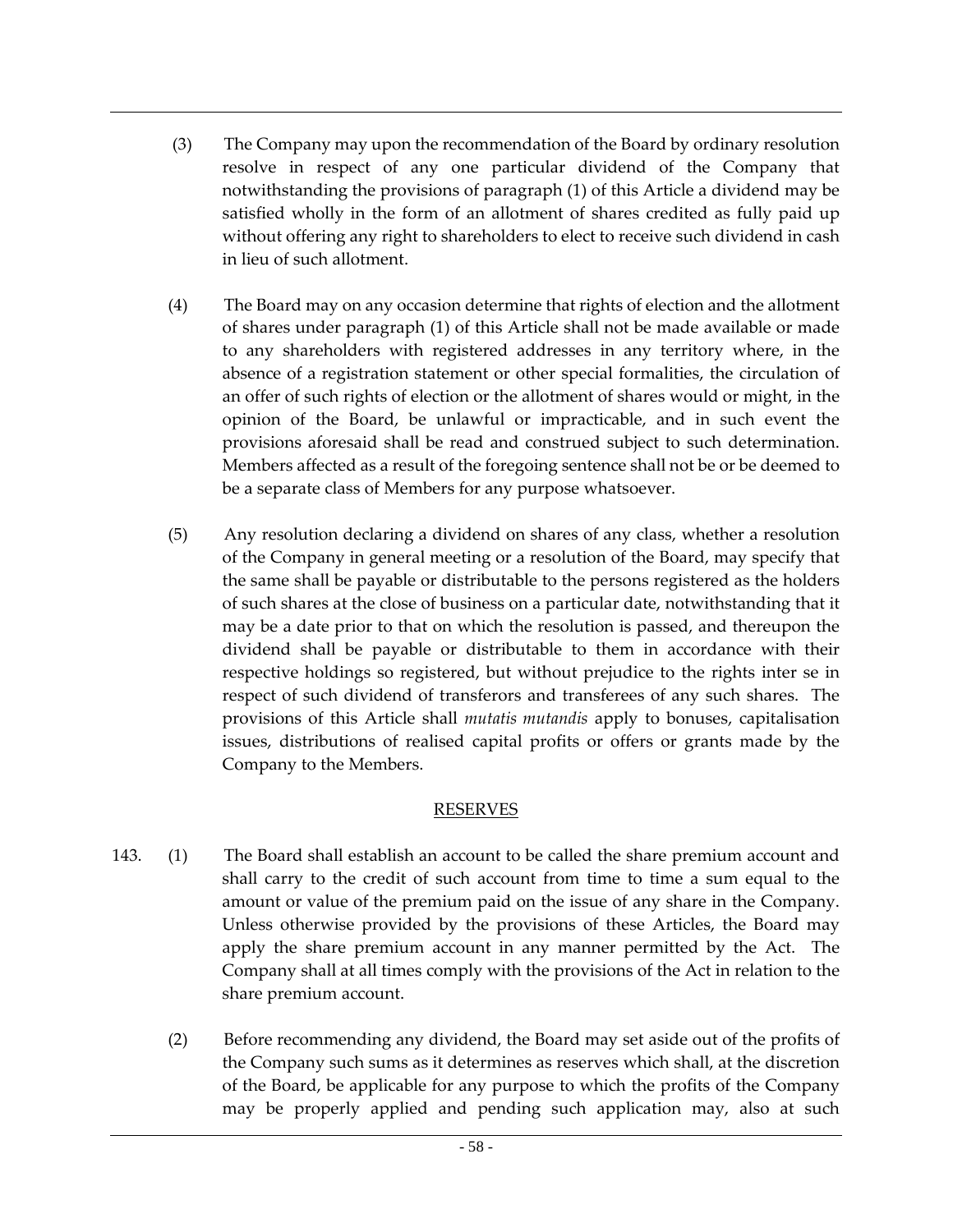- (3) The Company may upon the recommendation of the Board by ordinary resolution resolve in respect of any one particular dividend of the Company that notwithstanding the provisions of paragraph (1) of this Article a dividend may be satisfied wholly in the form of an allotment of shares credited as fully paid up without offering any right to shareholders to elect to receive such dividend in cash in lieu of such allotment.
- (4) The Board may on any occasion determine that rights of election and the allotment of shares under paragraph (1) of this Article shall not be made available or made to any shareholders with registered addresses in any territory where, in the absence of a registration statement or other special formalities, the circulation of an offer of such rights of election or the allotment of shares would or might, in the opinion of the Board, be unlawful or impracticable, and in such event the provisions aforesaid shall be read and construed subject to such determination. Members affected as a result of the foregoing sentence shall not be or be deemed to be a separate class of Members for any purpose whatsoever.
- (5) Any resolution declaring a dividend on shares of any class, whether a resolution of the Company in general meeting or a resolution of the Board, may specify that the same shall be payable or distributable to the persons registered as the holders of such shares at the close of business on a particular date, notwithstanding that it may be a date prior to that on which the resolution is passed, and thereupon the dividend shall be payable or distributable to them in accordance with their respective holdings so registered, but without prejudice to the rights inter se in respect of such dividend of transferors and transferees of any such shares. The provisions of this Article shall *mutatis mutandis* apply to bonuses, capitalisation issues, distributions of realised capital profits or offers or grants made by the Company to the Members.

#### RESERVES

- 143. (1) The Board shall establish an account to be called the share premium account and shall carry to the credit of such account from time to time a sum equal to the amount or value of the premium paid on the issue of any share in the Company. Unless otherwise provided by the provisions of these Articles, the Board may apply the share premium account in any manner permitted by the Act. The Company shall at all times comply with the provisions of the Act in relation to the share premium account.
	- (2) Before recommending any dividend, the Board may set aside out of the profits of the Company such sums as it determines as reserves which shall, at the discretion of the Board, be applicable for any purpose to which the profits of the Company may be properly applied and pending such application may, also at such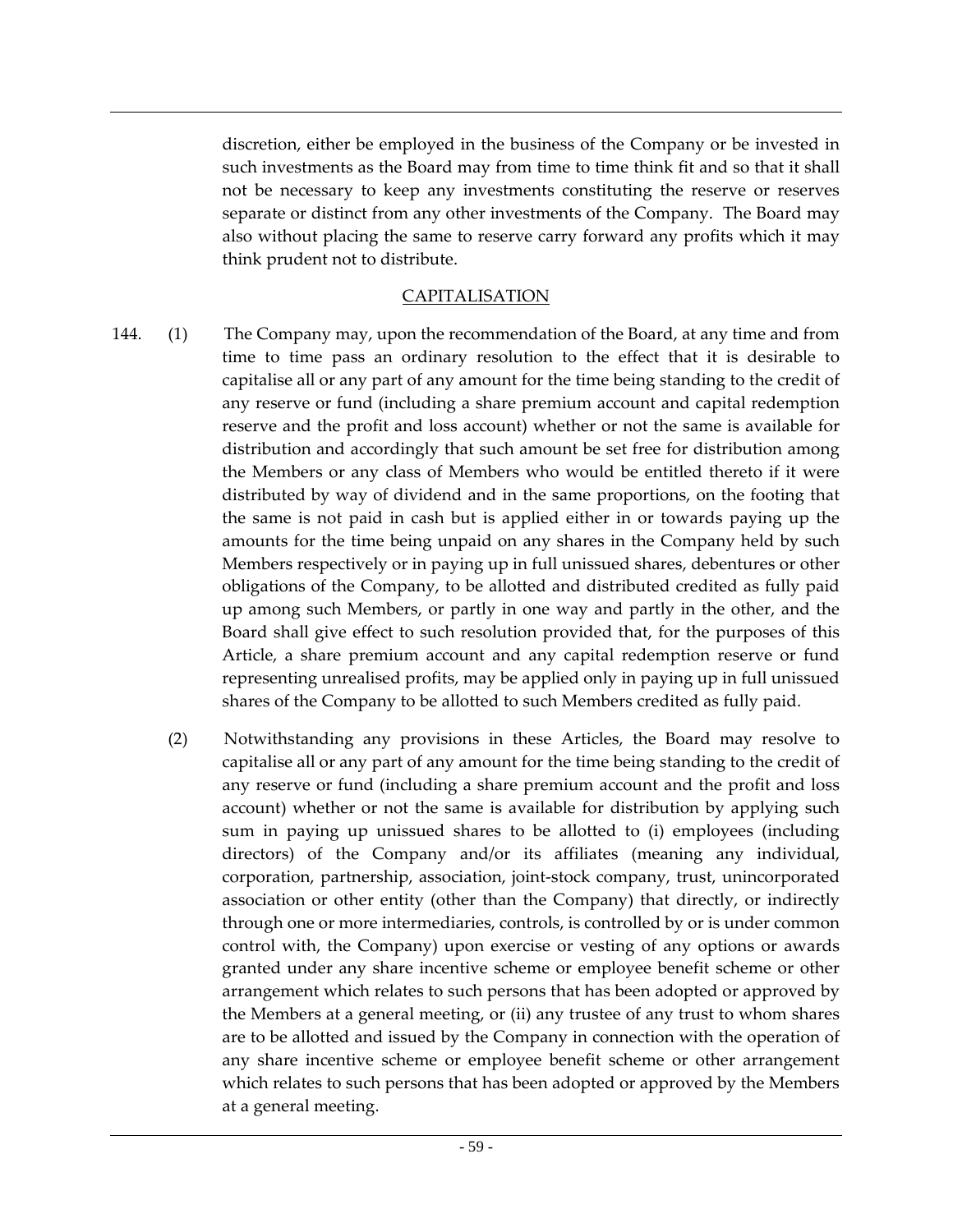discretion, either be employed in the business of the Company or be invested in such investments as the Board may from time to time think fit and so that it shall not be necessary to keep any investments constituting the reserve or reserves separate or distinct from any other investments of the Company. The Board may also without placing the same to reserve carry forward any profits which it may think prudent not to distribute.

### CAPITALISATION

- 144. (1) The Company may, upon the recommendation of the Board, at any time and from time to time pass an ordinary resolution to the effect that it is desirable to capitalise all or any part of any amount for the time being standing to the credit of any reserve or fund (including a share premium account and capital redemption reserve and the profit and loss account) whether or not the same is available for distribution and accordingly that such amount be set free for distribution among the Members or any class of Members who would be entitled thereto if it were distributed by way of dividend and in the same proportions, on the footing that the same is not paid in cash but is applied either in or towards paying up the amounts for the time being unpaid on any shares in the Company held by such Members respectively or in paying up in full unissued shares, debentures or other obligations of the Company, to be allotted and distributed credited as fully paid up among such Members, or partly in one way and partly in the other, and the Board shall give effect to such resolution provided that, for the purposes of this Article, a share premium account and any capital redemption reserve or fund representing unrealised profits, may be applied only in paying up in full unissued shares of the Company to be allotted to such Members credited as fully paid.
	- (2) Notwithstanding any provisions in these Articles, the Board may resolve to capitalise all or any part of any amount for the time being standing to the credit of any reserve or fund (including a share premium account and the profit and loss account) whether or not the same is available for distribution by applying such sum in paying up unissued shares to be allotted to (i) employees (including directors) of the Company and/or its affiliates (meaning any individual, corporation, partnership, association, joint-stock company, trust, unincorporated association or other entity (other than the Company) that directly, or indirectly through one or more intermediaries, controls, is controlled by or is under common control with, the Company) upon exercise or vesting of any options or awards granted under any share incentive scheme or employee benefit scheme or other arrangement which relates to such persons that has been adopted or approved by the Members at a general meeting, or (ii) any trustee of any trust to whom shares are to be allotted and issued by the Company in connection with the operation of any share incentive scheme or employee benefit scheme or other arrangement which relates to such persons that has been adopted or approved by the Members at a general meeting.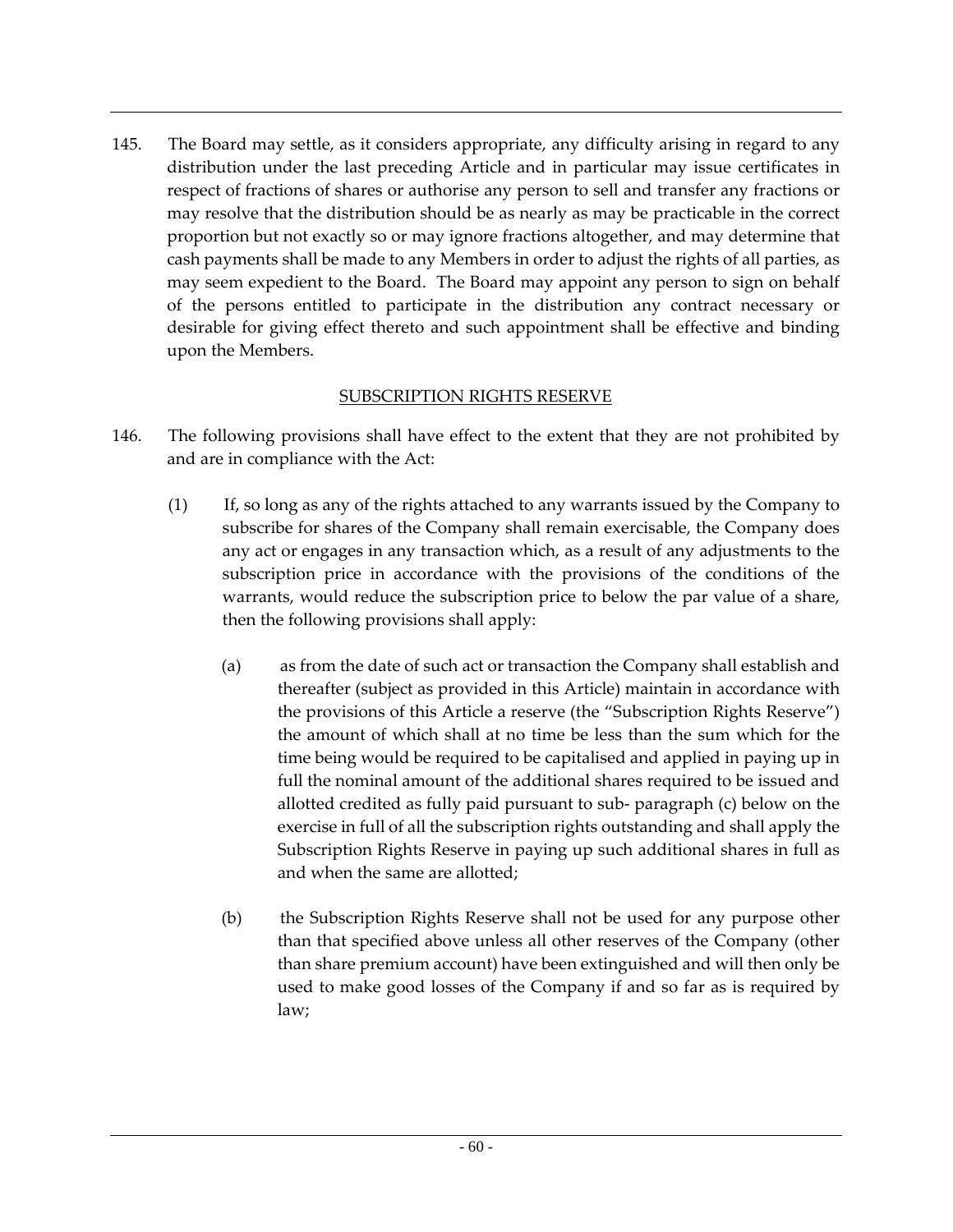145. The Board may settle, as it considers appropriate, any difficulty arising in regard to any distribution under the last preceding Article and in particular may issue certificates in respect of fractions of shares or authorise any person to sell and transfer any fractions or may resolve that the distribution should be as nearly as may be practicable in the correct proportion but not exactly so or may ignore fractions altogether, and may determine that cash payments shall be made to any Members in order to adjust the rights of all parties, as may seem expedient to the Board. The Board may appoint any person to sign on behalf of the persons entitled to participate in the distribution any contract necessary or desirable for giving effect thereto and such appointment shall be effective and binding upon the Members.

## SUBSCRIPTION RIGHTS RESERVE

- 146. The following provisions shall have effect to the extent that they are not prohibited by and are in compliance with the Act:
	- (1) If, so long as any of the rights attached to any warrants issued by the Company to subscribe for shares of the Company shall remain exercisable, the Company does any act or engages in any transaction which, as a result of any adjustments to the subscription price in accordance with the provisions of the conditions of the warrants, would reduce the subscription price to below the par value of a share, then the following provisions shall apply:
		- (a) as from the date of such act or transaction the Company shall establish and thereafter (subject as provided in this Article) maintain in accordance with the provisions of this Article a reserve (the "Subscription Rights Reserve") the amount of which shall at no time be less than the sum which for the time being would be required to be capitalised and applied in paying up in full the nominal amount of the additional shares required to be issued and allotted credited as fully paid pursuant to sub- paragraph (c) below on the exercise in full of all the subscription rights outstanding and shall apply the Subscription Rights Reserve in paying up such additional shares in full as and when the same are allotted;
		- (b) the Subscription Rights Reserve shall not be used for any purpose other than that specified above unless all other reserves of the Company (other than share premium account) have been extinguished and will then only be used to make good losses of the Company if and so far as is required by law;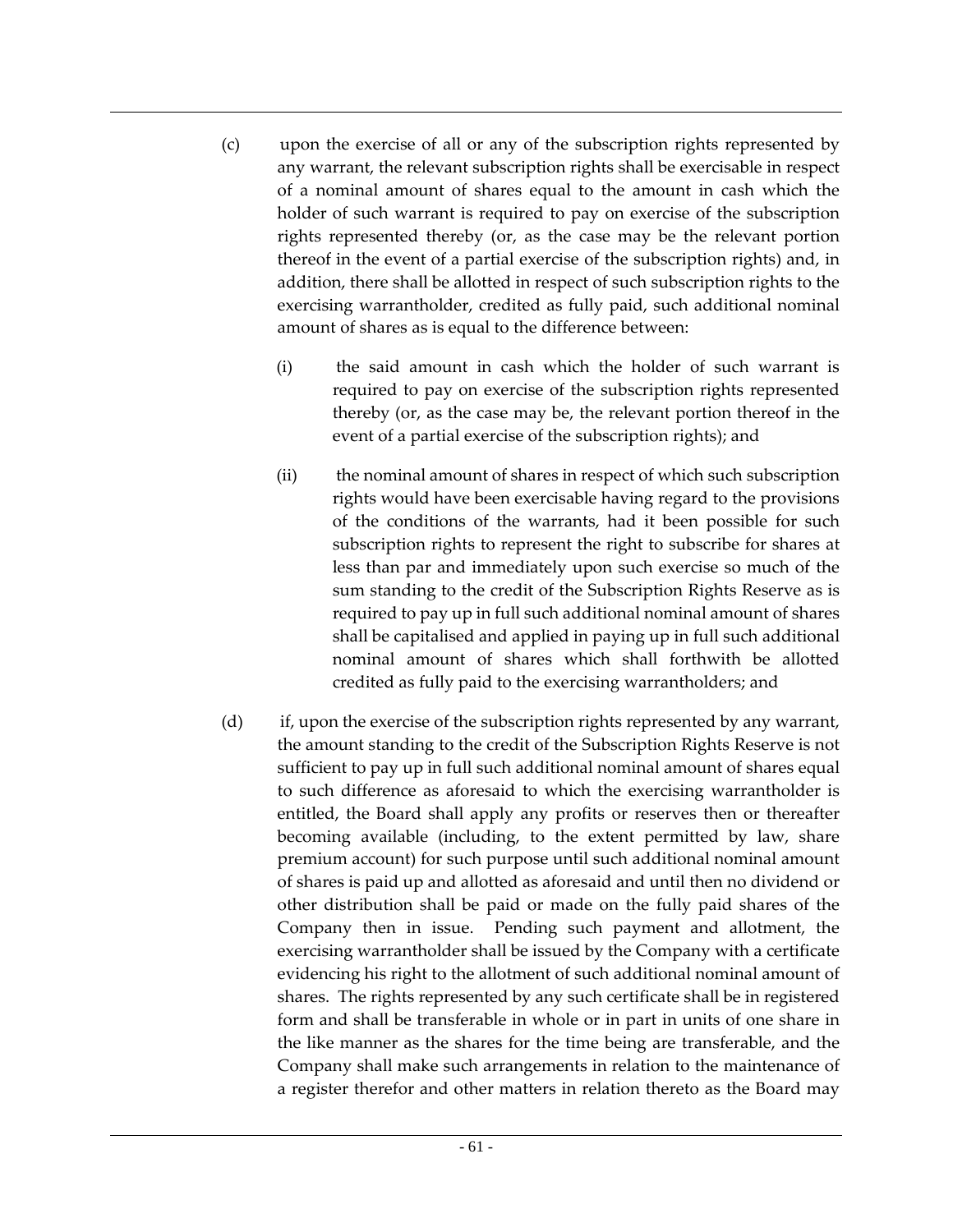- (c) upon the exercise of all or any of the subscription rights represented by any warrant, the relevant subscription rights shall be exercisable in respect of a nominal amount of shares equal to the amount in cash which the holder of such warrant is required to pay on exercise of the subscription rights represented thereby (or, as the case may be the relevant portion thereof in the event of a partial exercise of the subscription rights) and, in addition, there shall be allotted in respect of such subscription rights to the exercising warrantholder, credited as fully paid, such additional nominal amount of shares as is equal to the difference between:
	- (i) the said amount in cash which the holder of such warrant is required to pay on exercise of the subscription rights represented thereby (or, as the case may be, the relevant portion thereof in the event of a partial exercise of the subscription rights); and
	- (ii) the nominal amount of shares in respect of which such subscription rights would have been exercisable having regard to the provisions of the conditions of the warrants, had it been possible for such subscription rights to represent the right to subscribe for shares at less than par and immediately upon such exercise so much of the sum standing to the credit of the Subscription Rights Reserve as is required to pay up in full such additional nominal amount of shares shall be capitalised and applied in paying up in full such additional nominal amount of shares which shall forthwith be allotted credited as fully paid to the exercising warrantholders; and
- (d) if, upon the exercise of the subscription rights represented by any warrant, the amount standing to the credit of the Subscription Rights Reserve is not sufficient to pay up in full such additional nominal amount of shares equal to such difference as aforesaid to which the exercising warrantholder is entitled, the Board shall apply any profits or reserves then or thereafter becoming available (including, to the extent permitted by law, share premium account) for such purpose until such additional nominal amount of shares is paid up and allotted as aforesaid and until then no dividend or other distribution shall be paid or made on the fully paid shares of the Company then in issue. Pending such payment and allotment, the exercising warrantholder shall be issued by the Company with a certificate evidencing his right to the allotment of such additional nominal amount of shares. The rights represented by any such certificate shall be in registered form and shall be transferable in whole or in part in units of one share in the like manner as the shares for the time being are transferable, and the Company shall make such arrangements in relation to the maintenance of a register therefor and other matters in relation thereto as the Board may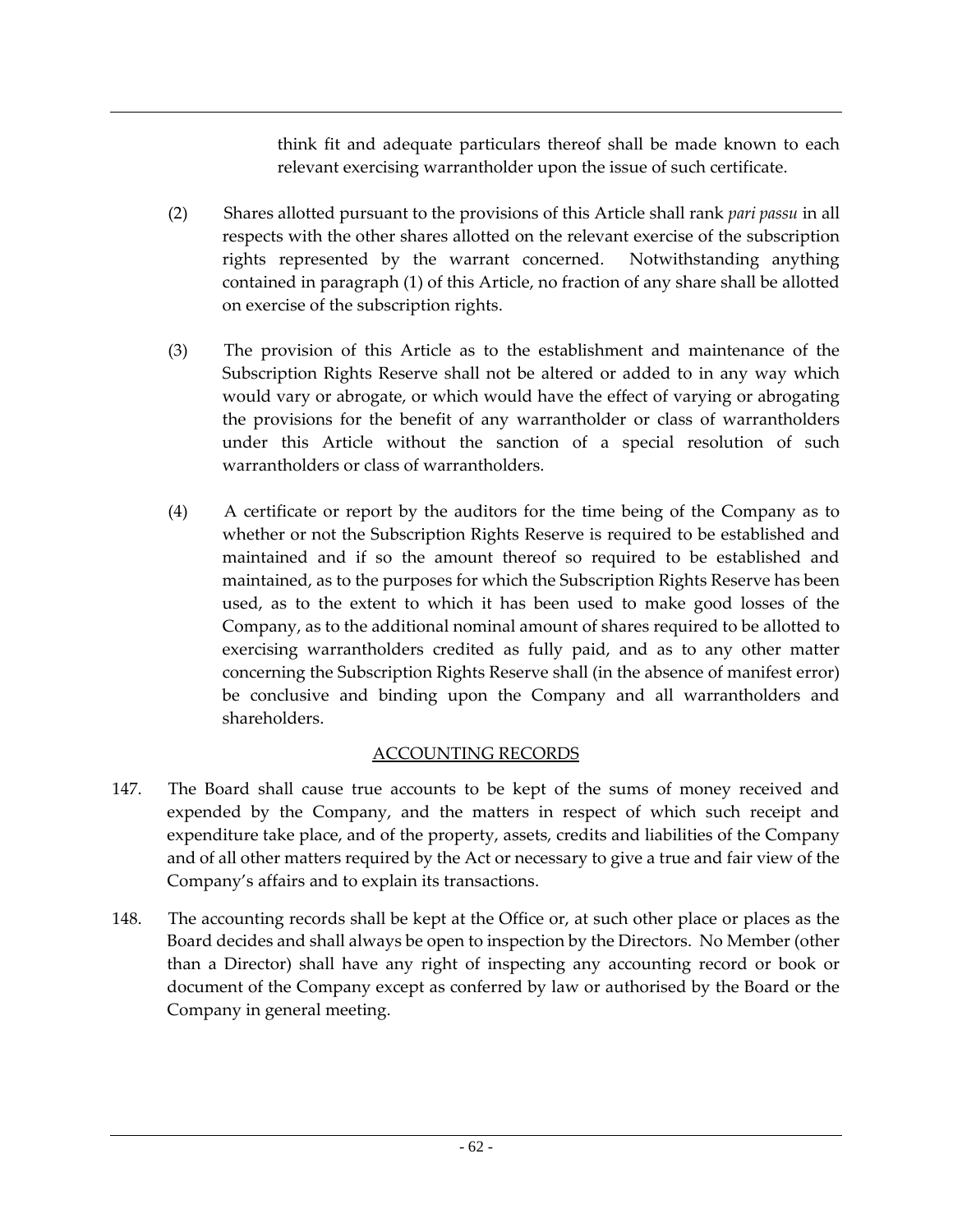think fit and adequate particulars thereof shall be made known to each relevant exercising warrantholder upon the issue of such certificate.

- (2) Shares allotted pursuant to the provisions of this Article shall rank *pari passu* in all respects with the other shares allotted on the relevant exercise of the subscription rights represented by the warrant concerned. Notwithstanding anything contained in paragraph (1) of this Article, no fraction of any share shall be allotted on exercise of the subscription rights.
- (3) The provision of this Article as to the establishment and maintenance of the Subscription Rights Reserve shall not be altered or added to in any way which would vary or abrogate, or which would have the effect of varying or abrogating the provisions for the benefit of any warrantholder or class of warrantholders under this Article without the sanction of a special resolution of such warrantholders or class of warrantholders.
- (4) A certificate or report by the auditors for the time being of the Company as to whether or not the Subscription Rights Reserve is required to be established and maintained and if so the amount thereof so required to be established and maintained, as to the purposes for which the Subscription Rights Reserve has been used, as to the extent to which it has been used to make good losses of the Company, as to the additional nominal amount of shares required to be allotted to exercising warrantholders credited as fully paid, and as to any other matter concerning the Subscription Rights Reserve shall (in the absence of manifest error) be conclusive and binding upon the Company and all warrantholders and shareholders.

## ACCOUNTING RECORDS

- 147. The Board shall cause true accounts to be kept of the sums of money received and expended by the Company, and the matters in respect of which such receipt and expenditure take place, and of the property, assets, credits and liabilities of the Company and of all other matters required by the Act or necessary to give a true and fair view of the Company's affairs and to explain its transactions.
- 148. The accounting records shall be kept at the Office or, at such other place or places as the Board decides and shall always be open to inspection by the Directors. No Member (other than a Director) shall have any right of inspecting any accounting record or book or document of the Company except as conferred by law or authorised by the Board or the Company in general meeting.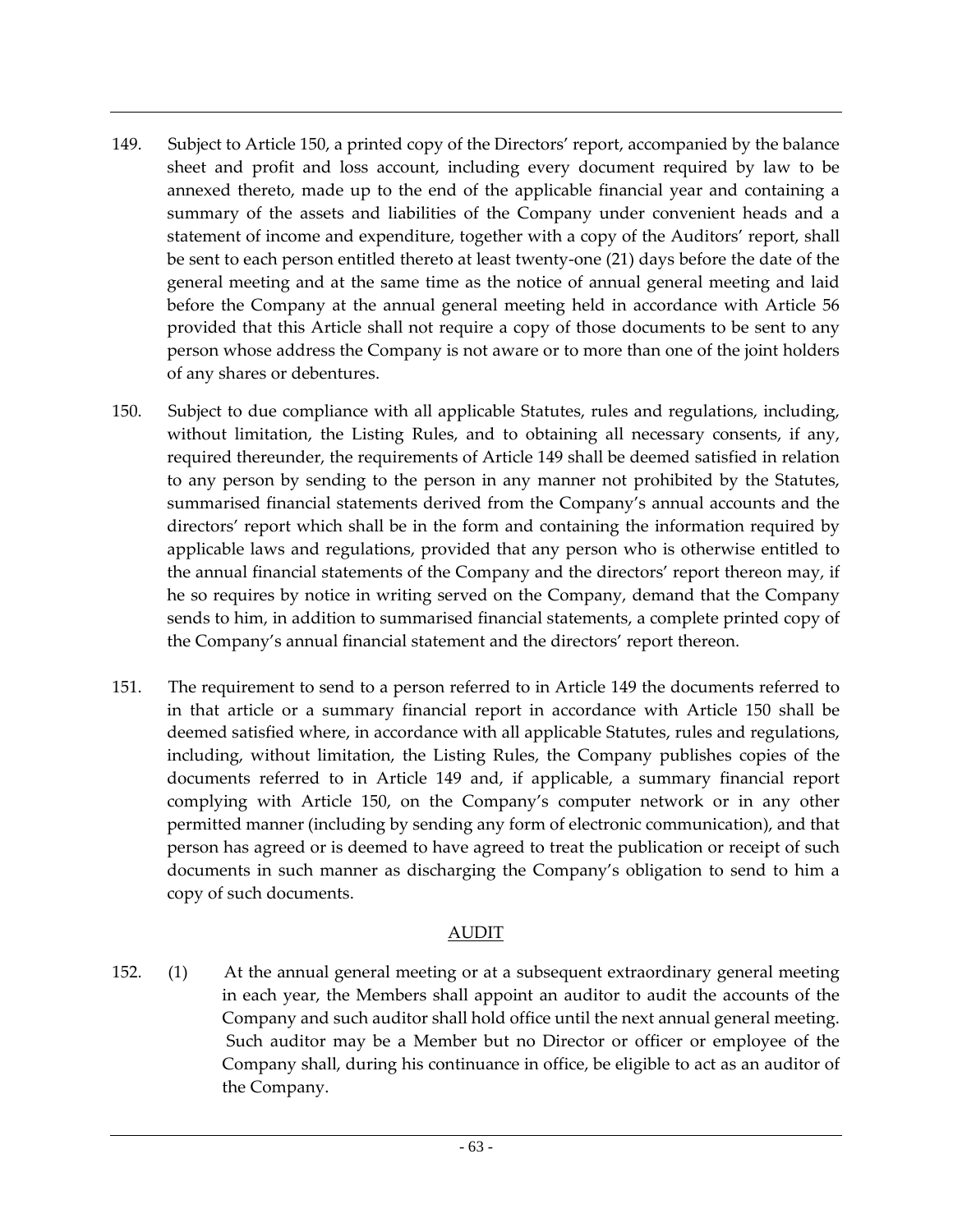- 149. Subject to Article 150, a printed copy of the Directors' report, accompanied by the balance sheet and profit and loss account, including every document required by law to be annexed thereto, made up to the end of the applicable financial year and containing a summary of the assets and liabilities of the Company under convenient heads and a statement of income and expenditure, together with a copy of the Auditors' report, shall be sent to each person entitled thereto at least twenty-one (21) days before the date of the general meeting and at the same time as the notice of annual general meeting and laid before the Company at the annual general meeting held in accordance with Article 56 provided that this Article shall not require a copy of those documents to be sent to any person whose address the Company is not aware or to more than one of the joint holders of any shares or debentures.
- 150. Subject to due compliance with all applicable Statutes, rules and regulations, including, without limitation, the Listing Rules, and to obtaining all necessary consents, if any, required thereunder, the requirements of Article 149 shall be deemed satisfied in relation to any person by sending to the person in any manner not prohibited by the Statutes, summarised financial statements derived from the Company's annual accounts and the directors' report which shall be in the form and containing the information required by applicable laws and regulations, provided that any person who is otherwise entitled to the annual financial statements of the Company and the directors' report thereon may, if he so requires by notice in writing served on the Company, demand that the Company sends to him, in addition to summarised financial statements, a complete printed copy of the Company's annual financial statement and the directors' report thereon.
- 151. The requirement to send to a person referred to in Article 149 the documents referred to in that article or a summary financial report in accordance with Article 150 shall be deemed satisfied where, in accordance with all applicable Statutes, rules and regulations, including, without limitation, the Listing Rules, the Company publishes copies of the documents referred to in Article 149 and, if applicable, a summary financial report complying with Article 150, on the Company's computer network or in any other permitted manner (including by sending any form of electronic communication), and that person has agreed or is deemed to have agreed to treat the publication or receipt of such documents in such manner as discharging the Company's obligation to send to him a copy of such documents.

## AUDIT

152. (1) At the annual general meeting or at a subsequent extraordinary general meeting in each year, the Members shall appoint an auditor to audit the accounts of the Company and such auditor shall hold office until the next annual general meeting. Such auditor may be a Member but no Director or officer or employee of the Company shall, during his continuance in office, be eligible to act as an auditor of the Company.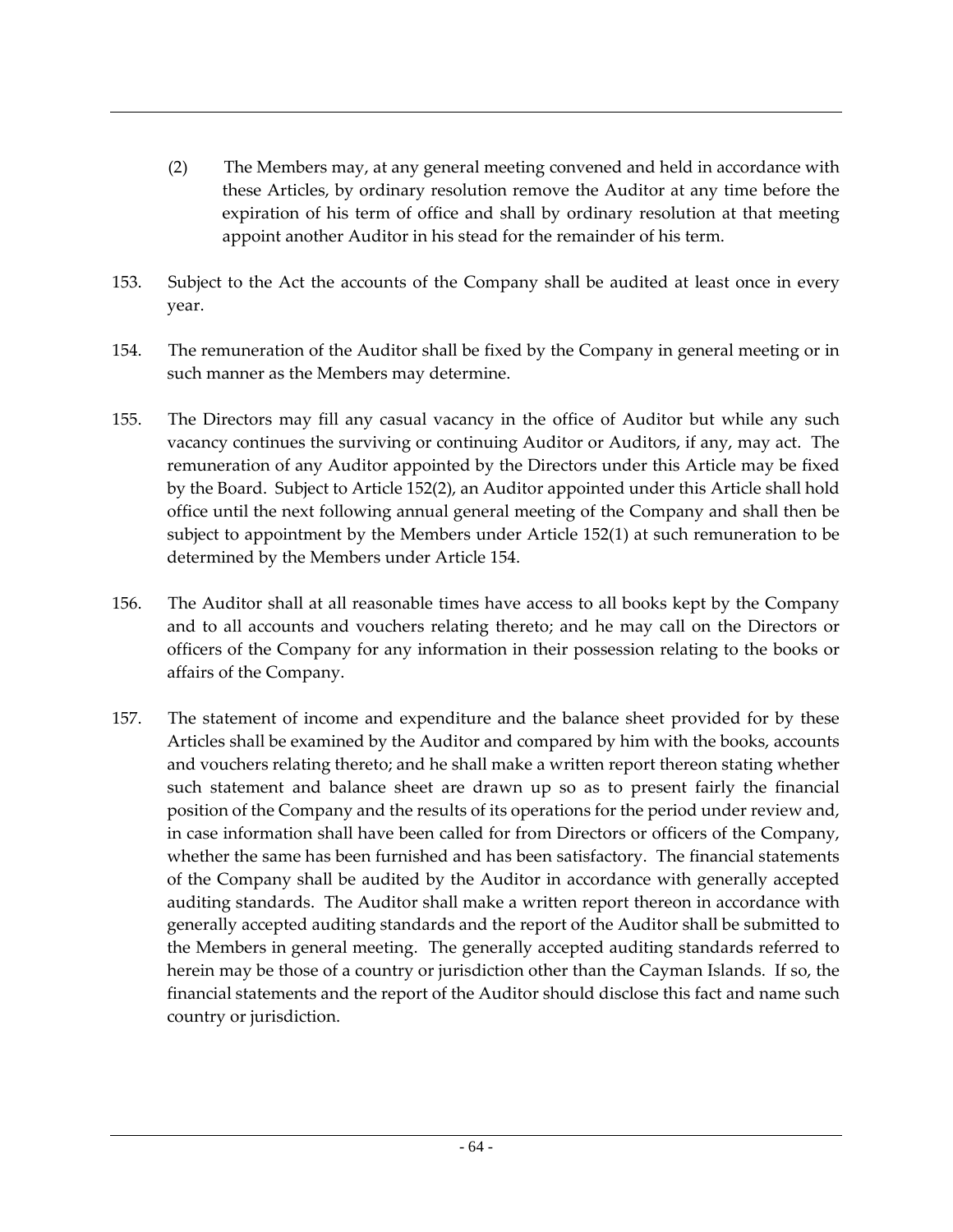- (2) The Members may, at any general meeting convened and held in accordance with these Articles, by ordinary resolution remove the Auditor at any time before the expiration of his term of office and shall by ordinary resolution at that meeting appoint another Auditor in his stead for the remainder of his term.
- 153. Subject to the Act the accounts of the Company shall be audited at least once in every year.
- 154. The remuneration of the Auditor shall be fixed by the Company in general meeting or in such manner as the Members may determine.
- 155. The Directors may fill any casual vacancy in the office of Auditor but while any such vacancy continues the surviving or continuing Auditor or Auditors, if any, may act. The remuneration of any Auditor appointed by the Directors under this Article may be fixed by the Board. Subject to Article 152(2), an Auditor appointed under this Article shall hold office until the next following annual general meeting of the Company and shall then be subject to appointment by the Members under Article 152(1) at such remuneration to be determined by the Members under Article 154.
- 156. The Auditor shall at all reasonable times have access to all books kept by the Company and to all accounts and vouchers relating thereto; and he may call on the Directors or officers of the Company for any information in their possession relating to the books or affairs of the Company.
- 157. The statement of income and expenditure and the balance sheet provided for by these Articles shall be examined by the Auditor and compared by him with the books, accounts and vouchers relating thereto; and he shall make a written report thereon stating whether such statement and balance sheet are drawn up so as to present fairly the financial position of the Company and the results of its operations for the period under review and, in case information shall have been called for from Directors or officers of the Company, whether the same has been furnished and has been satisfactory. The financial statements of the Company shall be audited by the Auditor in accordance with generally accepted auditing standards. The Auditor shall make a written report thereon in accordance with generally accepted auditing standards and the report of the Auditor shall be submitted to the Members in general meeting. The generally accepted auditing standards referred to herein may be those of a country or jurisdiction other than the Cayman Islands. If so, the financial statements and the report of the Auditor should disclose this fact and name such country or jurisdiction.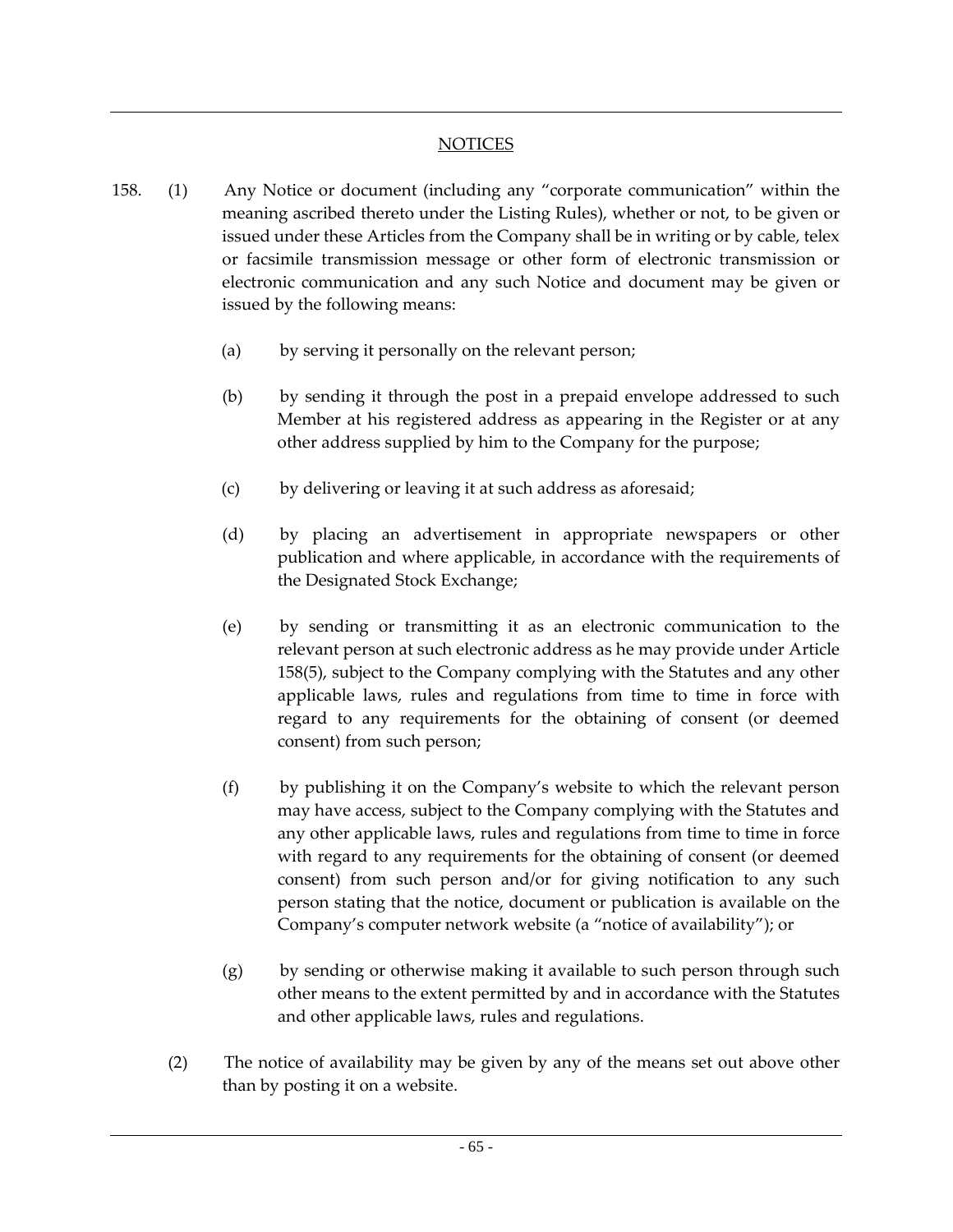## **NOTICES**

- 158. (1) Any Notice or document (including any "corporate communication" within the meaning ascribed thereto under the Listing Rules), whether or not, to be given or issued under these Articles from the Company shall be in writing or by cable, telex or facsimile transmission message or other form of electronic transmission or electronic communication and any such Notice and document may be given or issued by the following means:
	- (a) by serving it personally on the relevant person;
	- (b) by sending it through the post in a prepaid envelope addressed to such Member at his registered address as appearing in the Register or at any other address supplied by him to the Company for the purpose;
	- (c) by delivering or leaving it at such address as aforesaid;
	- (d) by placing an advertisement in appropriate newspapers or other publication and where applicable, in accordance with the requirements of the Designated Stock Exchange;
	- (e) by sending or transmitting it as an electronic communication to the relevant person at such electronic address as he may provide under Article 158(5), subject to the Company complying with the Statutes and any other applicable laws, rules and regulations from time to time in force with regard to any requirements for the obtaining of consent (or deemed consent) from such person;
	- (f) by publishing it on the Company's website to which the relevant person may have access, subject to the Company complying with the Statutes and any other applicable laws, rules and regulations from time to time in force with regard to any requirements for the obtaining of consent (or deemed consent) from such person and/or for giving notification to any such person stating that the notice, document or publication is available on the Company's computer network website (a "notice of availability"); or
	- (g) by sending or otherwise making it available to such person through such other means to the extent permitted by and in accordance with the Statutes and other applicable laws, rules and regulations.
	- (2) The notice of availability may be given by any of the means set out above other than by posting it on a website.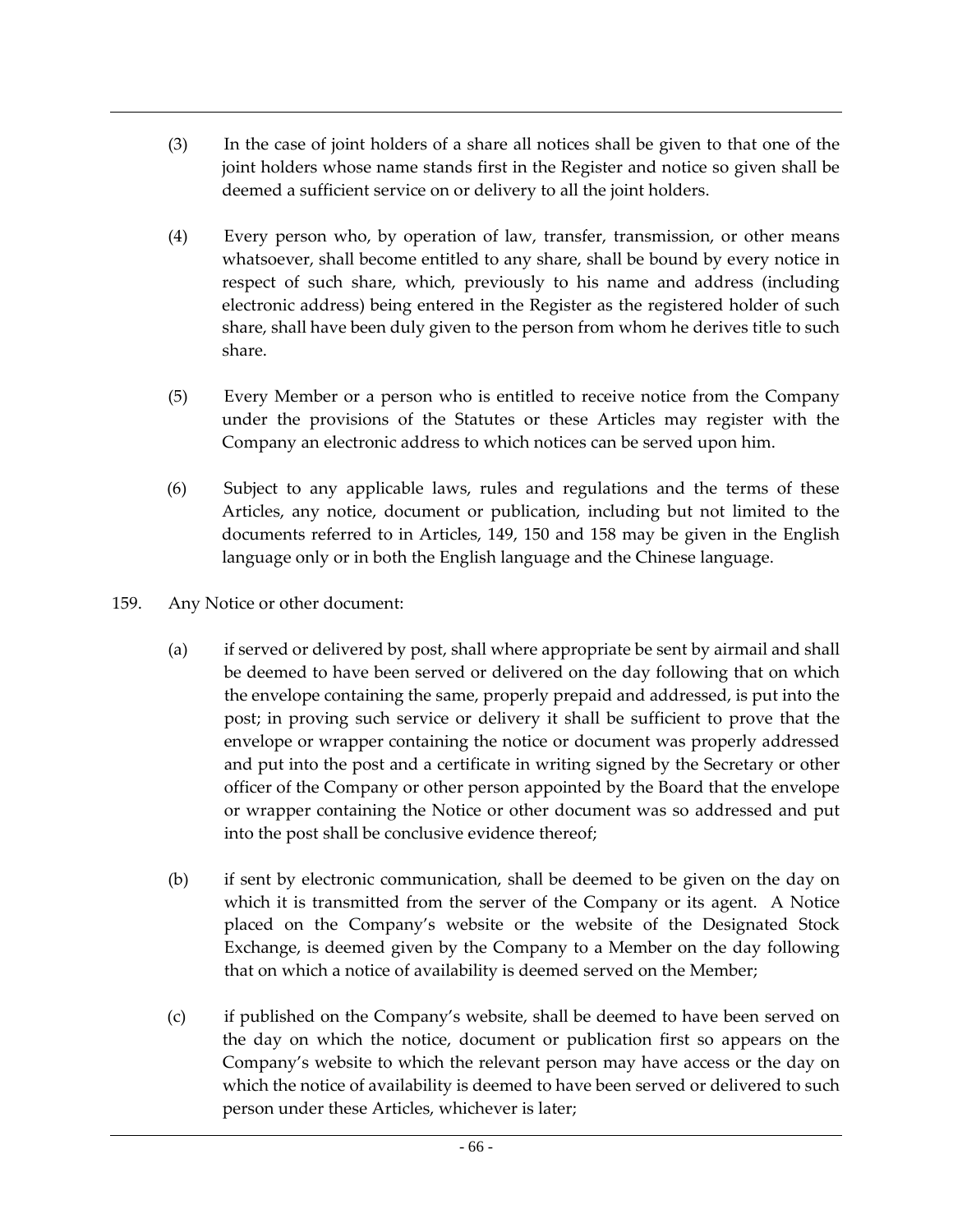- (3) In the case of joint holders of a share all notices shall be given to that one of the joint holders whose name stands first in the Register and notice so given shall be deemed a sufficient service on or delivery to all the joint holders.
- (4) Every person who, by operation of law, transfer, transmission, or other means whatsoever, shall become entitled to any share, shall be bound by every notice in respect of such share, which, previously to his name and address (including electronic address) being entered in the Register as the registered holder of such share, shall have been duly given to the person from whom he derives title to such share.
- (5) Every Member or a person who is entitled to receive notice from the Company under the provisions of the Statutes or these Articles may register with the Company an electronic address to which notices can be served upon him.
- (6) Subject to any applicable laws, rules and regulations and the terms of these Articles, any notice, document or publication, including but not limited to the documents referred to in Articles, 149, 150 and 158 may be given in the English language only or in both the English language and the Chinese language.
- 159. Any Notice or other document:
	- (a) if served or delivered by post, shall where appropriate be sent by airmail and shall be deemed to have been served or delivered on the day following that on which the envelope containing the same, properly prepaid and addressed, is put into the post; in proving such service or delivery it shall be sufficient to prove that the envelope or wrapper containing the notice or document was properly addressed and put into the post and a certificate in writing signed by the Secretary or other officer of the Company or other person appointed by the Board that the envelope or wrapper containing the Notice or other document was so addressed and put into the post shall be conclusive evidence thereof;
	- (b) if sent by electronic communication, shall be deemed to be given on the day on which it is transmitted from the server of the Company or its agent. A Notice placed on the Company's website or the website of the Designated Stock Exchange, is deemed given by the Company to a Member on the day following that on which a notice of availability is deemed served on the Member;
	- (c) if published on the Company's website, shall be deemed to have been served on the day on which the notice, document or publication first so appears on the Company's website to which the relevant person may have access or the day on which the notice of availability is deemed to have been served or delivered to such person under these Articles, whichever is later;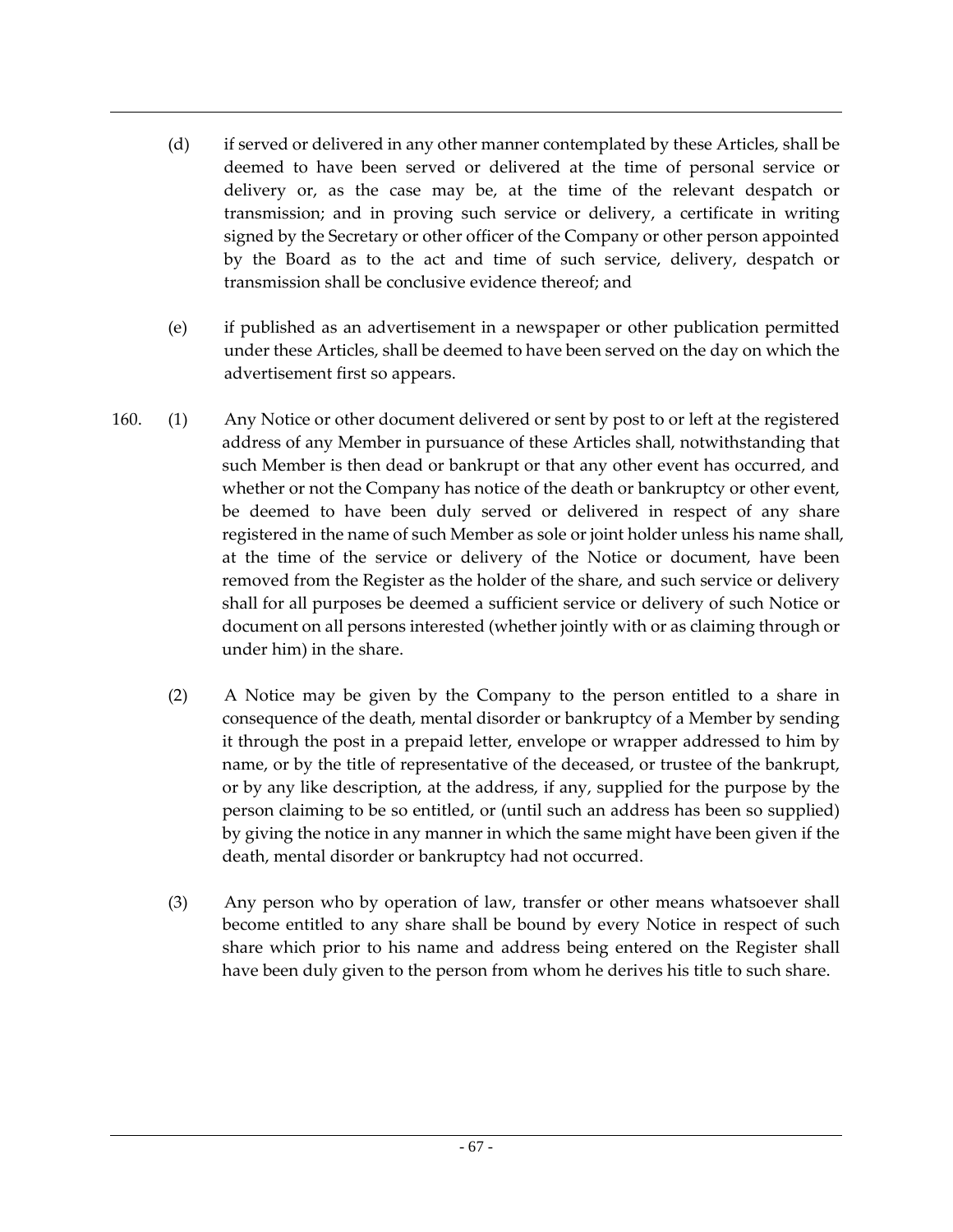- (d) if served or delivered in any other manner contemplated by these Articles, shall be deemed to have been served or delivered at the time of personal service or delivery or, as the case may be, at the time of the relevant despatch or transmission; and in proving such service or delivery, a certificate in writing signed by the Secretary or other officer of the Company or other person appointed by the Board as to the act and time of such service, delivery, despatch or transmission shall be conclusive evidence thereof; and
- (e) if published as an advertisement in a newspaper or other publication permitted under these Articles, shall be deemed to have been served on the day on which the advertisement first so appears.
- 160. (1) Any Notice or other document delivered or sent by post to or left at the registered address of any Member in pursuance of these Articles shall, notwithstanding that such Member is then dead or bankrupt or that any other event has occurred, and whether or not the Company has notice of the death or bankruptcy or other event, be deemed to have been duly served or delivered in respect of any share registered in the name of such Member as sole or joint holder unless his name shall, at the time of the service or delivery of the Notice or document, have been removed from the Register as the holder of the share, and such service or delivery shall for all purposes be deemed a sufficient service or delivery of such Notice or document on all persons interested (whether jointly with or as claiming through or under him) in the share.
	- (2) A Notice may be given by the Company to the person entitled to a share in consequence of the death, mental disorder or bankruptcy of a Member by sending it through the post in a prepaid letter, envelope or wrapper addressed to him by name, or by the title of representative of the deceased, or trustee of the bankrupt, or by any like description, at the address, if any, supplied for the purpose by the person claiming to be so entitled, or (until such an address has been so supplied) by giving the notice in any manner in which the same might have been given if the death, mental disorder or bankruptcy had not occurred.
	- (3) Any person who by operation of law, transfer or other means whatsoever shall become entitled to any share shall be bound by every Notice in respect of such share which prior to his name and address being entered on the Register shall have been duly given to the person from whom he derives his title to such share.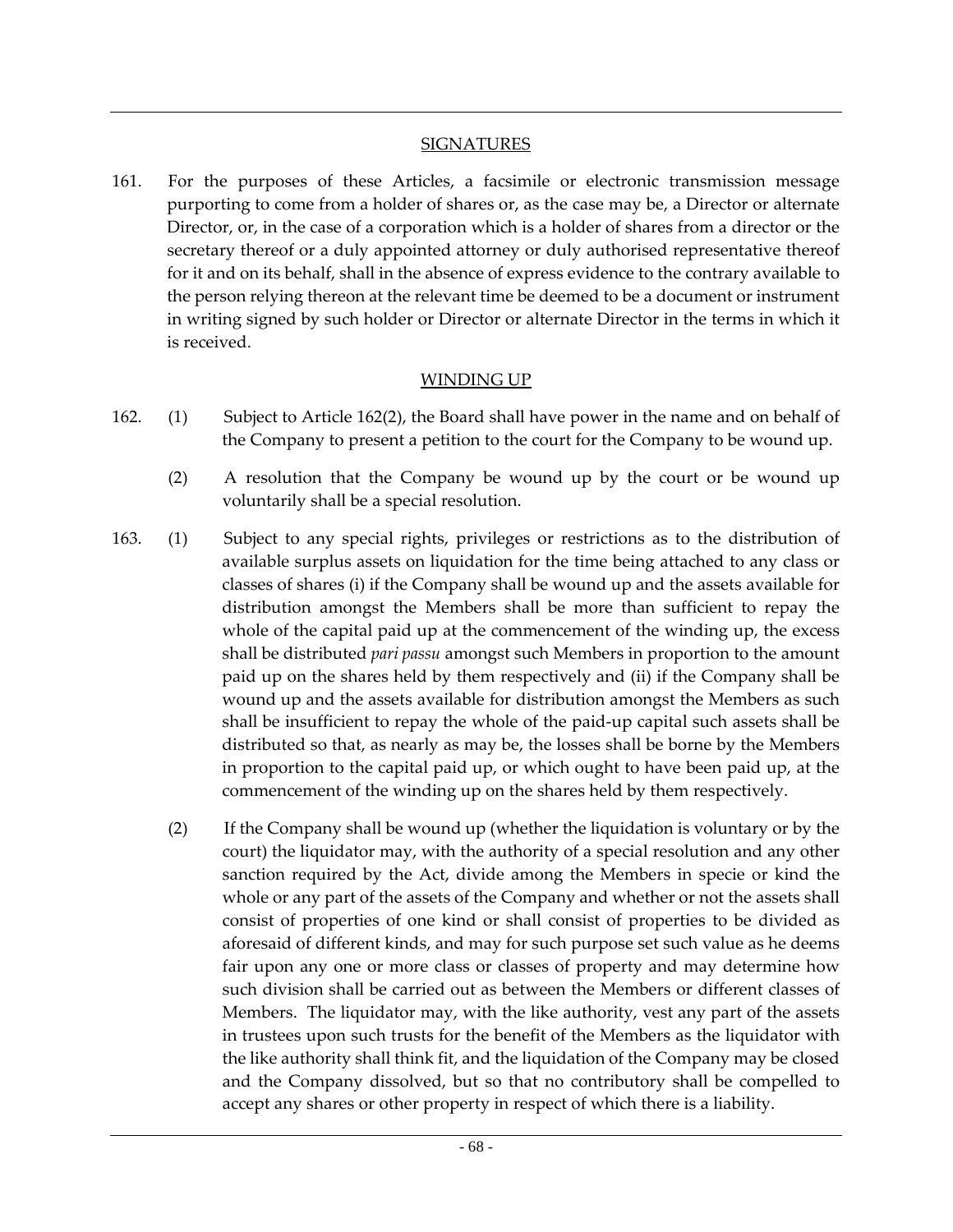#### **SIGNATURES**

161. For the purposes of these Articles, a facsimile or electronic transmission message purporting to come from a holder of shares or, as the case may be, a Director or alternate Director, or, in the case of a corporation which is a holder of shares from a director or the secretary thereof or a duly appointed attorney or duly authorised representative thereof for it and on its behalf, shall in the absence of express evidence to the contrary available to the person relying thereon at the relevant time be deemed to be a document or instrument in writing signed by such holder or Director or alternate Director in the terms in which it is received.

#### WINDING UP

- 162. (1) Subject to Article 162(2), the Board shall have power in the name and on behalf of the Company to present a petition to the court for the Company to be wound up.
	- (2) A resolution that the Company be wound up by the court or be wound up voluntarily shall be a special resolution.
- 163. (1) Subject to any special rights, privileges or restrictions as to the distribution of available surplus assets on liquidation for the time being attached to any class or classes of shares (i) if the Company shall be wound up and the assets available for distribution amongst the Members shall be more than sufficient to repay the whole of the capital paid up at the commencement of the winding up, the excess shall be distributed *pari passu* amongst such Members in proportion to the amount paid up on the shares held by them respectively and (ii) if the Company shall be wound up and the assets available for distribution amongst the Members as such shall be insufficient to repay the whole of the paid-up capital such assets shall be distributed so that, as nearly as may be, the losses shall be borne by the Members in proportion to the capital paid up, or which ought to have been paid up, at the commencement of the winding up on the shares held by them respectively.
	- (2) If the Company shall be wound up (whether the liquidation is voluntary or by the court) the liquidator may, with the authority of a special resolution and any other sanction required by the Act, divide among the Members in specie or kind the whole or any part of the assets of the Company and whether or not the assets shall consist of properties of one kind or shall consist of properties to be divided as aforesaid of different kinds, and may for such purpose set such value as he deems fair upon any one or more class or classes of property and may determine how such division shall be carried out as between the Members or different classes of Members. The liquidator may, with the like authority, vest any part of the assets in trustees upon such trusts for the benefit of the Members as the liquidator with the like authority shall think fit, and the liquidation of the Company may be closed and the Company dissolved, but so that no contributory shall be compelled to accept any shares or other property in respect of which there is a liability.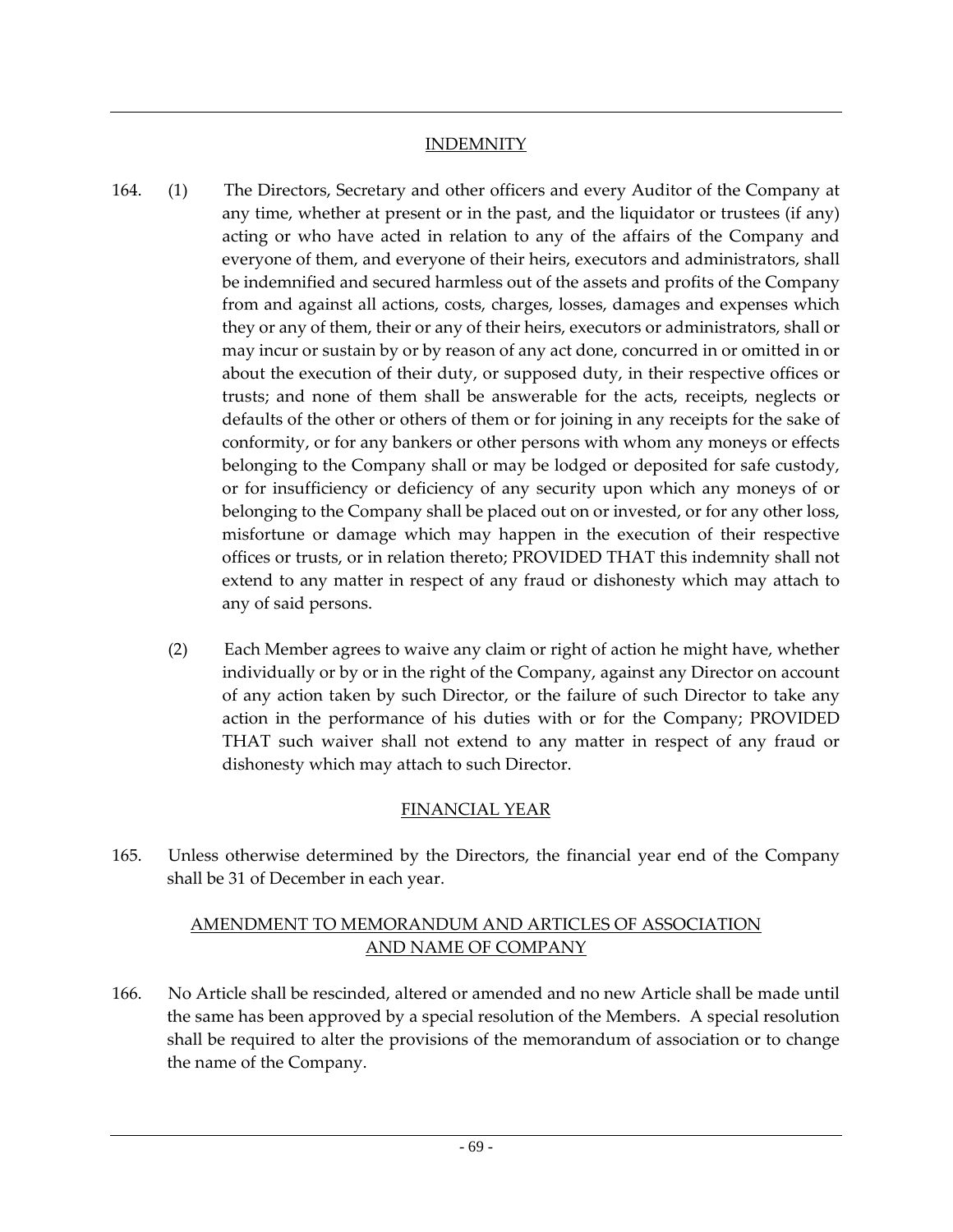### **INDEMNITY**

- 164. (1) The Directors, Secretary and other officers and every Auditor of the Company at any time, whether at present or in the past, and the liquidator or trustees (if any) acting or who have acted in relation to any of the affairs of the Company and everyone of them, and everyone of their heirs, executors and administrators, shall be indemnified and secured harmless out of the assets and profits of the Company from and against all actions, costs, charges, losses, damages and expenses which they or any of them, their or any of their heirs, executors or administrators, shall or may incur or sustain by or by reason of any act done, concurred in or omitted in or about the execution of their duty, or supposed duty, in their respective offices or trusts; and none of them shall be answerable for the acts, receipts, neglects or defaults of the other or others of them or for joining in any receipts for the sake of conformity, or for any bankers or other persons with whom any moneys or effects belonging to the Company shall or may be lodged or deposited for safe custody, or for insufficiency or deficiency of any security upon which any moneys of or belonging to the Company shall be placed out on or invested, or for any other loss, misfortune or damage which may happen in the execution of their respective offices or trusts, or in relation thereto; PROVIDED THAT this indemnity shall not extend to any matter in respect of any fraud or dishonesty which may attach to any of said persons.
	- (2) Each Member agrees to waive any claim or right of action he might have, whether individually or by or in the right of the Company, against any Director on account of any action taken by such Director, or the failure of such Director to take any action in the performance of his duties with or for the Company; PROVIDED THAT such waiver shall not extend to any matter in respect of any fraud or dishonesty which may attach to such Director.

# FINANCIAL YEAR

165. Unless otherwise determined by the Directors, the financial year end of the Company shall be 31 of December in each year.

# AMENDMENT TO MEMORANDUM AND ARTICLES OF ASSOCIATION AND NAME OF COMPANY

166. No Article shall be rescinded, altered or amended and no new Article shall be made until the same has been approved by a special resolution of the Members. A special resolution shall be required to alter the provisions of the memorandum of association or to change the name of the Company.